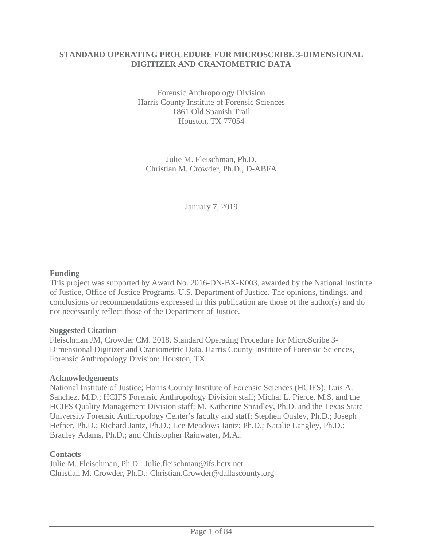### **STANDARD OPERATING PROCEDURE FOR MICROSCRIBE 3-DIMENSIONAL DIGITIZER AND CRANIOMETRIC DATA**

Forensic Anthropology Division Harris County Institute of Forensic Sciences 1861 Old Spanish Trail Houston, TX 77054

Julie M. Fleischman, Ph.D. Christian M. Crowder, Ph.D., D-ABFA

January 7, 2019

### **Funding**

This project was supported by Award No. 2016-DN-BX-K003, awarded by the National Institute of Justice, Office of Justice Programs, U.S. Department of Justice. The opinions, findings, and conclusions or recommendations expressed in this publication are those of the author(s) and do not necessarily reflect those of the Department of Justice.

#### **Suggested Citation**

Fleischman JM, Crowder CM. 2018. Standard Operating Procedure for MicroScribe 3- Dimensional Digitizer and Craniometric Data. Harris County Institute of Forensic Sciences, Forensic Anthropology Division: Houston, TX.

#### **Acknowledgements**

National Institute of Justice; Harris County Institute of Forensic Sciences (HCIFS); Luis A. Sanchez, M.D.; HCIFS Forensic Anthropology Division staff; Michal L. Pierce, M.S. and the HCIFS Quality Management Division staff; M. Katherine Spradley, Ph.D. and the Texas State University Forensic Anthropology Center's faculty and staff; Stephen Ousley, Ph.D.; Joseph Hefner, Ph.D.; Richard Jantz, Ph.D.; Lee Meadows Jantz; Ph.D.; Natalie Langley, Ph.D.; Bradley Adams, Ph.D.; and Christopher Rainwater, M.A..

#### **Contacts**

Julie M. Fleischman, Ph.D.: Julie.fleischman@ifs.hctx.net Christian M. Crowder, Ph.D.: Christian.Crowder@dallascounty.org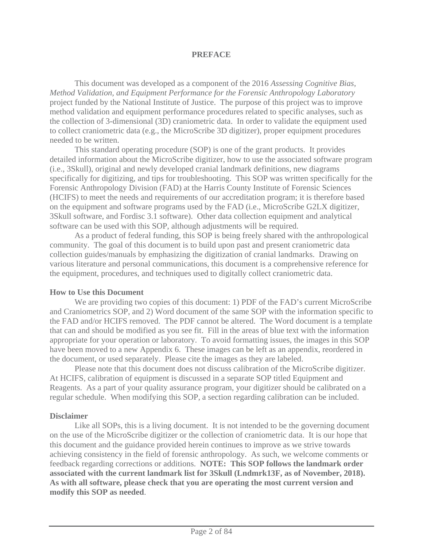### **PREFACE**

This document was developed as a component of the 2016 *Assessing Cognitive Bias, Method Validation, and Equipment Performance for the Forensic Anthropology Laboratory* project funded by the National Institute of Justice. The purpose of this project was to improve method validation and equipment performance procedures related to specific analyses, such as the collection of 3-dimensional (3D) craniometric data. In order to validate the equipment used to collect craniometric data (e.g., the MicroScribe 3D digitizer), proper equipment procedures needed to be written.

This standard operating procedure (SOP) is one of the grant products. It provides detailed information about the MicroScribe digitizer, how to use the associated software program (i.e., 3Skull), original and newly developed cranial landmark definitions, new diagrams specifically for digitizing, and tips for troubleshooting. This SOP was written specifically for the Forensic Anthropology Division (FAD) at the Harris County Institute of Forensic Sciences (HCIFS) to meet the needs and requirements of our accreditation program; it is therefore based on the equipment and software programs used by the FAD (i.e., MicroScribe G2LX digitizer, 3Skull software, and Fordisc 3.1 software). Other data collection equipment and analytical software can be used with this SOP, although adjustments will be required.

As a product of federal funding, this SOP is being freely shared with the anthropological community. The goal of this document is to build upon past and present craniometric data collection guides/manuals by emphasizing the digitization of cranial landmarks. Drawing on various literature and personal communications, this document is a comprehensive reference for the equipment, procedures, and techniques used to digitally collect craniometric data.

### **How to Use this Document**

We are providing two copies of this document: 1) PDF of the FAD's current MicroScribe and Craniometrics SOP, and 2) Word document of the same SOP with the information specific to the FAD and/or HCIFS removed. The PDF cannot be altered. The Word document is a template that can and should be modified as you see fit. Fill in the areas of blue text with the information appropriate for your operation or laboratory. To avoid formatting issues, the images in this SOP have been moved to a new Appendix 6. These images can be left as an appendix, reordered in the document, or used separately. Please cite the images as they are labeled.

Please note that this document does not discuss calibration of the MicroScribe digitizer. At HCIFS, calibration of equipment is discussed in a separate SOP titled Equipment and Reagents. As a part of your quality assurance program, your digitizer should be calibrated on a regular schedule. When modifying this SOP, a section regarding calibration can be included.

### **Disclaimer**

Like all SOPs, this is a living document. It is not intended to be the governing document on the use of the MicroScribe digitizer or the collection of craniometric data. It is our hope that this document and the guidance provided herein continues to improve as we strive towards achieving consistency in the field of forensic anthropology. As such, we welcome comments or feedback regarding corrections or additions. **NOTE: This SOP follows the landmark order associated with the current landmark list for 3Skull (Lndmrk13F, as of November, 2018). As with all software, please check that you are operating the most current version and modify this SOP as needed**.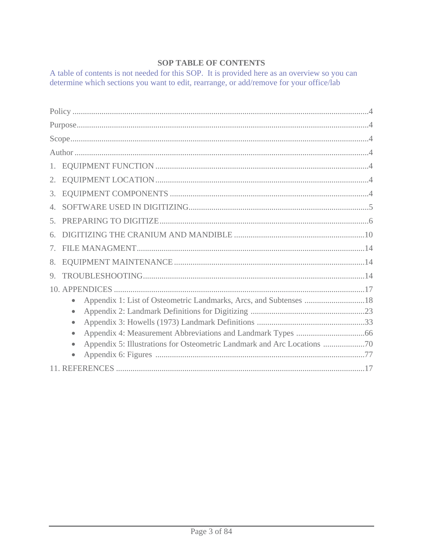# **SOP TABLE OF CONTENTS**

A table of contents is not needed for this SOP. It is provided here as an overview so you can determine which sections you want to edit, rearrange, or add/remove for your office/lab

| 2.             |                                                                                |  |
|----------------|--------------------------------------------------------------------------------|--|
| 3.             |                                                                                |  |
|                |                                                                                |  |
| 5 <sub>1</sub> |                                                                                |  |
|                |                                                                                |  |
|                |                                                                                |  |
| 8.             |                                                                                |  |
| 9.             |                                                                                |  |
|                |                                                                                |  |
|                | Appendix 1: List of Osteometric Landmarks, Arcs, and Subtenses 18<br>$\bullet$ |  |
|                | $\bullet$                                                                      |  |
|                | $\bullet$                                                                      |  |
|                | $\bullet$                                                                      |  |
|                | $\bullet$                                                                      |  |
|                | $\bullet$                                                                      |  |
|                |                                                                                |  |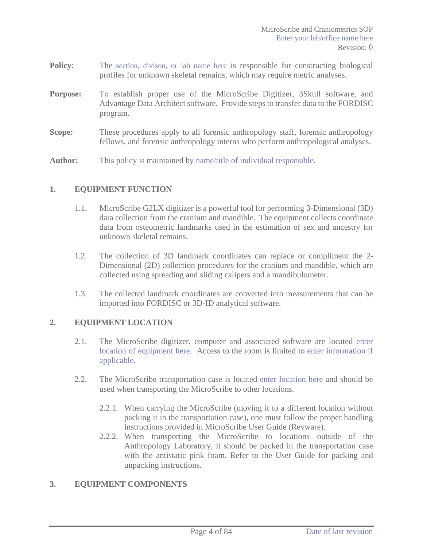- **Policy:** The section, divison, or lab name here is responsible for constructing biological profiles for unknown skeletal remains, which may require metric analyses.
- **Purpose:** To establish proper use of the MicroScribe Digitizer, 3Skull software, and Advantage Data Architect software. Provide steps to transfer data to the FORDISC program.
- **Scope:** These procedures apply to all forensic anthropology staff, forensic anthropology fellows, and forensic anthropology interns who perform anthropological analyses.
- **Author:** This policy is maintained by name/title of individual responsible.

## **1. EQUIPMENT FUNCTION**

- 1.1. MicroScribe G2LX digitizer is a powerful tool for performing 3-Dimensional (3D) data collection from the cranium and mandible. The equipment collects coordinate data from osteometric landmarks used in the estimation of sex and ancestry for unknown skeletal remains.
- 1.2. The collection of 3D landmark coordinates can replace or compliment the 2- Dimensional (2D) collection procedures for the cranium and mandible, which are collected using spreading and sliding calipers and a mandibulometer.
- 1.3. The collected landmark coordinates are converted into measurements that can be imported into FORDISC or 3D-ID analytical software.

### **2. EQUIPMENT LOCATION**

- 2.1. The MicroScribe digitizer, computer and associated software are located enter location of equipment here. Access to the room is limited to enter information if applicable.
- 2.2. The MicroScribe transportation case is located enter location here and should be used when transporting the MicroScribe to other locations.
	- 2.2.1. When carrying the MicroScribe (moving it to a different location without packing it in the transportation case), one must follow the proper handling instructions provided in MicroScribe User Guide (Revware).
	- 2.2.2. When transporting the MicroScribe to locations outside of the Anthropology Laboratory, it should be packed in the transportation case with the antistatic pink foam. Refer to the User Guide for packing and unpacking instructions.

#### **3. EQUIPMENT COMPONENTS**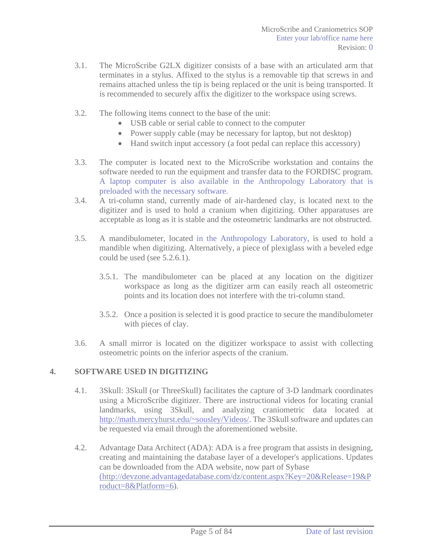- 3.1. The MicroScribe G2LX digitizer consists of a base with an articulated arm that terminates in a stylus. Affixed to the stylus is a removable tip that screws in and remains attached unless the tip is being replaced or the unit is being transported. It is recommended to securely affix the digitizer to the workspace using screws.
- 3.2. The following items connect to the base of the unit:
	- USB cable or serial cable to connect to the computer
	- Power supply cable (may be necessary for laptop, but not desktop)
	- Hand switch input accessory (a foot pedal can replace this accessory)
- 3.3. The computer is located next to the MicroScribe workstation and contains the software needed to run the equipment and transfer data to the FORDISC program. A laptop computer is also available in the Anthropology Laboratory that is preloaded with the necessary software.
- 3.4. A tri-column stand, currently made of air-hardened clay, is located next to the digitizer and is used to hold a cranium when digitizing. Other apparatuses are acceptable as long as it is stable and the osteometric landmarks are not obstructed.
- 3.5. A mandibulometer, located in the Anthropology Laboratory, is used to hold a mandible when digitizing. Alternatively, a piece of plexiglass with a beveled edge could be used (see 5.2.6.1).
	- 3.5.1. The mandibulometer can be placed at any location on the digitizer workspace as long as the digitizer arm can easily reach all osteometric points and its location does not interfere with the tri-column stand.
	- 3.5.2. Once a position is selected it is good practice to secure the mandibulometer with pieces of clay.
- 3.6. A small mirror is located on the digitizer workspace to assist with collecting osteometric points on the inferior aspects of the cranium.

### **4. SOFTWARE USED IN DIGITIZING**

- 4.1. 3Skull: 3Skull (or ThreeSkull) facilitates the capture of 3-D landmark coordinates using a MicroScribe digitizer. There are instructional videos for locating cranial landmarks, using 3Skull, and analyzing craniometric data located at http://math.mercyhurst.edu/~sousley/Videos/. The 3Skull software and updates can be requested via email through the aforementioned website.
- 4.2. Advantage Data Architect (ADA): ADA is a free program that assists in designing, creating and maintaining the database layer of a developer's applications. Updates can be downloaded from the ADA website, now part of Sybase (http://devzone.advantagedatabase.com/dz/content.aspx?Key=20&Release=19&P roduct=8&Platform=6).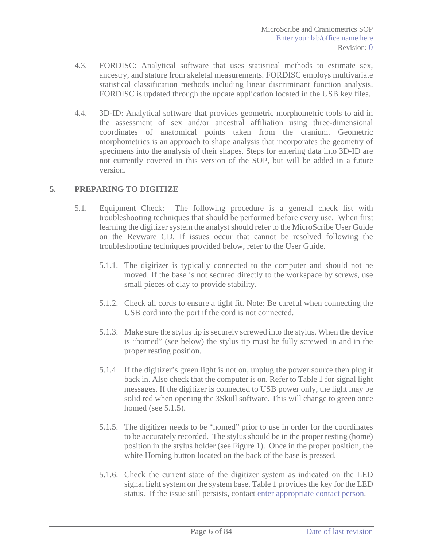- 4.3. FORDISC: Analytical software that uses statistical methods to estimate sex, ancestry, and stature from skeletal measurements. FORDISC employs multivariate statistical classification methods including linear discriminant function analysis. FORDISC is updated through the update application located in the USB key files.
- 4.4. 3D-ID: Analytical software that provides geometric morphometric tools to aid in the assessment of sex and/or ancestral affiliation using three-dimensional coordinates of anatomical points taken from the cranium. Geometric morphometrics is an approach to shape analysis that incorporates the geometry of specimens into the analysis of their shapes. Steps for entering data into 3D-ID are not currently covered in this version of the SOP, but will be added in a future version.

### **5. PREPARING TO DIGITIZE**

- 5.1. Equipment Check: The following procedure is a general check list with troubleshooting techniques that should be performed before every use. When first learning the digitizer system the analyst should refer to the MicroScribe User Guide on the Revware CD. If issues occur that cannot be resolved following the troubleshooting techniques provided below, refer to the User Guide.
	- 5.1.1. The digitizer is typically connected to the computer and should not be moved. If the base is not secured directly to the workspace by screws, use small pieces of clay to provide stability.
	- 5.1.2. Check all cords to ensure a tight fit. Note: Be careful when connecting the USB cord into the port if the cord is not connected.
	- 5.1.3. Make sure the stylus tip is securely screwed into the stylus. When the device is "homed" (see below) the stylus tip must be fully screwed in and in the proper resting position.
	- 5.1.4. If the digitizer's green light is not on, unplug the power source then plug it back in. Also check that the computer is on. Refer to Table 1 for signal light messages. If the digitizer is connected to USB power only, the light may be solid red when opening the 3Skull software. This will change to green once homed (see 5.1.5).
	- 5.1.5. The digitizer needs to be "homed" prior to use in order for the coordinates to be accurately recorded. The stylus should be in the proper resting (home) position in the stylus holder (see Figure 1). Once in the proper position, the white Homing button located on the back of the base is pressed.
	- 5.1.6. Check the current state of the digitizer system as indicated on the LED signal light system on the system base. Table 1 provides the key for the LED status. If the issue still persists, contact enter appropriate contact person.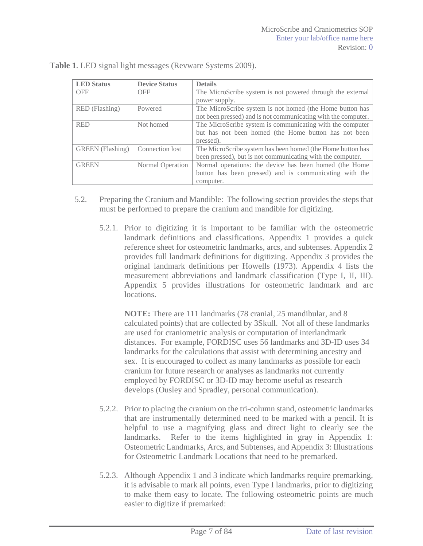| <b>LED</b> Status                          | <b>Device Status</b> | <b>Details</b>                                                |  |  |
|--------------------------------------------|----------------------|---------------------------------------------------------------|--|--|
| <b>OFF</b><br><b>OFF</b>                   |                      | The MicroScribe system is not powered through the external    |  |  |
|                                            |                      | power supply.                                                 |  |  |
| RED (Flashing)                             | Powered              | The MicroScribe system is not homed (the Home button has      |  |  |
|                                            |                      | not been pressed) and is not communicating with the computer. |  |  |
| <b>RED</b>                                 | Not homed            | The MicroScribe system is communicating with the computer     |  |  |
|                                            |                      | but has not been homed (the Home button has not been          |  |  |
|                                            |                      | pressed).                                                     |  |  |
| <b>GREEN</b> (Flashing)<br>Connection lost |                      | The MicroScribe system has been homed (the Home button has    |  |  |
|                                            |                      | been pressed), but is not communicating with the computer.    |  |  |
| <b>GREEN</b><br>Normal Operation           |                      | Normal operations: the device has been homed (the Home        |  |  |
|                                            |                      | button has been pressed) and is communicating with the        |  |  |
|                                            |                      | computer.                                                     |  |  |

**Table 1**. LED signal light messages (Revware Systems 2009).

- 5.2. Preparing the Cranium and Mandible: The following section provides the steps that must be performed to prepare the cranium and mandible for digitizing.
	- 5.2.1. Prior to digitizing it is important to be familiar with the osteometric landmark definitions and classifications. Appendix 1 provides a quick reference sheet for osteometric landmarks, arcs, and subtenses. Appendix 2 provides full landmark definitions for digitizing. Appendix 3 provides the original landmark definitions per Howells (1973). Appendix 4 lists the measurement abbreviations and landmark classification (Type I, II, III). Appendix 5 provides illustrations for osteometric landmark and arc locations.

**NOTE:** There are 111 landmarks (78 cranial, 25 mandibular, and 8 calculated points) that are collected by 3Skull. Not all of these landmarks are used for craniometric analysis or computation of interlandmark distances. For example, FORDISC uses 56 landmarks and 3D-ID uses 34 landmarks for the calculations that assist with determining ancestry and sex. It is encouraged to collect as many landmarks as possible for each cranium for future research or analyses as landmarks not currently employed by FORDISC or 3D-ID may become useful as research develops (Ousley and Spradley, personal communication).

- 5.2.2. Prior to placing the cranium on the tri-column stand, osteometric landmarks that are instrumentally determined need to be marked with a pencil. It is helpful to use a magnifying glass and direct light to clearly see the landmarks. Refer to the items highlighted in gray in Appendix 1: Osteometric Landmarks, Arcs, and Subtenses, and Appendix 3: Illustrations for Osteometric Landmark Locations that need to be premarked.
- 5.2.3. Although Appendix 1 and 3 indicate which landmarks require premarking, it is advisable to mark all points, even Type I landmarks, prior to digitizing to make them easy to locate. The following osteometric points are much easier to digitize if premarked: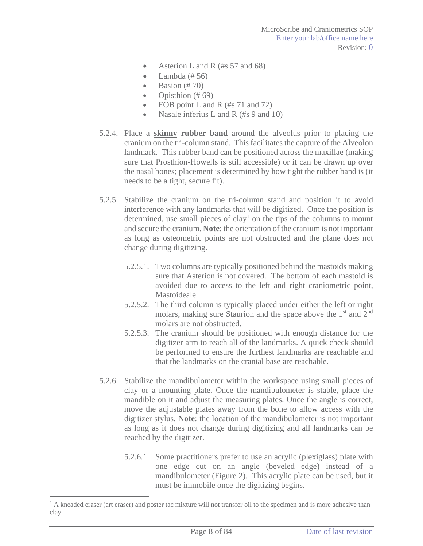- Asterion L and R (#s  $57$  and  $68$ )
- $\bullet$  Lambda (# 56)
- $\bullet$  Basion (# 70)
- Opisthion  $(\# 69)$
- FOB point L and R  $(\#s 71 \text{ and } 72)$
- Nasale inferius L and R (#s 9 and 10)
- 5.2.4. Place a **skinny rubber band** around the alveolus prior to placing the cranium on the tri-column stand. This facilitates the capture of the Alveolon landmark. This rubber band can be positioned across the maxillae (making sure that Prosthion-Howells is still accessible) or it can be drawn up over the nasal bones; placement is determined by how tight the rubber band is (it needs to be a tight, secure fit).
- 5.2.5. Stabilize the cranium on the tri-column stand and position it to avoid interference with any landmarks that will be digitized. Once the position is determined, use small pieces of clay<sup>1</sup> on the tips of the columns to mount and secure the cranium. **Note**: the orientation of the cranium is not important as long as osteometric points are not obstructed and the plane does not change during digitizing.
	- 5.2.5.1. Two columns are typically positioned behind the mastoids making sure that Asterion is not covered. The bottom of each mastoid is avoided due to access to the left and right craniometric point, Mastoideale.
	- 5.2.5.2. The third column is typically placed under either the left or right molars, making sure Staurion and the space above the 1<sup>st</sup> and 2<sup>nd</sup> molars are not obstructed.
	- 5.2.5.3. The cranium should be positioned with enough distance for the digitizer arm to reach all of the landmarks. A quick check should be performed to ensure the furthest landmarks are reachable and that the landmarks on the cranial base are reachable.
- 5.2.6. Stabilize the mandibulometer within the workspace using small pieces of clay or a mounting plate. Once the mandibulometer is stable, place the mandible on it and adjust the measuring plates. Once the angle is correct, move the adjustable plates away from the bone to allow access with the digitizer stylus. **Note**: the location of the mandibulometer is not important as long as it does not change during digitizing and all landmarks can be reached by the digitizer.
	- 5.2.6.1. Some practitioners prefer to use an acrylic (plexiglass) plate with one edge cut on an angle (beveled edge) instead of a mandibulometer (Figure 2). This acrylic plate can be used, but it must be immobile once the digitizing begins.

 $\overline{a}$ 

<sup>&</sup>lt;sup>1</sup> A kneaded eraser (art eraser) and poster tac mixture will not transfer oil to the specimen and is more adhesive than clay.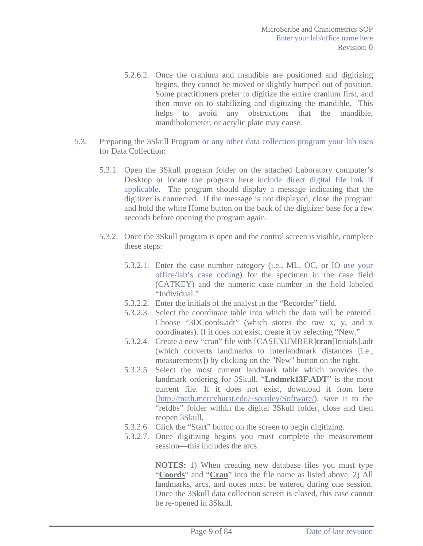- 5.2.6.2. Once the cranium and mandible are positioned and digitizing begins, they cannot be moved or slightly bumped out of position. Some practitioners prefer to digitize the entire cranium first, and then move on to stabilizing and digitizing the mandible. This helps to avoid any obstructions that the mandible, mandibulometer, or acrylic plate may cause.
- 5.3. Preparing the 3Skull Program or any other data collection program your lab uses for Data Collection:
	- 5.3.1. Open the 3Skull program folder on the attached Laboratory computer's Desktop or locate the program here include direct digital file link if applicable. The program should display a message indicating that the digitizer is connected. If the message is not displayed, close the program and hold the white Home button on the back of the digitizer base for a few seconds before opening the program again.
	- 5.3.2. Once the 3Skull program is open and the control screen is visible, complete these steps:
		- 5.3.2.1. Enter the case number category (i.e., ML, OC, or IO use your office/lab's case coding) for the specimen in the case field (CATKEY) and the numeric case number in the field labeled "Individual."
		- 5.3.2.2. Enter the initials of the analyst in the "Recorder" field.
		- 5.3.2.3. Select the coordinate table into which the data will be entered. Choose "3DCoords.adt" (which stores the raw x, y, and z coordinates). If it does not exist, create it by selecting "New."
		- 5.3.2.4. Create a new "cran" file with [CASENUMBER]**cran**[Initials].adt (which converts landmarks to interlandmark distances [i.e., measurements]) by clicking on the "New" button on the right.
		- 5.3.2.5. Select the most current landmark table which provides the landmark ordering for 3Skull. "**Lndmrk13F.ADT**" is the most current file. If it does not exist, download it from here (http://math.mercyhurst.edu/~sousley/Software/), save it to the "refdbs" folder within the digital 3Skull folder, close and then reopen 3Skull.
		- 5.3.2.6. Click the "Start" button on the screen to begin digitizing.
		- 5.3.2.7. Once digitizing begins you must complete the measurement session—this includes the arcs.

**NOTES:** 1) When creating new database files you must type "**Coords**" and "**Cran**" into the file name as listed above. 2) All landmarks, arcs, and notes must be entered during one session. Once the 3Skull data collection screen is closed, this case cannot be re-opened in 3Skull.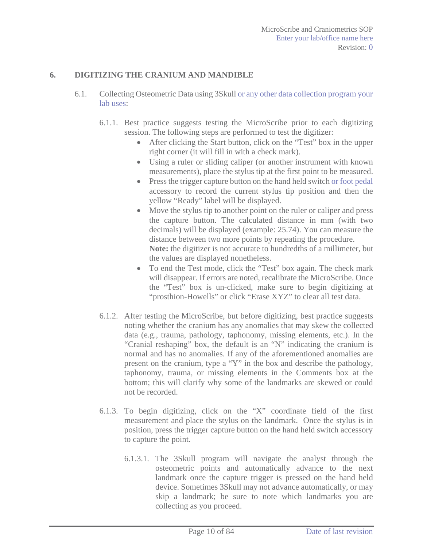### **6. DIGITIZING THE CRANIUM AND MANDIBLE**

- 6.1. Collecting Osteometric Data using 3Skull or any other data collection program your lab uses:
	- 6.1.1. Best practice suggests testing the MicroScribe prior to each digitizing session. The following steps are performed to test the digitizer:
		- $\bullet$  After clicking the Start button, click on the "Test" box in the upper right corner (it will fill in with a check mark).
		- Using a ruler or sliding caliper (or another instrument with known measurements), place the stylus tip at the first point to be measured.
		- Press the trigger capture button on the hand held switch or foot pedal accessory to record the current stylus tip position and then the yellow "Ready" label will be displayed.
		- $\bullet$  Move the stylus tip to another point on the ruler or caliper and press the capture button. The calculated distance in mm (with two decimals) will be displayed (example: 25.74). You can measure the distance between two more points by repeating the procedure. **Note:** the digitizer is not accurate to hundredths of a millimeter, but the values are displayed nonetheless.
		- To end the Test mode, click the "Test" box again. The check mark will disappear. If errors are noted, recalibrate the MicroScribe. Once the "Test" box is un-clicked, make sure to begin digitizing at "prosthion-Howells" or click "Erase XYZ" to clear all test data.
	- 6.1.2. After testing the MicroScribe, but before digitizing, best practice suggests noting whether the cranium has any anomalies that may skew the collected data (e.g., trauma, pathology, taphonomy, missing elements, etc.). In the "Cranial reshaping" box, the default is an "N" indicating the cranium is normal and has no anomalies. If any of the aforementioned anomalies are present on the cranium, type a "Y" in the box and describe the pathology, taphonomy, trauma, or missing elements in the Comments box at the bottom; this will clarify why some of the landmarks are skewed or could not be recorded.
	- 6.1.3. To begin digitizing, click on the "X" coordinate field of the first measurement and place the stylus on the landmark. Once the stylus is in position, press the trigger capture button on the hand held switch accessory to capture the point.
		- 6.1.3.1. The 3Skull program will navigate the analyst through the osteometric points and automatically advance to the next landmark once the capture trigger is pressed on the hand held device. Sometimes 3Skull may not advance automatically, or may skip a landmark; be sure to note which landmarks you are collecting as you proceed.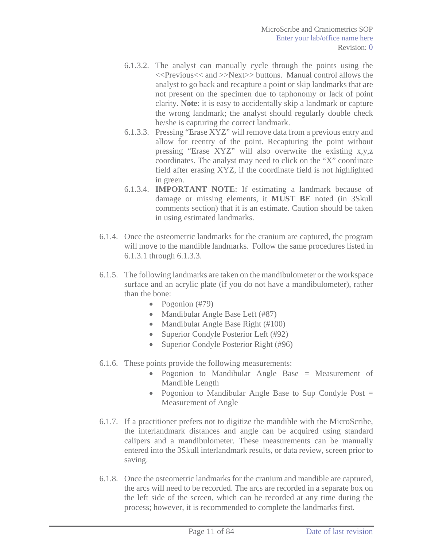- 6.1.3.2. The analyst can manually cycle through the points using the <<Previous<< and >>Next>> buttons. Manual control allows the analyst to go back and recapture a point or skip landmarks that are not present on the specimen due to taphonomy or lack of point clarity. **Note**: it is easy to accidentally skip a landmark or capture the wrong landmark; the analyst should regularly double check he/she is capturing the correct landmark.
- 6.1.3.3. Pressing "Erase XYZ" will remove data from a previous entry and allow for reentry of the point. Recapturing the point without pressing "Erase XYZ" will also overwrite the existing x,y,z coordinates. The analyst may need to click on the "X" coordinate field after erasing XYZ, if the coordinate field is not highlighted in green.
- 6.1.3.4. **IMPORTANT NOTE**: If estimating a landmark because of damage or missing elements, it **MUST BE** noted (in 3Skull comments section) that it is an estimate. Caution should be taken in using estimated landmarks.
- 6.1.4. Once the osteometric landmarks for the cranium are captured, the program will move to the mandible landmarks. Follow the same procedures listed in 6.1.3.1 through 6.1.3.3.
- 6.1.5. The following landmarks are taken on the mandibulometer or the workspace surface and an acrylic plate (if you do not have a mandibulometer), rather than the bone:
	- Pogonion  $(\text{\#}79)$
	- Mandibular Angle Base Left (#87)
	- Mandibular Angle Base Right  $(\text{\#}100)$
	- Superior Condyle Posterior Left (#92)
	- Superior Condyle Posterior Right  $(#96)$
- 6.1.6. These points provide the following measurements:
	- Pogonion to Mandibular Angle Base = Measurement of Mandible Length
	- Pogonion to Mandibular Angle Base to Sup Condyle Post  $=$ Measurement of Angle
- 6.1.7. If a practitioner prefers not to digitize the mandible with the MicroScribe, the interlandmark distances and angle can be acquired using standard calipers and a mandibulometer. These measurements can be manually entered into the 3Skull interlandmark results, or data review, screen prior to saving.
- 6.1.8. Once the osteometric landmarks for the cranium and mandible are captured, the arcs will need to be recorded. The arcs are recorded in a separate box on the left side of the screen, which can be recorded at any time during the process; however, it is recommended to complete the landmarks first.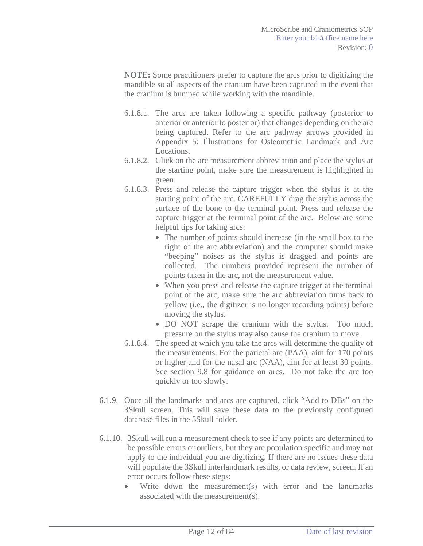**NOTE:** Some practitioners prefer to capture the arcs prior to digitizing the mandible so all aspects of the cranium have been captured in the event that the cranium is bumped while working with the mandible.

- 6.1.8.1. The arcs are taken following a specific pathway (posterior to anterior or anterior to posterior) that changes depending on the arc being captured. Refer to the arc pathway arrows provided in Appendix 5: Illustrations for Osteometric Landmark and Arc Locations.
- 6.1.8.2. Click on the arc measurement abbreviation and place the stylus at the starting point, make sure the measurement is highlighted in green.
- 6.1.8.3. Press and release the capture trigger when the stylus is at the starting point of the arc. CAREFULLY drag the stylus across the surface of the bone to the terminal point. Press and release the capture trigger at the terminal point of the arc. Below are some helpful tips for taking arcs:
	- The number of points should increase (in the small box to the right of the arc abbreviation) and the computer should make "beeping" noises as the stylus is dragged and points are collected. The numbers provided represent the number of points taken in the arc, not the measurement value.
	- When you press and release the capture trigger at the terminal point of the arc, make sure the arc abbreviation turns back to yellow (i.e., the digitizer is no longer recording points) before moving the stylus.
	- DO NOT scrape the cranium with the stylus. Too much pressure on the stylus may also cause the cranium to move.
- 6.1.8.4. The speed at which you take the arcs will determine the quality of the measurements. For the parietal arc (PAA), aim for 170 points or higher and for the nasal arc (NAA), aim for at least 30 points. See section 9.8 for guidance on arcs. Do not take the arc too quickly or too slowly.
- 6.1.9. Once all the landmarks and arcs are captured, click "Add to DBs" on the 3Skull screen. This will save these data to the previously configured database files in the 3Skull folder.
- 6.1.10. 3Skull will run a measurement check to see if any points are determined to be possible errors or outliers, but they are population specific and may not apply to the individual you are digitizing. If there are no issues these data will populate the 3Skull interlandmark results, or data review, screen. If an error occurs follow these steps:
	- Write down the measurement(s) with error and the landmarks associated with the measurement(s).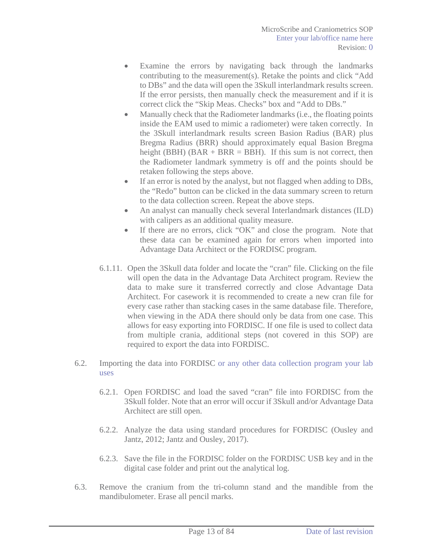- Examine the errors by navigating back through the landmarks contributing to the measurement(s). Retake the points and click "Add to DBs" and the data will open the 3Skull interlandmark results screen. If the error persists, then manually check the measurement and if it is correct click the "Skip Meas. Checks" box and "Add to DBs."
- $\bullet$  Manually check that the Radiometer landmarks (i.e., the floating points inside the EAM used to mimic a radiometer) were taken correctly. In the 3Skull interlandmark results screen Basion Radius (BAR) plus Bregma Radius (BRR) should approximately equal Basion Bregma height (BBH)  $(BAR + BRR = BBH)$ . If this sum is not correct, then the Radiometer landmark symmetry is off and the points should be retaken following the steps above.
- If an error is noted by the analyst, but not flagged when adding to DBs, the "Redo" button can be clicked in the data summary screen to return to the data collection screen. Repeat the above steps.
- An analyst can manually check several Interlandmark distances (ILD) with calipers as an additional quality measure.
- If there are no errors, click "OK" and close the program. Note that these data can be examined again for errors when imported into Advantage Data Architect or the FORDISC program.
- 6.1.11. Open the 3Skull data folder and locate the "cran" file. Clicking on the file will open the data in the Advantage Data Architect program. Review the data to make sure it transferred correctly and close Advantage Data Architect. For casework it is recommended to create a new cran file for every case rather than stacking cases in the same database file. Therefore, when viewing in the ADA there should only be data from one case. This allows for easy exporting into FORDISC. If one file is used to collect data from multiple crania, additional steps (not covered in this SOP) are required to export the data into FORDISC.
- 6.2. Importing the data into FORDISC or any other data collection program your lab uses
	- 6.2.1. Open FORDISC and load the saved "cran" file into FORDISC from the 3Skull folder. Note that an error will occur if 3Skull and/or Advantage Data Architect are still open.
	- 6.2.2. Analyze the data using standard procedures for FORDISC (Ousley and Jantz, 2012; Jantz and Ousley, 2017).
	- 6.2.3. Save the file in the FORDISC folder on the FORDISC USB key and in the digital case folder and print out the analytical log.
- 6.3. Remove the cranium from the tri-column stand and the mandible from the mandibulometer. Erase all pencil marks.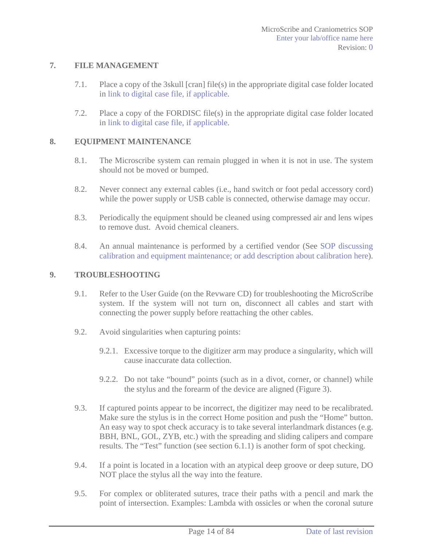### **7. FILE MANAGEMENT**

- 7.1. Place a copy of the 3skull [cran] file(s) in the appropriate digital case folder located in link to digital case file, if applicable.
- 7.2. Place a copy of the FORDISC file(s) in the appropriate digital case folder located in link to digital case file, if applicable.

### **8. EQUIPMENT MAINTENANCE**

- 8.1. The Microscribe system can remain plugged in when it is not in use. The system should not be moved or bumped.
- 8.2. Never connect any external cables (i.e., hand switch or foot pedal accessory cord) while the power supply or USB cable is connected, otherwise damage may occur.
- 8.3. Periodically the equipment should be cleaned using compressed air and lens wipes to remove dust. Avoid chemical cleaners.
- 8.4. An annual maintenance is performed by a certified vendor (See SOP discussing calibration and equipment maintenance; or add description about calibration here).

### **9. TROUBLESHOOTING**

- 9.1. Refer to the User Guide (on the Revware CD) for troubleshooting the MicroScribe system. If the system will not turn on, disconnect all cables and start with connecting the power supply before reattaching the other cables.
- 9.2. Avoid singularities when capturing points:
	- 9.2.1. Excessive torque to the digitizer arm may produce a singularity, which will cause inaccurate data collection.
	- 9.2.2. Do not take "bound" points (such as in a divot, corner, or channel) while the stylus and the forearm of the device are aligned (Figure 3).
- 9.3. If captured points appear to be incorrect, the digitizer may need to be recalibrated. Make sure the stylus is in the correct Home position and push the "Home" button. An easy way to spot check accuracy is to take several interlandmark distances (e.g. BBH, BNL, GOL, ZYB, etc.) with the spreading and sliding calipers and compare results. The "Test" function (see section 6.1.1) is another form of spot checking.
- 9.4. If a point is located in a location with an atypical deep groove or deep suture, DO NOT place the stylus all the way into the feature.
- 9.5. For complex or obliterated sutures, trace their paths with a pencil and mark the point of intersection. Examples: Lambda with ossicles or when the coronal suture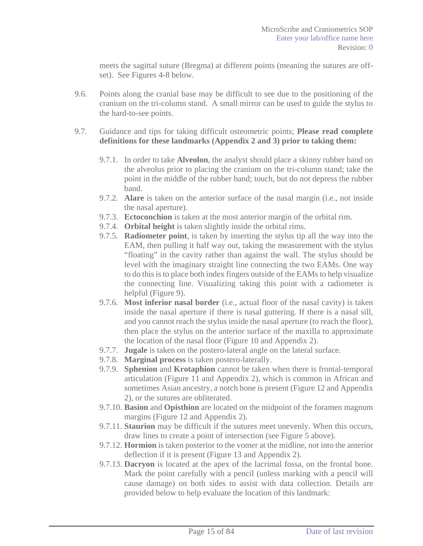meets the sagittal suture (Bregma) at different points (meaning the sutures are offset). See Figures 4-8 below.

- 9.6. Points along the cranial base may be difficult to see due to the positioning of the cranium on the tri-column stand. A small mirror can be used to guide the stylus to the hard-to-see points.
- 9.7. Guidance and tips for taking difficult osteometric points; **Please read complete definitions for these landmarks (Appendix 2 and 3) prior to taking them:**
	- 9.7.1. In order to take **Alveolon**, the analyst should place a skinny rubber band on the alveolus prior to placing the cranium on the tri-column stand; take the point in the middle of the rubber band; touch, but do not depress the rubber band.
	- 9.7.2. **Alare** is taken on the anterior surface of the nasal margin (i.e., not inside the nasal aperture).
	- 9.7.3. **Ectoconchion** is taken at the most anterior margin of the orbital rim.
	- 9.7.4. **Orbital height** is taken slightly inside the orbital rims.
	- 9.7.5. **Radiometer point**, is taken by inserting the stylus tip all the way into the EAM, then pulling it half way out, taking the measurement with the stylus "floating" in the cavity rather than against the wall. The stylus should be level with the imaginary straight line connecting the two EAMs. One way to do this is to place both index fingers outside of the EAMs to help visualize the connecting line. Visualizing taking this point with a radiometer is helpful (Figure 9).
	- 9.7.6. **Most inferior nasal border** (i.e., actual floor of the nasal cavity) is taken inside the nasal aperture if there is nasal guttering. If there is a nasal sill, and you cannot reach the stylus inside the nasal aperture (to reach the floor), then place the stylus on the anterior surface of the maxilla to approximate the location of the nasal floor (Figure 10 and Appendix 2).
	- 9.7.7. **Jugale** is taken on the postero-lateral angle on the lateral surface.
	- 9.7.8. **Marginal process** is taken postero-laterally.
	- 9.7.9. **Sphenion** and **Krotaphion** cannot be taken when there is frontal-temporal articulation (Figure 11 and Appendix 2), which is common in African and sometimes Asian ancestry, a notch bone is present (Figure 12 and Appendix 2), or the sutures are obliterated.
	- 9.7.10. **Basion** and **Opisthion** are located on the midpoint of the foramen magnum margins (Figure 12 and Appendix 2).
	- 9.7.11. **Staurion** may be difficult if the sutures meet unevenly. When this occurs, draw lines to create a point of intersection (see Figure 5 above).
	- 9.7.12. **Hormion** is taken posterior to the vomer at the midline, not into the anterior deflection if it is present (Figure 13 and Appendix 2).
	- 9.7.13. **Dacryon** is located at the apex of the lacrimal fossa, on the frontal bone. Mark the point carefully with a pencil (unless marking with a pencil will cause damage) on both sides to assist with data collection. Details are provided below to help evaluate the location of this landmark: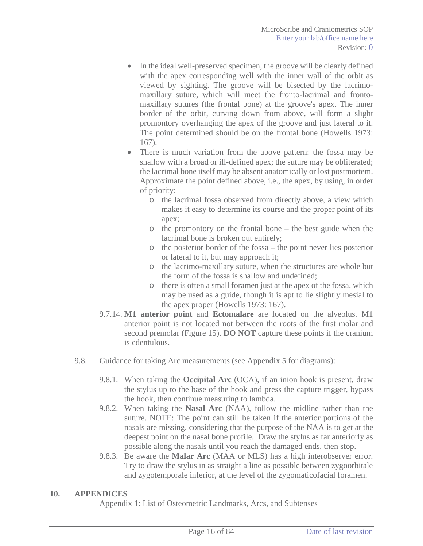- In the ideal well-preserved specimen, the groove will be clearly defined with the apex corresponding well with the inner wall of the orbit as viewed by sighting. The groove will be bisected by the lacrimomaxillary suture, which will meet the fronto-lacrimal and frontomaxillary sutures (the frontal bone) at the groove's apex. The inner border of the orbit, curving down from above, will form a slight promontory overhanging the apex of the groove and just lateral to it. The point determined should be on the frontal bone (Howells 1973: 167).
- There is much variation from the above pattern: the fossa may be shallow with a broad or ill-defined apex; the suture may be obliterated; the lacrimal bone itself may be absent anatomically or lost postmortem. Approximate the point defined above, i.e., the apex, by using, in order of priority:
	- o the lacrimal fossa observed from directly above, a view which makes it easy to determine its course and the proper point of its apex;
	- o the promontory on the frontal bone the best guide when the lacrimal bone is broken out entirely;
	- o the posterior border of the fossa the point never lies posterior or lateral to it, but may approach it;
	- o the lacrimo-maxillary suture, when the structures are whole but the form of the fossa is shallow and undefined;
	- o there is often a small foramen just at the apex of the fossa, which may be used as a guide, though it is apt to lie slightly mesial to the apex proper (Howells 1973: 167).
- 9.7.14. **M1 anterior point** and **Ectomalare** are located on the alveolus. M1 anterior point is not located not between the roots of the first molar and second premolar (Figure 15). **DO NOT** capture these points if the cranium is edentulous.
- 9.8. Guidance for taking Arc measurements (see Appendix 5 for diagrams):
	- 9.8.1. When taking the **Occipital Arc** (OCA), if an inion hook is present, draw the stylus up to the base of the hook and press the capture trigger, bypass the hook, then continue measuring to lambda.
	- 9.8.2. When taking the **Nasal Arc** (NAA), follow the midline rather than the suture. NOTE: The point can still be taken if the anterior portions of the nasals are missing, considering that the purpose of the NAA is to get at the deepest point on the nasal bone profile. Draw the stylus as far anteriorly as possible along the nasals until you reach the damaged ends, then stop.
	- 9.8.3. Be aware the **Malar Arc** (MAA or MLS) has a high interobserver error. Try to draw the stylus in as straight a line as possible between zygoorbitale and zygotemporale inferior, at the level of the zygomaticofacial foramen.

### **10. APPENDICES**

Appendix 1: List of Osteometric Landmarks, Arcs, and Subtenses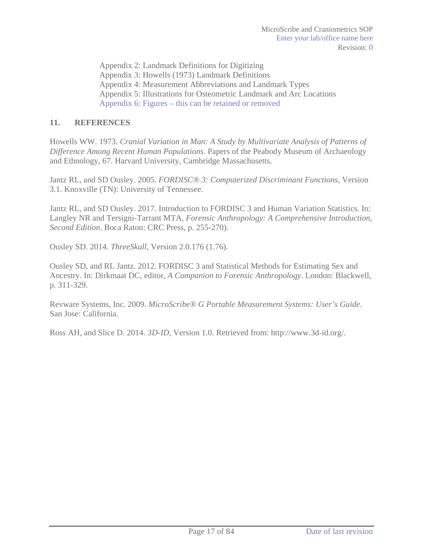Appendix 2: Landmark Definitions for Digitizing Appendix 3: Howells (1973) Landmark Definitions Appendix 4: Measurement Abbreviations and Landmark Types Appendix 5: Illustrations for Osteometric Landmark and Arc Locations Appendix 6: Figures – this can be retained or removed

## **11. REFERENCES**

Howells WW. 1973. *Cranial Variation in Man: A Study by Multivariate Analysis of Patterns of Difference Among Recent Human Populations*. Papers of the Peabody Museum of Archaeology and Ethnology, 67. Harvard University, Cambridge Massachusetts.

Jantz RL, and SD Ousley. 2005. *FORDISC® 3: Computerized Discriminant Functions*, Version 3.1. Knoxville (TN): University of Tennessee.

Jantz RL, and SD Ousley. 2017. Introduction to FORDISC 3 and Human Variation Statistics. In: Langley NR and Tersigni-Tarrant MTA, *Forensic Anthropology: A Comprehensive Introduction, Second Edition*. Boca Raton: CRC Press, p. 255-270).

Ousley SD. 2014. *ThreeSkull*, Version 2.0.176 (1.76).

Ousley SD, and RL Jantz. 2012. FORDISC 3 and Statistical Methods for Estimating Sex and Ancestry. In: Dirkmaat DC, editor, *A Companion to Forensic Anthropology*. London: Blackwell, p. 311-329.

Revware Systems, Inc. 2009. *MicroScribe® G Portable Measurement Systems: User's Guide*. San Jose: California.

Ross AH, and Slice D. 2014. *3D-ID*, Version 1.0. Retrieved from: http://www.3d-id.org/.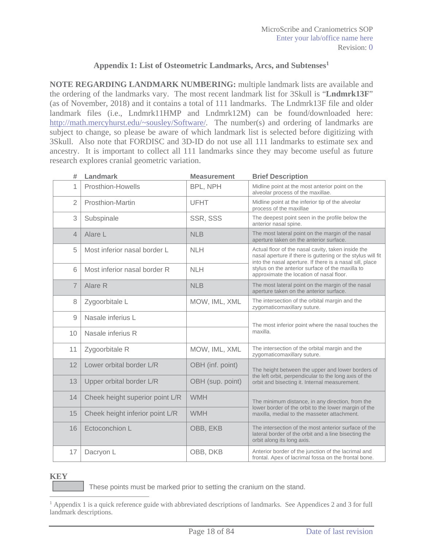### **Appendix 1: List of Osteometric Landmarks, Arcs, and Subtenses1**

**NOTE REGARDING LANDMARK NUMBERING:** multiple landmark lists are available and the ordering of the landmarks vary. The most recent landmark list for 3Skull is "**Lndmrk13F**" (as of November, 2018) and it contains a total of 111 landmarks. The Lndmrk13F file and older landmark files (i.e., Lndmrk11HMP and Lndmrk12M) can be found/downloaded here: http://math.mercyhurst.edu/~sousley/Software/. The number(s) and ordering of landmarks are subject to change, so please be aware of which landmark list is selected before digitizing with 3Skull. Also note that FORDISC and 3D-ID do not use all 111 landmarks to estimate sex and ancestry. It is important to collect all 111 landmarks since they may become useful as future research explores cranial geometric variation.

| #              | Landmark                        | <b>Measurement</b> | <b>Brief Description</b>                                                                                                                                                      |
|----------------|---------------------------------|--------------------|-------------------------------------------------------------------------------------------------------------------------------------------------------------------------------|
| 1              | Prosthion-Howells               | BPL, NPH           | Midline point at the most anterior point on the<br>alveolar process of the maxillae.                                                                                          |
| $\overline{2}$ | Prosthion-Martin                | <b>UFHT</b>        | Midline point at the inferior tip of the alveolar<br>process of the maxillae                                                                                                  |
| 3              | Subspinale                      | SSR, SSS           | The deepest point seen in the profile below the<br>anterior nasal spine.                                                                                                      |
| $\overline{4}$ | Alare L                         | <b>NLB</b>         | The most lateral point on the margin of the nasal<br>aperture taken on the anterior surface.                                                                                  |
| 5              | Most inferior nasal border L    | <b>NLH</b>         | Actual floor of the nasal cavity, taken inside the<br>nasal aperture if there is guttering or the stylus will fit<br>into the nasal aperture. If there is a nasal sill, place |
| 6              | Most inferior nasal border R    | <b>NLH</b>         | stylus on the anterior surface of the maxilla to<br>approximate the location of nasal floor.                                                                                  |
| $\overline{7}$ | Alare R                         | <b>NLB</b>         | The most lateral point on the margin of the nasal<br>aperture taken on the anterior surface.                                                                                  |
| 8              | Zygoorbitale L                  | MOW, IML, XML      | The intersection of the orbital margin and the<br>zygomaticomaxillary suture.                                                                                                 |
| 9              | Nasale inferius L               |                    | The most inferior point where the nasal touches the                                                                                                                           |
| 10             | Nasale inferius R               |                    | maxilla.                                                                                                                                                                      |
| 11             | Zygoorbitale R                  | MOW, IML, XML      | The intersection of the orbital margin and the<br>zygomaticomaxillary suture.                                                                                                 |
| 12             | Lower orbital border L/R        | OBH (inf. point)   | The height between the upper and lower borders of                                                                                                                             |
| 13             | Upper orbital border L/R        | OBH (sup. point)   | the left orbit, perpendicular to the long axis of the<br>orbit and bisecting it. Internal measurement.                                                                        |
| 14             | Cheek height superior point L/R | <b>WMH</b>         | The minimum distance, in any direction, from the                                                                                                                              |
| 15             | Cheek height inferior point L/R | <b>WMH</b>         | lower border of the orbit to the lower margin of the<br>maxilla, medial to the masseter attachment.                                                                           |
| 16             | Ectoconchion L                  | OBB, EKB           | The intersection of the most anterior surface of the<br>lateral border of the orbit and a line bisecting the<br>orbit along its long axis.                                    |
| 17             | Dacryon L                       | OBB, DKB           | Anterior border of the junction of the lacrimal and<br>frontal. Apex of lacrimal fossa on the frontal bone.                                                                   |

#### **KEY**

 $\overline{a}$ 

These points must be marked prior to setting the cranium on the stand.

<sup>&</sup>lt;sup>1</sup> Appendix 1 is a quick reference guide with abbreviated descriptions of landmarks. See Appendices 2 and 3 for full landmark descriptions.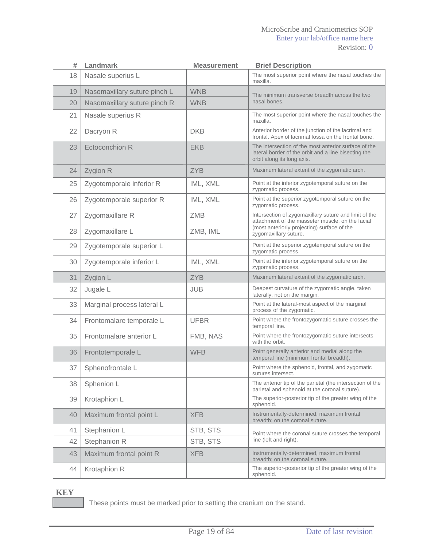#### MicroScribe and Craniometrics SOP Enter your lab/office name here Revision: 0

| #  | Landmark                     | <b>Measurement</b> | <b>Brief Description</b>                                                                                                                   |
|----|------------------------------|--------------------|--------------------------------------------------------------------------------------------------------------------------------------------|
| 18 | Nasale superius L            |                    | The most superior point where the nasal touches the<br>maxilla.                                                                            |
| 19 | Nasomaxillary suture pinch L | <b>WNB</b>         | The minimum transverse breadth across the two                                                                                              |
| 20 | Nasomaxillary suture pinch R | <b>WNB</b>         | nasal bones.                                                                                                                               |
| 21 | Nasale superius R            |                    | The most superior point where the nasal touches the<br>maxilla.                                                                            |
| 22 | Dacryon R                    | <b>DKB</b>         | Anterior border of the junction of the lacrimal and<br>frontal. Apex of lacrimal fossa on the frontal bone.                                |
| 23 | Ectoconchion R               | <b>EKB</b>         | The intersection of the most anterior surface of the<br>lateral border of the orbit and a line bisecting the<br>orbit along its long axis. |
| 24 | Zygion R                     | <b>ZYB</b>         | Maximum lateral extent of the zygomatic arch.                                                                                              |
| 25 | Zygotemporale inferior R     | IML, XML           | Point at the inferior zygotemporal suture on the<br>zygomatic process.                                                                     |
| 26 | Zygotemporale superior R     | IML, XML           | Point at the superior zygotemporal suture on the<br>zygomatic process.                                                                     |
| 27 | Zygomaxillare R              | ZMB                | Intersection of zygomaxillary suture and limit of the<br>attachment of the masseter muscle, on the facial                                  |
| 28 | Zygomaxillare L              | ZMB, IML           | (most anteriorly projecting) surface of the<br>zygomaxillary suture.                                                                       |
| 29 | Zygotemporale superior L     |                    | Point at the superior zygotemporal suture on the<br>zygomatic process.                                                                     |
| 30 | Zygotemporale inferior L     | IML, XML           | Point at the inferior zygotemporal suture on the<br>zygomatic process.                                                                     |
| 31 | Zygion L                     | <b>ZYB</b>         | Maximum lateral extent of the zygomatic arch.                                                                                              |
| 32 | Jugale L                     | <b>JUB</b>         | Deepest curvature of the zygomatic angle, taken<br>laterally, not on the margin.                                                           |
| 33 | Marginal process lateral L   |                    | Point at the lateral-most aspect of the marginal<br>process of the zygomatic.                                                              |
| 34 | Frontomalare temporale L     | <b>UFBR</b>        | Point where the frontozygomatic suture crosses the<br>temporal line.                                                                       |
| 35 | Frontomalare anterior L      | FMB, NAS           | Point where the frontozygomatic suture intersects<br>with the orbit.                                                                       |
| 36 | Frontotemporale L            | <b>WFB</b>         | Point generally anterior and medial along the<br>temporal line (minimum frontal breadth).                                                  |
| 37 | Sphenofrontale L             |                    | Point where the sphenoid, frontal, and zygomatic<br>sutures intersect.                                                                     |
| 38 | Sphenion L                   |                    | The anterior tip of the parietal (the intersection of the<br>parietal and sphenoid at the coronal suture).                                 |
| 39 | Krotaphion L                 |                    | The superior-posterior tip of the greater wing of the<br>sphenoid.                                                                         |
| 40 | Maximum frontal point L      | <b>XFB</b>         | Instrumentally-determined, maximum frontal<br>breadth; on the coronal suture.                                                              |
| 41 | Stephanion L                 | STB, STS           | Point where the coronal suture crosses the temporal                                                                                        |
| 42 | Stephanion R                 | STB, STS           | line (left and right).                                                                                                                     |
| 43 | Maximum frontal point R      | <b>XFB</b>         | Instrumentally-determined, maximum frontal<br>breadth; on the coronal suture.                                                              |
| 44 | Krotaphion R                 |                    | The superior-posterior tip of the greater wing of the<br>sphenoid.                                                                         |

 **KEY** 

These points must be marked prior to setting the cranium on the stand.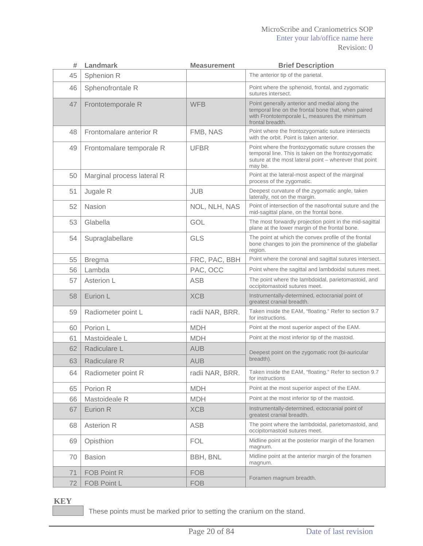#### MicroScribe and Craniometrics SOP Enter your lab/office name here Revision: 0

| #  | <b>Landmark</b>            | <b>Measurement</b> | <b>Brief Description</b>                                                                                                                                                       |
|----|----------------------------|--------------------|--------------------------------------------------------------------------------------------------------------------------------------------------------------------------------|
| 45 | Sphenion R                 |                    | The anterior tip of the parietal.                                                                                                                                              |
| 46 | Sphenofrontale R           |                    | Point where the sphenoid, frontal, and zygomatic<br>sutures intersect.                                                                                                         |
| 47 | Frontotemporale R          | <b>WFB</b>         | Point generally anterior and medial along the<br>temporal line on the frontal bone that, when paired<br>with Frontotemporale L, measures the minimum<br>frontal breadth.       |
| 48 | Frontomalare anterior R    | FMB, NAS           | Point where the frontozygomatic suture intersects<br>with the orbit. Point is taken anterior.                                                                                  |
| 49 | Frontomalare temporale R   | <b>UFBR</b>        | Point where the frontozygomatic suture crosses the<br>temporal line. This is taken on the frontozygomatic<br>suture at the most lateral point - wherever that point<br>may be. |
| 50 | Marginal process lateral R |                    | Point at the lateral-most aspect of the marginal<br>process of the zygomatic.                                                                                                  |
| 51 | Jugale R                   | <b>JUB</b>         | Deepest curvature of the zygomatic angle, taken<br>laterally, not on the margin.                                                                                               |
| 52 | Nasion                     | NOL, NLH, NAS      | Point of intersection of the nasofrontal suture and the<br>mid-sagittal plane, on the frontal bone.                                                                            |
| 53 | Glabella                   | GOL                | The most forwardly projection point in the mid-sagittal<br>plane at the lower margin of the frontal bone.                                                                      |
| 54 | Supraglabellare            | <b>GLS</b>         | The point at which the convex profile of the frontal<br>bone changes to join the prominence of the glabellar<br>region.                                                        |
| 55 | <b>Bregma</b>              | FRC, PAC, BBH      | Point where the coronal and sagittal sutures intersect.                                                                                                                        |
| 56 | Lambda                     | PAC, OCC           | Point where the sagittal and lambdoidal sutures meet.                                                                                                                          |
| 57 | Asterion L                 | <b>ASB</b>         | The point where the lambdoidal, parietomastoid, and<br>occipitomastoid sutures meet.                                                                                           |
| 58 | Eurion L                   | <b>XCB</b>         | Instrumentally-determined, ectocranial point of<br>greatest cranial breadth.                                                                                                   |
| 59 | Radiometer point L         | radii NAR, BRR.    | Taken inside the EAM, "floating." Refer to section 9.7<br>for instructions.                                                                                                    |
| 60 | Porion L                   | <b>MDH</b>         | Point at the most superior aspect of the EAM.                                                                                                                                  |
| 61 | Mastoideale L              | <b>MDH</b>         | Point at the most inferior tip of the mastoid.                                                                                                                                 |
| 62 | Radiculare L               | <b>AUB</b>         | Deepest point on the zygomatic root (bi-auricular                                                                                                                              |
| 63 | Radiculare R               | <b>AUB</b>         | breadth).                                                                                                                                                                      |
| 64 | Radiometer point R         | radii NAR, BRR.    | Taken inside the EAM, "floating." Refer to section 9.7<br>for instructions                                                                                                     |
| 65 | Porion R                   | <b>MDH</b>         | Point at the most superior aspect of the EAM.                                                                                                                                  |
| 66 | Mastoideale R              | <b>MDH</b>         | Point at the most inferior tip of the mastoid.                                                                                                                                 |
| 67 | Eurion R                   | <b>XCB</b>         | Instrumentally-determined, ectocranial point of<br>greatest cranial breadth.                                                                                                   |
| 68 | <b>Asterion R</b>          | <b>ASB</b>         | The point where the lambdoidal, parietomastoid, and<br>occipitomastoid sutures meet.                                                                                           |
| 69 | Opisthion                  | <b>FOL</b>         | Midline point at the posterior margin of the foramen<br>magnum.                                                                                                                |
| 70 | <b>Basion</b>              | BBH, BNL           | Midline point at the anterior margin of the foramen<br>magnum.                                                                                                                 |
| 71 | FOB Point R                | <b>FOB</b>         |                                                                                                                                                                                |
| 72 | FOB Point L                | <b>FOB</b>         | Foramen magnum breadth.                                                                                                                                                        |

 **KEY** 

These points must be marked prior to setting the cranium on the stand.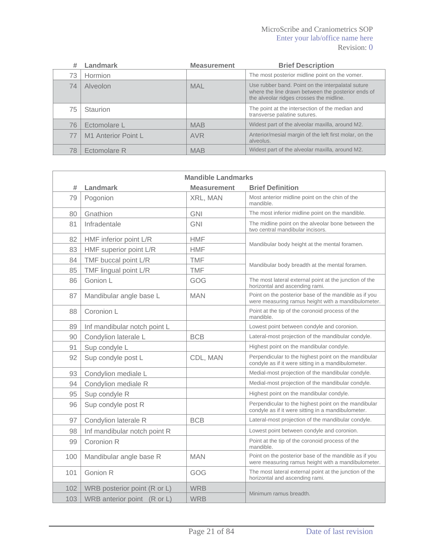### MicroScribe and Craniometrics SOP Enter your lab/office name here Revision: 0

|    | Landmark            | <b>Measurement</b> | <b>Brief Description</b>                                                                                                                            |
|----|---------------------|--------------------|-----------------------------------------------------------------------------------------------------------------------------------------------------|
| 73 | <b>Hormion</b>      |                    | The most posterior midline point on the vomer.                                                                                                      |
| 74 | Alveolon            | <b>MAL</b>         | Use rubber band. Point on the interpalatal suture<br>where the line drawn between the posterior ends of<br>the alveolar ridges crosses the midline. |
| 75 | <b>Staurion</b>     |                    | The point at the intersection of the median and<br>transverse palatine sutures.                                                                     |
| 76 | Ectomolare L        | <b>MAB</b>         | Widest part of the alveolar maxilla, around M2.                                                                                                     |
| 77 | M1 Anterior Point L | <b>AVR</b>         | Anterior/mesial margin of the left first molar, on the<br>alveolus.                                                                                 |
| 78 | Ectomolare R        | <b>MAB</b>         | Widest part of the alveolar maxilla, around M2.                                                                                                     |

| <b>Mandible Landmarks</b> |                              |                    |                                                                                                             |  |
|---------------------------|------------------------------|--------------------|-------------------------------------------------------------------------------------------------------------|--|
| #                         | Landmark                     | <b>Measurement</b> | <b>Brief Definition</b>                                                                                     |  |
| 79                        | Pogonion                     | XRL, MAN           | Most anterior midline point on the chin of the<br>mandible.                                                 |  |
| 80                        | Gnathion                     | <b>GNI</b>         | The most inferior midline point on the mandible.                                                            |  |
| 81                        | Infradentale                 | <b>GNI</b>         | The midline point on the alveolar bone between the<br>two central mandibular incisors.                      |  |
| 82                        | HMF inferior point L/R       | <b>HMF</b>         |                                                                                                             |  |
| 83                        | HMF superior point L/R       | <b>HMF</b>         | Mandibular body height at the mental foramen.                                                               |  |
| 84                        | TMF buccal point L/R         | <b>TMF</b>         |                                                                                                             |  |
| 85                        | TMF lingual point L/R        | <b>TMF</b>         | Mandibular body breadth at the mental foramen.                                                              |  |
| 86                        | Gonion L                     | GOG                | The most lateral external point at the junction of the<br>horizontal and ascending rami.                    |  |
| 87                        | Mandibular angle base L      | <b>MAN</b>         | Point on the posterior base of the mandible as if you<br>were measuring ramus height with a mandibulometer. |  |
| 88                        | Coronion L                   |                    | Point at the tip of the coronoid process of the<br>mandible.                                                |  |
| 89                        | Inf mandibular notch point L |                    | Lowest point between condyle and coronion.                                                                  |  |
| 90                        | Condylion laterale L         | <b>BCB</b>         | Lateral-most projection of the mandibular condyle.                                                          |  |
| 91                        | Sup condyle L                |                    | Highest point on the mandibular condyle.                                                                    |  |
| 92                        | Sup condyle post L           | CDL, MAN           | Perpendicular to the highest point on the mandibular<br>condyle as if it were sitting in a mandibulometer.  |  |
| 93                        | Condylion mediale L          |                    | Medial-most projection of the mandibular condyle.                                                           |  |
| 94                        | Condylion mediale R          |                    | Medial-most projection of the mandibular condyle.                                                           |  |
| 95                        | Sup condyle R                |                    | Highest point on the mandibular condyle.                                                                    |  |
| 96                        | Sup condyle post R           |                    | Perpendicular to the highest point on the mandibular<br>condyle as if it were sitting in a mandibulometer.  |  |
| 97                        | Condylion laterale R         | <b>BCB</b>         | Lateral-most projection of the mandibular condyle.                                                          |  |
| 98                        | Inf mandibular notch point R |                    | Lowest point between condyle and coronion.                                                                  |  |
| 99                        | Coronion R                   |                    | Point at the tip of the coronoid process of the<br>mandible.                                                |  |
| 100                       | Mandibular angle base R      | <b>MAN</b>         | Point on the posterior base of the mandible as if you<br>were measuring ramus height with a mandibulometer. |  |
| 101                       | Gonion R                     | GOG                | The most lateral external point at the junction of the<br>horizontal and ascending rami.                    |  |
| 102                       | WRB posterior point (R or L) | <b>WRB</b>         |                                                                                                             |  |
| 103                       | WRB anterior point (R or L)  | <b>WRB</b>         | Minimum ramus breadth.                                                                                      |  |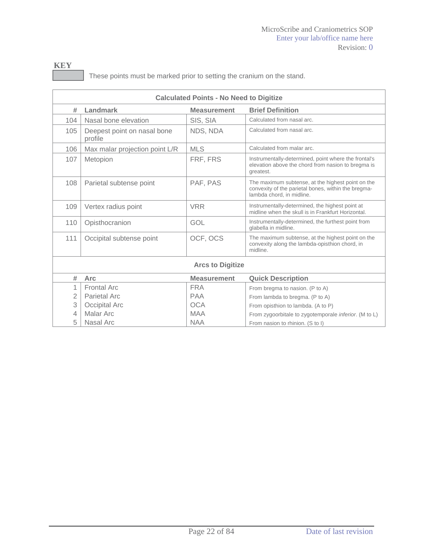| <b>KEY</b> |                                                                        |
|------------|------------------------------------------------------------------------|
|            | These points must be marked prior to setting the cranium on the stand. |

| <b>Calculated Points - No Need to Digitize</b> |                                        |                    |                                                                                                                                       |  |
|------------------------------------------------|----------------------------------------|--------------------|---------------------------------------------------------------------------------------------------------------------------------------|--|
| #                                              | Landmark                               | <b>Measurement</b> | <b>Brief Definition</b>                                                                                                               |  |
| 104                                            | Nasal bone elevation                   | SIS, SIA           | Calculated from nasal arc.                                                                                                            |  |
| 105                                            | Deepest point on nasal bone<br>profile | NDS, NDA           | Calculated from nasal arc.                                                                                                            |  |
| 106                                            | Max malar projection point L/R         | <b>MLS</b>         | Calculated from malar arc.                                                                                                            |  |
| 107                                            | Metopion                               | FRF, FRS           | Instrumentally-determined, point where the frontal's<br>elevation above the chord from nasion to bregma is<br>greatest.               |  |
| 108                                            | Parietal subtense point                | PAF, PAS           | The maximum subtense, at the highest point on the<br>convexity of the parietal bones, within the bregma-<br>lambda chord, in midline. |  |
| 109                                            | Vertex radius point                    | <b>VRR</b>         | Instrumentally-determined, the highest point at<br>midline when the skull is in Frankfurt Horizontal.                                 |  |
| 110                                            | Opisthocranion                         | GOL                | Instrumentally-determined, the furthest point from<br>glabella in midline.                                                            |  |
| 111                                            | Occipital subtense point               | OCF, OCS           | The maximum subtense, at the highest point on the<br>convexity along the lambda-opisthion chord, in<br>midline.                       |  |
| <b>Arcs to Digitize</b>                        |                                        |                    |                                                                                                                                       |  |
| #                                              | <b>Arc</b>                             | <b>Measurement</b> | <b>Quick Description</b>                                                                                                              |  |
| 1                                              | <b>Frontal Arc</b>                     | <b>FRA</b>         | From bregma to nasion. (P to A)                                                                                                       |  |
| $\overline{2}$                                 | Parietal Arc                           | <b>PAA</b>         | From lambda to bregma. (P to A)                                                                                                       |  |
| 3                                              | Occipital Arc                          | <b>OCA</b>         | From opisthion to lambda. (A to P)                                                                                                    |  |
| 4                                              | Malar Arc                              | <b>MAA</b>         | From zygoorbitale to zygotemporale <i>inferior</i> . (M to L)                                                                         |  |
| 5                                              | Nasal Arc                              | <b>NAA</b>         | From nasion to rhinion. (S to I)                                                                                                      |  |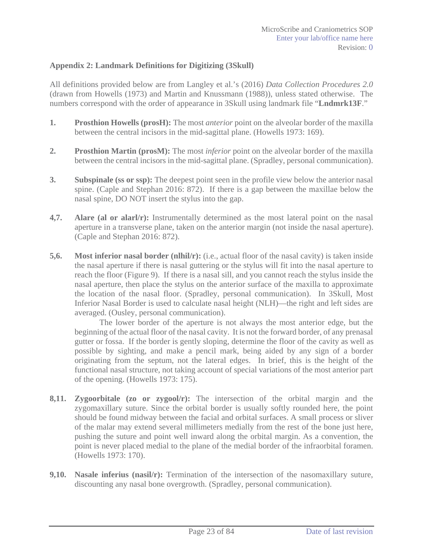### **Appendix 2: Landmark Definitions for Digitizing (3Skull)**

All definitions provided below are from Langley et al.'s (2016) *Data Collection Procedures 2.0* (drawn from Howells (1973) and Martin and Knussmann (1988)), unless stated otherwise. The numbers correspond with the order of appearance in 3Skull using landmark file "**Lndmrk13F**."

- **1.** Prosthion Howells (prosH): The most *anterior* point on the alveolar border of the maxilla between the central incisors in the mid-sagittal plane. (Howells 1973: 169).
- **2. Prosthion Martin (prosM):** The most *inferior* point on the alveolar border of the maxilla between the central incisors in the mid-sagittal plane. (Spradley, personal communication).
- **3. Subspinale (ss or ssp):** The deepest point seen in the profile view below the anterior nasal spine. (Caple and Stephan 2016: 872). If there is a gap between the maxillae below the nasal spine, DO NOT insert the stylus into the gap.
- **4,7. Alare (al or alarl/r):** Instrumentally determined as the most lateral point on the nasal aperture in a transverse plane, taken on the anterior margin (not inside the nasal aperture). (Caple and Stephan 2016: 872).
- **5,6.** Most inferior nasal border (nlhil/r): (i.e., actual floor of the nasal cavity) is taken inside the nasal aperture if there is nasal guttering or the stylus will fit into the nasal aperture to reach the floor (Figure 9). If there is a nasal sill, and you cannot reach the stylus inside the nasal aperture, then place the stylus on the anterior surface of the maxilla to approximate the location of the nasal floor. (Spradley, personal communication). In 3Skull, Most Inferior Nasal Border is used to calculate nasal height (NLH)—the right and left sides are averaged. (Ousley, personal communication).

The lower border of the aperture is not always the most anterior edge, but the beginning of the actual floor of the nasal cavity. It is not the forward border, of any prenasal gutter or fossa. If the border is gently sloping, determine the floor of the cavity as well as possible by sighting, and make a pencil mark, being aided by any sign of a border originating from the septum, not the lateral edges. In brief, this is the height of the functional nasal structure, not taking account of special variations of the most anterior part of the opening. (Howells 1973: 175).

- **8,11. Zygoorbitale (zo or zygool/r):** The intersection of the orbital margin and the zygomaxillary suture. Since the orbital border is usually softly rounded here, the point should be found midway between the facial and orbital surfaces. A small process or sliver of the malar may extend several millimeters medially from the rest of the bone just here, pushing the suture and point well inward along the orbital margin. As a convention, the point is never placed medial to the plane of the medial border of the infraorbital foramen. (Howells 1973: 170).
- **9,10.** Nasale inferius (nasil/r): Termination of the intersection of the nasomaxillary suture, discounting any nasal bone overgrowth. (Spradley, personal communication).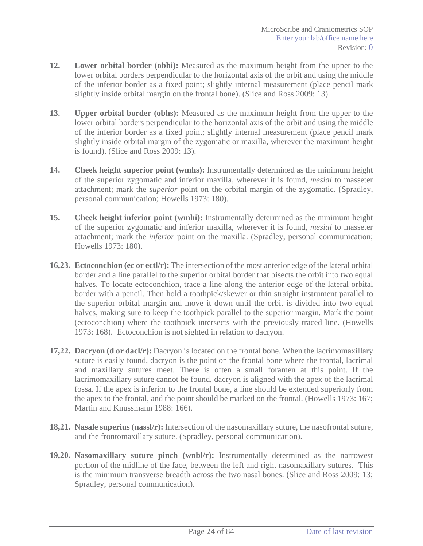- **12. Lower orbital border (obhi):** Measured as the maximum height from the upper to the lower orbital borders perpendicular to the horizontal axis of the orbit and using the middle of the inferior border as a fixed point; slightly internal measurement (place pencil mark slightly inside orbital margin on the frontal bone). (Slice and Ross 2009: 13).
- **13. Upper orbital border (obhs):** Measured as the maximum height from the upper to the lower orbital borders perpendicular to the horizontal axis of the orbit and using the middle of the inferior border as a fixed point; slightly internal measurement (place pencil mark slightly inside orbital margin of the zygomatic or maxilla, wherever the maximum height is found). (Slice and Ross 2009: 13).
- **14. Cheek height superior point (wmhs):** Instrumentally determined as the minimum height of the superior zygomatic and inferior maxilla, wherever it is found, *mesial* to masseter attachment; mark the *superior* point on the orbital margin of the zygomatic. (Spradley, personal communication; Howells 1973: 180).
- **15. Cheek height inferior point (wmhi):** Instrumentally determined as the minimum height of the superior zygomatic and inferior maxilla, wherever it is found, *mesial* to masseter attachment; mark the *inferior* point on the maxilla. (Spradley, personal communication; Howells 1973: 180).
- **16,23. Ectoconchion (ec or ectl/r):** The intersection of the most anterior edge of the lateral orbital border and a line parallel to the superior orbital border that bisects the orbit into two equal halves. To locate ectoconchion, trace a line along the anterior edge of the lateral orbital border with a pencil. Then hold a toothpick/skewer or thin straight instrument parallel to the superior orbital margin and move it down until the orbit is divided into two equal halves, making sure to keep the toothpick parallel to the superior margin. Mark the point (ectoconchion) where the toothpick intersects with the previously traced line. (Howells 1973: 168). Ectoconchion is not sighted in relation to dacryon.
- **17,22. Dacryon (d or dacl/r):** Dacryon is located on the frontal bone. When the lacrimomaxillary suture is easily found, dacryon is the point on the frontal bone where the frontal, lacrimal and maxillary sutures meet. There is often a small foramen at this point. If the lacrimomaxillary suture cannot be found, dacryon is aligned with the apex of the lacrimal fossa. If the apex is inferior to the frontal bone, a line should be extended superiorly from the apex to the frontal, and the point should be marked on the frontal. (Howells 1973: 167; Martin and Knussmann 1988: 166).
- **18,21. Nasale superius (nassl/r):** Intersection of the nasomaxillary suture, the nasofrontal suture, and the frontomaxillary suture. (Spradley, personal communication).
- **19,20. Nasomaxillary suture pinch (wnbl/r):** Instrumentally determined as the narrowest portion of the midline of the face, between the left and right nasomaxillary sutures. This is the minimum transverse breadth across the two nasal bones. (Slice and Ross 2009: 13; Spradley, personal communication).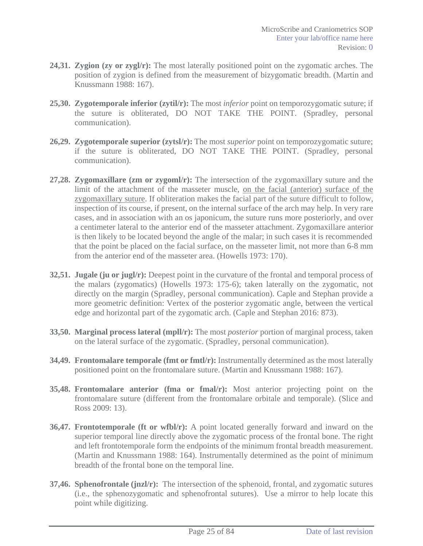- **24,31. Zygion (zy or zygl/r):** The most laterally positioned point on the zygomatic arches. The position of zygion is defined from the measurement of bizygomatic breadth. (Martin and Knussmann 1988: 167).
- **25,30. Zygotemporale inferior (zytil/r):** The most *inferior* point on temporozygomatic suture; if the suture is obliterated, DO NOT TAKE THE POINT. (Spradley, personal communication).
- **26,29. Zygotemporale superior (zytsl/r):** The most *superior* point on temporozygomatic suture; if the suture is obliterated, DO NOT TAKE THE POINT. (Spradley, personal communication).
- **27,28. Zygomaxillare (zm or zygoml/r):** The intersection of the zygomaxillary suture and the limit of the attachment of the masseter muscle, on the facial (anterior) surface of the zygomaxillary suture. If obliteration makes the facial part of the suture difficult to follow, inspection of its course, if present, on the internal surface of the arch may help. In very rare cases, and in association with an os japonicum, the suture runs more posteriorly, and over a centimeter lateral to the anterior end of the masseter attachment. Zygomaxillare anterior is then likely to be located beyond the angle of the malar; in such cases it is recommended that the point be placed on the facial surface, on the masseter limit, not more than 6-8 mm from the anterior end of the masseter area. (Howells 1973: 170).
- **32,51. Jugale (ju or jugl/r):** Deepest point in the curvature of the frontal and temporal process of the malars (zygomatics) (Howells 1973: 175-6); taken laterally on the zygomatic, not directly on the margin (Spradley, personal communication). Caple and Stephan provide a more geometric definition: Vertex of the posterior zygomatic angle, between the vertical edge and horizontal part of the zygomatic arch. (Caple and Stephan 2016: 873).
- **33,50. Marginal process lateral (mpll/r):** The most *posterior* portion of marginal process, taken on the lateral surface of the zygomatic. (Spradley, personal communication).
- **34,49. Frontomalare temporale (fmt or fmtl/r):** Instrumentally determined as the most laterally positioned point on the frontomalare suture. (Martin and Knussmann 1988: 167).
- **35,48. Frontomalare anterior (fma or fmal/r):** Most anterior projecting point on the frontomalare suture (different from the frontomalare orbitale and temporale). (Slice and Ross 2009: 13).
- **36,47. Frontotemporale (ft or wfbl/r):** A point located generally forward and inward on the superior temporal line directly above the zygomatic process of the frontal bone. The right and left frontotemporale form the endpoints of the minimum frontal breadth measurement. (Martin and Knussmann 1988: 164). Instrumentally determined as the point of minimum breadth of the frontal bone on the temporal line.
- **37,46. Sphenofrontale (jnzl/r):** The intersection of the sphenoid, frontal, and zygomatic sutures (i.e., the sphenozygomatic and sphenofrontal sutures). Use a mirror to help locate this point while digitizing.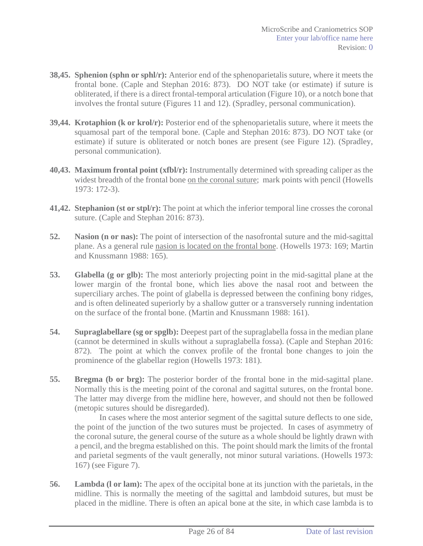- **38,45. Sphenion (sphn or sphl/r):** Anterior end of the sphenoparietalis suture, where it meets the frontal bone. (Caple and Stephan 2016: 873). DO NOT take (or estimate) if suture is obliterated, if there is a direct frontal-temporal articulation (Figure 10), or a notch bone that involves the frontal suture (Figures 11 and 12). (Spradley, personal communication).
- **39,44. Krotaphion (k or krol/r):** Posterior end of the sphenoparietalis suture, where it meets the squamosal part of the temporal bone. (Caple and Stephan 2016: 873). DO NOT take (or estimate) if suture is obliterated or notch bones are present (see Figure 12). (Spradley, personal communication).
- **40,43. Maximum frontal point (xfbl/r):** Instrumentally determined with spreading caliper as the widest breadth of the frontal bone on the coronal suture; mark points with pencil (Howells 1973: 172-3).
- **41,42. Stephanion (st or stpl/r):** The point at which the inferior temporal line crosses the coronal suture. (Caple and Stephan 2016: 873).
- **52. Nasion (n or nas):** The point of intersection of the nasofrontal suture and the mid-sagittal plane. As a general rule nasion is located on the frontal bone. (Howells 1973: 169; Martin and Knussmann 1988: 165).
- **53. Glabella (g or glb):** The most anteriorly projecting point in the mid-sagittal plane at the lower margin of the frontal bone, which lies above the nasal root and between the superciliary arches. The point of glabella is depressed between the confining bony ridges, and is often delineated superiorly by a shallow gutter or a transversely running indentation on the surface of the frontal bone. (Martin and Knussmann 1988: 161).
- **54. Supraglabellare (sg or spglb):** Deepest part of the supraglabella fossa in the median plane (cannot be determined in skulls without a supraglabella fossa). (Caple and Stephan 2016: 872). The point at which the convex profile of the frontal bone changes to join the prominence of the glabellar region (Howells 1973: 181).
- **55. Bregma (b or brg):** The posterior border of the frontal bone in the mid-sagittal plane. Normally this is the meeting point of the coronal and sagittal sutures, on the frontal bone. The latter may diverge from the midline here, however, and should not then be followed (metopic sutures should be disregarded).

In cases where the most anterior segment of the sagittal suture deflects to one side, the point of the junction of the two sutures must be projected. In cases of asymmetry of the coronal suture, the general course of the suture as a whole should be lightly drawn with a pencil, and the bregma established on this. The point should mark the limits of the frontal and parietal segments of the vault generally, not minor sutural variations. (Howells 1973: 167) (see Figure 7).

**56. Lambda (l or lam):** The apex of the occipital bone at its junction with the parietals, in the midline. This is normally the meeting of the sagittal and lambdoid sutures, but must be placed in the midline. There is often an apical bone at the site, in which case lambda is to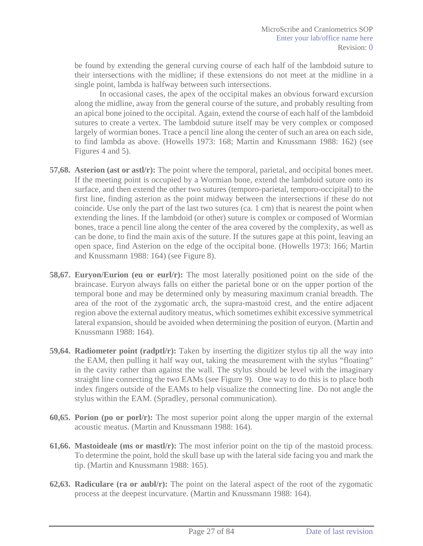be found by extending the general curving course of each half of the lambdoid suture to their intersections with the midline; if these extensions do not meet at the midline in a single point, lambda is halfway between such intersections.

In occasional cases, the apex of the occipital makes an obvious forward excursion along the midline, away from the general course of the suture, and probably resulting from an apical bone joined to the occipital. Again, extend the course of each half of the lambdoid sutures to create a vertex. The lambdoid suture itself may be very complex or composed largely of wormian bones. Trace a pencil line along the center of such an area on each side, to find lambda as above. (Howells 1973: 168; Martin and Knussmann 1988: 162) (see Figures 4 and 5).

- **57,68. Asterion (ast or astl/r):** The point where the temporal, parietal, and occipital bones meet. If the meeting point is occupied by a Wormian bone, extend the lambdoid suture onto its surface, and then extend the other two sutures (temporo-parietal, temporo-occipital) to the first line, finding asterion as the point midway between the intersections if these do not coincide. Use only the part of the last two sutures (ca. 1 cm) that is nearest the point when extending the lines. If the lambdoid (or other) suture is complex or composed of Wormian bones, trace a pencil line along the center of the area covered by the complexity, as well as can be done, to find the main axis of the suture. If the sutures gape at this point, leaving an open space, find Asterion on the edge of the occipital bone. (Howells 1973: 166; Martin and Knussmann 1988: 164) (see Figure 8).
- **58,67. Euryon/Eurion (eu or eurl/r):** The most laterally positioned point on the side of the braincase. Euryon always falls on either the parietal bone or on the upper portion of the temporal bone and may be determined only by measuring maximum cranial breadth. The area of the root of the zygomatic arch, the supra-mastoid crest, and the entire adjacent region above the external auditory meatus, which sometimes exhibit excessive symmetrical lateral expansion, should be avoided when determining the position of euryon. (Martin and Knussmann 1988: 164).
- **59,64. Radiometer point (radptl/r):** Taken by inserting the digitizer stylus tip all the way into the EAM, then pulling it half way out, taking the measurement with the stylus "floating" in the cavity rather than against the wall. The stylus should be level with the imaginary straight line connecting the two EAMs (see Figure 9). One way to do this is to place both index fingers outside of the EAMs to help visualize the connecting line. Do not angle the stylus within the EAM. (Spradley, personal communication).
- **60,65. Porion (po or porl/r):** The most superior point along the upper margin of the external acoustic meatus. (Martin and Knussmann 1988: 164).
- **61,66. Mastoideale (ms or mastl/r):** The most inferior point on the tip of the mastoid process. To determine the point, hold the skull base up with the lateral side facing you and mark the tip. (Martin and Knussmann 1988: 165).
- **62,63. Radiculare (ra or aubl/r):** The point on the lateral aspect of the root of the zygomatic process at the deepest incurvature. (Martin and Knussmann 1988: 164).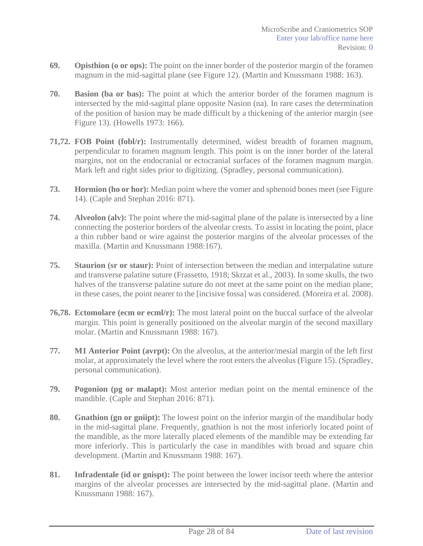- **69. Opisthion (o or ops):** The point on the inner border of the posterior margin of the foramen magnum in the mid-sagittal plane (see Figure 12). (Martin and Knussmann 1988: 163).
- **70. Basion (ba or bas):** The point at which the anterior border of the foramen magnum is intersected by the mid-sagittal plane opposite Nasion (na). In rare cases the determination of the position of basion may be made difficult by a thickening of the anterior margin (see Figure 13). (Howells 1973: 166).
- **71,72. FOB Point (fobl/r):** Instrumentally determined, widest breadth of foramen magnum, perpendicular to foramen magnum length. This point is on the inner border of the lateral margins, not on the endocranial or ectocranial surfaces of the foramen magnum margin. Mark left and right sides prior to digitizing. (Spradley, personal communication).
- **73. Hormion (ho or hor):** Median point where the vomer and sphenoid bones meet (see Figure 14). (Caple and Stephan 2016: 871).
- **74. Alveolon (alv):** The point where the mid-sagittal plane of the palate is intersected by a line connecting the posterior borders of the alveolar crests. To assist in locating the point, place a thin rubber band or wire against the posterior margins of the alveolar processes of the maxilla. (Martin and Knussmann 1988:167).
- **75. Staurion (sr or staur):** Point of intersection between the median and interpalatine suture and transverse palatine suture (Frassetto, 1918; Skrzat et al., 2003). In some skulls, the two halves of the transverse palatine suture do not meet at the same point on the median plane; in these cases, the point nearer to the [incisive fossa] was considered. (Moreira et al. 2008).
- **76,78. Ectomolare (ecm or ecml/r):** The most lateral point on the buccal surface of the alveolar margin. This point is generally positioned on the alveolar margin of the second maxillary molar. (Martin and Knussmann 1988: 167).
- **77. M1 Anterior Point (avrpt):** On the alveolus, at the anterior/mesial margin of the left first molar, at approximately the level where the root enters the alveolus (Figure 15). (Spradley, personal communication).
- **79. Pogonion (pg or malapt):** Most anterior median point on the mental eminence of the mandible. (Caple and Stephan 2016: 871).
- **80. Gnathion (gn or gniipt):** The lowest point on the inferior margin of the mandibular body in the mid-sagittal plane. Frequently, gnathion is not the most inferiorly located point of the mandible, as the more laterally placed elements of the mandible may be extending far more inferiorly. This is particularly the case in mandibles with broad and square chin development. (Martin and Knussmann 1988: 167).
- **81. Infradentale (id or gnispt):** The point between the lower incisor teeth where the anterior margins of the alveolar processes are intersected by the mid-sagittal plane. (Martin and Knussmann 1988: 167).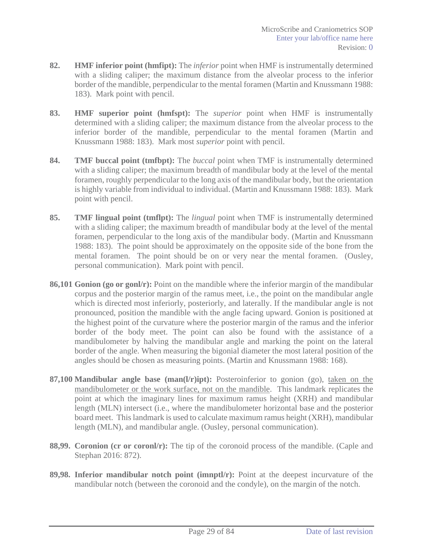- **82. HMF inferior point (hmfipt):** The *inferior* point when HMF is instrumentally determined with a sliding caliper; the maximum distance from the alveolar process to the inferior border of the mandible, perpendicular to the mental foramen (Martin and Knussmann 1988: 183). Mark point with pencil.
- **83. HMF superior point (hmfspt):** The *superior* point when HMF is instrumentally determined with a sliding caliper; the maximum distance from the alveolar process to the inferior border of the mandible, perpendicular to the mental foramen (Martin and Knussmann 1988: 183). Mark most *superior* point with pencil.
- **84. TMF buccal point (tmfbpt):** The *buccal* point when TMF is instrumentally determined with a sliding caliper; the maximum breadth of mandibular body at the level of the mental foramen, roughly perpendicular to the long axis of the mandibular body, but the orientation is highly variable from individual to individual. (Martin and Knussmann 1988: 183). Mark point with pencil.
- **85. TMF lingual point (tmflpt):** The *lingual* point when TMF is instrumentally determined with a sliding caliper; the maximum breadth of mandibular body at the level of the mental foramen, perpendicular to the long axis of the mandibular body. (Martin and Knussmann 1988: 183). The point should be approximately on the opposite side of the bone from the mental foramen. The point should be on or very near the mental foramen. (Ousley, personal communication). Mark point with pencil.
- **86,101 Gonion (go or gonl/r):** Point on the mandible where the inferior margin of the mandibular corpus and the posterior margin of the ramus meet, i.e., the point on the mandibular angle which is directed most inferiorly, posteriorly, and laterally. If the mandibular angle is not pronounced, position the mandible with the angle facing upward. Gonion is positioned at the highest point of the curvature where the posterior margin of the ramus and the inferior border of the body meet. The point can also be found with the assistance of a mandibulometer by halving the mandibular angle and marking the point on the lateral border of the angle. When measuring the bigonial diameter the most lateral position of the angles should be chosen as measuring points. (Martin and Knussmann 1988: 168).
- **87,100 Mandibular angle base (man(l/r)ipt):** Posteroinferior to gonion (go), taken on the mandibulometer or the work surface, not on the mandible. This landmark replicates the point at which the imaginary lines for maximum ramus height (XRH) and mandibular length (MLN) intersect (i.e., where the mandibulometer horizontal base and the posterior board meet. This landmark is used to calculate maximum ramus height (XRH), mandibular length (MLN), and mandibular angle. (Ousley, personal communication).
- **88,99. Coronion (cr or coronl/r):** The tip of the coronoid process of the mandible. (Caple and Stephan 2016: 872).
- **89,98. Inferior mandibular notch point (imnptl/r):** Point at the deepest incurvature of the mandibular notch (between the coronoid and the condyle), on the margin of the notch.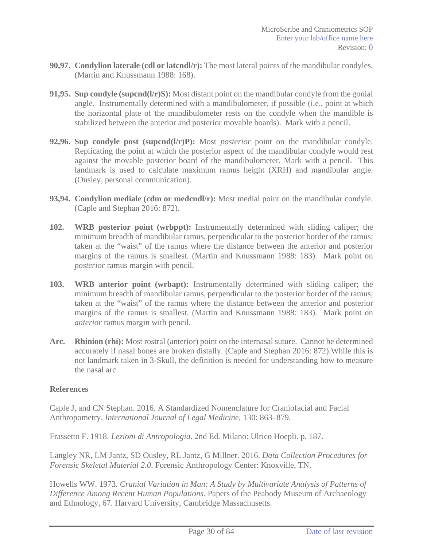- **90,97. Condylion laterale (cdl or latcndl/r):** The most lateral points of the mandibular condyles. (Martin and Knussmann 1988: 168).
- **91,95. Sup condyle (supcnd(l/r)S):** Most distant point on the mandibular condyle from the gonial angle. Instrumentally determined with a mandibulometer, if possible (i.e., point at which the horizontal plate of the mandibulometer rests on the condyle when the mandible is stabilized between the anterior and posterior movable boards). Mark with a pencil.
- **92,96. Sup condyle post (supcnd(l/r)P):** Most *posterior* point on the mandibular condyle. Replicating the point at which the posterior aspect of the mandibular condyle would rest against the movable posterior board of the mandibulometer. Mark with a pencil. This landmark is used to calculate maximum ramus height (XRH) and mandibular angle. (Ousley, personal communication).
- **93,94. Condylion mediale (cdm or medcndl/r):** Most medial point on the mandibular condyle. (Caple and Stephan 2016: 872).
- **102. WRB posterior point (wrbppt):** Instrumentally determined with sliding caliper; the minimum breadth of mandibular ramus, perpendicular to the posterior border of the ramus; taken at the "waist" of the ramus where the distance between the anterior and posterior margins of the ramus is smallest. (Martin and Knussmann 1988: 183). Mark point on *posterior* ramus margin with pencil.
- **103. WRB anterior point (wrbapt):** Instrumentally determined with sliding caliper; the minimum breadth of mandibular ramus, perpendicular to the posterior border of the ramus; taken at the "waist" of the ramus where the distance between the anterior and posterior margins of the ramus is smallest. (Martin and Knussmann 1988: 183). Mark point on *anterior* ramus margin with pencil.
- **Arc. Rhinion (rhi):** Most rostral (anterior) point on the internasal suture. Cannot be determined accurately if nasal bones are broken distally. (Caple and Stephan 2016: 872).While this is not landmark taken in 3-Skull, the definition is needed for understanding how to measure the nasal arc.

### **References**

Caple J, and CN Stephan. 2016. A Standardized Nomenclature for Craniofacial and Facial Anthropometry. *International Journal of Legal Medicine*, 130: 863–879.

Frassetto F. 1918. *Lezioni di Antropologia*. 2nd Ed. Milano: Ulrico Hoepli. p. 187.

Langley NR, LM Jantz, SD Ousley, RL Jantz, G Millner. 2016. *Data Collection Procedures for Forensic Skeletal Material 2.0*. Forensic Anthropology Center: Knoxville, TN.

Howells WW. 1973. *Cranial Variation in Man: A Study by Multivariate Analysis of Patterns of Difference Among Recent Human Populations*. Papers of the Peabody Museum of Archaeology and Ethnology, 67. Harvard University, Cambridge Massachusetts.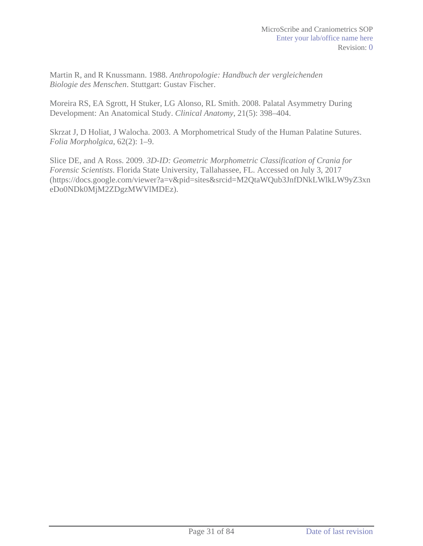Martin R, and R Knussmann. 1988. *Anthropologie: Handbuch der vergleichenden Biologie des Menschen*. Stuttgart: Gustav Fischer.

Moreira RS, EA Sgrott, H Stuker, LG Alonso, RL Smith. 2008. Palatal Asymmetry During Development: An Anatomical Study. *Clinical Anatomy*, 21(5): 398–404.

Skrzat J, D Holiat, J Walocha. 2003. A Morphometrical Study of the Human Palatine Sutures. *Folia Morpholgica*, 62(2): 1–9.

Slice DE, and A Ross. 2009. *3D-ID: Geometric Morphometric Classification of Crania for Forensic Scientists*. Florida State University, Tallahassee, FL. Accessed on July 3, 2017 (https://docs.google.com/viewer?a=v&pid=sites&srcid=M2QtaWQub3JnfDNkLWlkLW9yZ3xn eDo0NDk0MjM2ZDgzMWVlMDEz).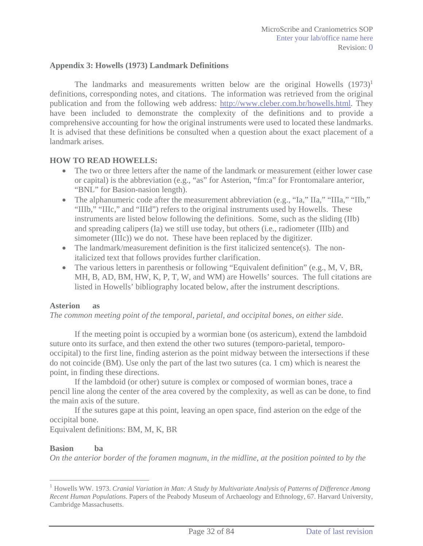#### **Appendix 3: Howells (1973) Landmark Definitions**

The landmarks and measurements written below are the original Howells  $(1973)^1$ definitions, corresponding notes, and citations. The information was retrieved from the original publication and from the following web address: http://www.cleber.com.br/howells.html. They have been included to demonstrate the complexity of the definitions and to provide a comprehensive accounting for how the original instruments were used to located these landmarks. It is advised that these definitions be consulted when a question about the exact placement of a landmark arises.

#### **HOW TO READ HOWELLS:**

- The two or three letters after the name of the landmark or measurement (either lower case or capital) is the abbreviation (e.g., "as" for Asterion, "fm:a" for Frontomalare anterior, "BNL" for Basion-nasion length).
- The alphanumeric code after the measurement abbreviation (e.g., "Ia," IIa," "IIIa," "IIb," "IIIb," "IIIc," and "IIId") refers to the original instruments used by Howells. These instruments are listed below following the definitions. Some, such as the sliding (IIb) and spreading calipers (Ia) we still use today, but others (i.e., radiometer (IIIb) and simometer (IIIc)) we do not. These have been replaced by the digitizer.
- $\bullet$  The landmark/measurement definition is the first italicized sentence(s). The nonitalicized text that follows provides further clarification.
- $\bullet$  The various letters in parenthesis or following "Equivalent definition" (e.g., M, V, BR, MH, B, AD, BM, HW, K, P, T, W, and WM) are Howells' sources. The full citations are listed in Howells' bibliography located below, after the instrument descriptions.

#### **Asterion as**

*The common meeting point of the temporal, parietal, and occipital bones, on either side*.

 If the meeting point is occupied by a wormian bone (os astericum), extend the lambdoid suture onto its surface, and then extend the other two sutures (temporo-parietal, temporooccipital) to the first line, finding asterion as the point midway between the intersections if these do not coincide (BM). Use only the part of the last two sutures (ca. 1 cm) which is nearest the point, in finding these directions.

 If the lambdoid (or other) suture is complex or composed of wormian bones, trace a pencil line along the center of the area covered by the complexity, as well as can be done, to find the main axis of the suture.

 If the sutures gape at this point, leaving an open space, find asterion on the edge of the occipital bone.

Equivalent definitions: BM, M, K, BR

#### **Basion ba**

 $\overline{a}$ 

*On the anterior border of the foramen magnum, in the midline, at the position pointed to by the* 

<sup>1</sup> Howells WW. 1973. *Cranial Variation in Man: A Study by Multivariate Analysis of Patterns of Difference Among Recent Human Populations*. Papers of the Peabody Museum of Archaeology and Ethnology, 67. Harvard University, Cambridge Massachusetts.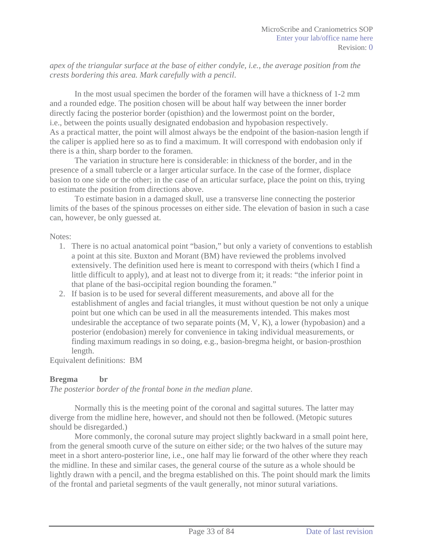*apex of the triangular surface at the base of either condyle, i.e., the average position from the crests bordering this area. Mark carefully with a pencil*.

 In the most usual specimen the border of the foramen will have a thickness of 1-2 mm and a rounded edge. The position chosen will be about half way between the inner border directly facing the posterior border (opisthion) and the lowermost point on the border, i.e., between the points usually designated endobasion and hypobasion respectively. As a practical matter, the point will almost always be the endpoint of the basion-nasion length if the caliper is applied here so as to find a maximum. It will correspond with endobasion only if there is a thin, sharp border to the foramen.

The variation in structure here is considerable: in thickness of the border, and in the presence of a small tubercle or a larger articular surface. In the case of the former, displace basion to one side or the other; in the case of an articular surface, place the point on this, trying to estimate the position from directions above.

To estimate basion in a damaged skull, use a transverse line connecting the posterior limits of the bases of the spinous processes on either side. The elevation of basion in such a case can, however, be only guessed at.

Notes:

- 1. There is no actual anatomical point "basion," but only a variety of conventions to establish a point at this site. Buxton and Morant (BM) have reviewed the problems involved extensively. The definition used here is meant to correspond with theirs (which I find a little difficult to apply), and at least not to diverge from it; it reads: "the inferior point in that plane of the basi-occipital region bounding the foramen."
- 2. If basion is to be used for several different measurements, and above all for the establishment of angles and facial triangles, it must without question be not only a unique point but one which can be used in all the measurements intended. This makes most undesirable the acceptance of two separate points (M, V, K), a lower (hypobasion) and a posterior (endobasion) merely for convenience in taking individual measurements, or finding maximum readings in so doing, e.g., basion-bregma height, or basion-prosthion length.

Equivalent definitions: BM

### **Bregma br**

*The posterior border of the frontal bone in the median plane*.

Normally this is the meeting point of the coronal and sagittal sutures. The latter may diverge from the midline here, however, and should not then be followed. (Metopic sutures should be disregarded.)

More commonly, the coronal suture may project slightly backward in a small point here, from the general smooth curve of the suture on either side; or the two halves of the suture may meet in a short antero-posterior line, i.e., one half may lie forward of the other where they reach the midline. In these and similar cases, the general course of the suture as a whole should be lightly drawn with a pencil, and the bregma established on this. The point should mark the limits of the frontal and parietal segments of the vault generally, not minor sutural variations.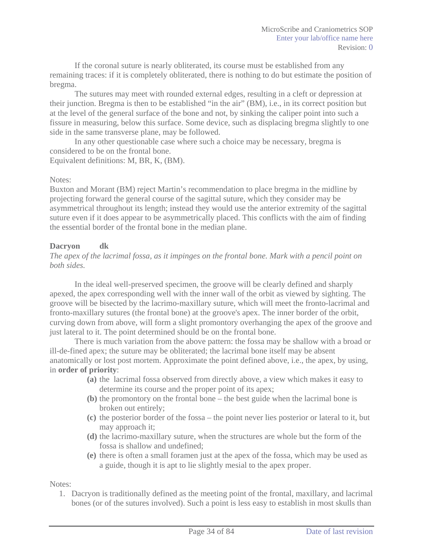If the coronal suture is nearly obliterated, its course must be established from any remaining traces: if it is completely obliterated, there is nothing to do but estimate the position of bregma.

The sutures may meet with rounded external edges, resulting in a cleft or depression at their junction. Bregma is then to be established "in the air" (BM), i.e., in its correct position but at the level of the general surface of the bone and not, by sinking the caliper point into such a fissure in measuring, below this surface. Some device, such as displacing bregma slightly to one side in the same transverse plane, may be followed.

In any other questionable case where such a choice may be necessary, bregma is considered to be on the frontal bone.

Equivalent definitions: M, BR, K, (BM).

#### Notes:

Buxton and Morant (BM) reject Martin's recommendation to place bregma in the midline by projecting forward the general course of the sagittal suture, which they consider may be asymmetrical throughout its length; instead they would use the anterior extremity of the sagittal suture even if it does appear to be asymmetrically placed. This conflicts with the aim of finding the essential border of the frontal bone in the median plane.

## **Dacryon dk**

*The apex of the lacrimal fossa, as it impinges on the frontal bone. Mark with a pencil point on both sides.*

In the ideal well-preserved specimen, the groove will be clearly defined and sharply apexed, the apex corresponding well with the inner wall of the orbit as viewed by sighting. The groove will be bisected by the lacrimo-maxillary suture, which will meet the fronto-lacrimal and fronto-maxillary sutures (the frontal bone) at the groove's apex. The inner border of the orbit, curving down from above, will form a slight promontory overhanging the apex of the groove and just lateral to it. The point determined should be on the frontal bone.

There is much variation from the above pattern: the fossa may be shallow with a broad or ill-de-fined apex; the suture may be obliterated; the lacrimal bone itself may be absent anatomically or lost post mortem. Approximate the point defined above, i.e., the apex, by using, in **order of priority**:

- **(a)** the lacrimal fossa observed from directly above, a view which makes it easy to determine its course and the proper point of its apex;
- **(b)** the promontory on the frontal bone the best guide when the lacrimal bone is broken out entirely;
- **(c)** the posterior border of the fossa the point never lies posterior or lateral to it, but may approach it;
- **(d)** the lacrimo-maxillary suture, when the structures are whole but the form of the fossa is shallow and undefined;
- **(e)** there is often a small foramen just at the apex of the fossa, which may be used as a guide, though it is apt to lie slightly mesial to the apex proper.

Notes:

1. Dacryon is traditionally defined as the meeting point of the frontal, maxillary, and lacrimal bones (or of the sutures involved). Such a point is less easy to establish in most skulls than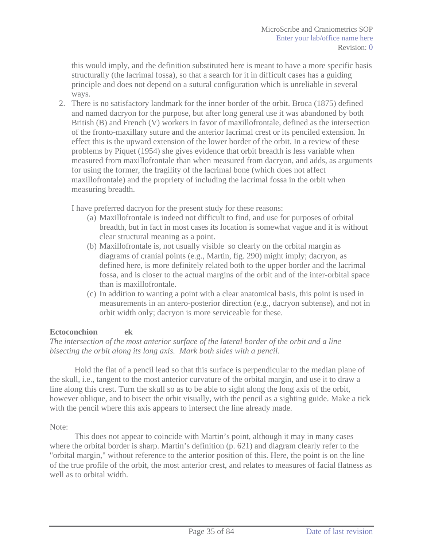this would imply, and the definition substituted here is meant to have a more specific basis structurally (the lacrimal fossa), so that a search for it in difficult cases has a guiding principle and does not depend on a sutural configuration which is unreliable in several ways.

2. There is no satisfactory landmark for the inner border of the orbit. Broca (1875) defined and named dacryon for the purpose, but after long general use it was abandoned by both British (B) and French (V) workers in favor of maxillofrontale, defined as the intersection of the fronto-maxillary suture and the anterior lacrimal crest or its penciled extension. In effect this is the upward extension of the lower border of the orbit. In a review of these problems by Piquet (1954) she gives evidence that orbit breadth is less variable when measured from maxillofrontale than when measured from dacryon, and adds, as arguments for using the former, the fragility of the lacrimal bone (which does not affect maxillofrontale) and the propriety of including the lacrimal fossa in the orbit when measuring breadth.

I have preferred dacryon for the present study for these reasons:

- (a) Maxillofrontale is indeed not difficult to find, and use for purposes of orbital breadth, but in fact in most cases its location is somewhat vague and it is without clear structural meaning as a point.
- (b) Maxillofrontale is, not usually visible so clearly on the orbital margin as diagrams of cranial points (e.g., Martin, fig. 290) might imply; dacryon, as defined here, is more definitely related both to the upper border and the lacrimal fossa, and is closer to the actual margins of the orbit and of the inter-orbital space than is maxillofrontale.
- (c) In addition to wanting a point with a clear anatomical basis, this point is used in measurements in an antero-posterior direction (e.g., dacryon subtense), and not in orbit width only; dacryon is more serviceable for these.

### **Ectoconchion ek**

### *The intersection of the most anterior surface of the lateral border of the orbit and a line bisecting the orbit along its long axis. Mark both sides with a pencil*.

Hold the flat of a pencil lead so that this surface is perpendicular to the median plane of the skull, i.e., tangent to the most anterior curvature of the orbital margin, and use it to draw a line along this crest. Turn the skull so as to be able to sight along the long axis of the orbit, however oblique, and to bisect the orbit visually, with the pencil as a sighting guide. Make a tick with the pencil where this axis appears to intersect the line already made.

### Note:

This does not appear to coincide with Martin's point, although it may in many cases where the orbital border is sharp. Martin's definition (p. 621) and diagram clearly refer to the "orbital margin," without reference to the anterior position of this. Here, the point is on the line of the true profile of the orbit, the most anterior crest, and relates to measures of facial flatness as well as to orbital width.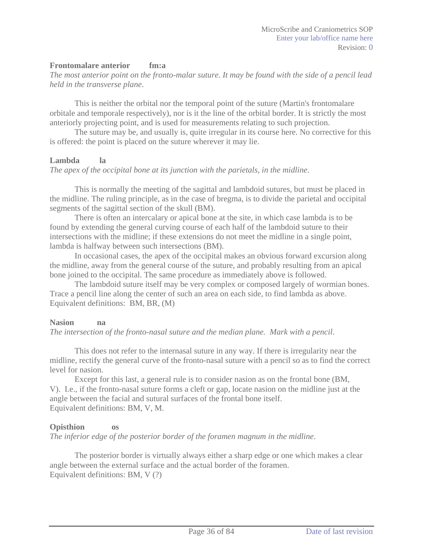#### **Frontomalare anterior fm:a**

*The most anterior point on the fronto-malar suture. It may be found with the side of a pencil lead held in the transverse plane*.

This is neither the orbital nor the temporal point of the suture (Martin's frontomalare orbitale and temporale respectively), nor is it the line of the orbital border. It is strictly the most anteriorly projecting point, and is used for measurements relating to such projection.

The suture may be, and usually is, quite irregular in its course here. No corrective for this is offered: the point is placed on the suture wherever it may lie.

#### **Lambda la**

*The apex of the occipital bone at its junction with the parietals, in the midline*.

This is normally the meeting of the sagittal and lambdoid sutures, but must be placed in the midline. The ruling principle, as in the case of bregma, is to divide the parietal and occipital segments of the sagittal section of the skull (BM).

There is often an intercalary or apical bone at the site, in which case lambda is to be found by extending the general curving course of each half of the lambdoid suture to their intersections with the midline; if these extensions do not meet the midline in a single point, lambda is halfway between such intersections (BM).

In occasional cases, the apex of the occipital makes an obvious forward excursion along the midline, away from the general course of the suture, and probably resulting from an apical bone joined to the occipital. The same procedure as immediately above is followed.

The lambdoid suture itself may be very complex or composed largely of wormian bones. Trace a pencil line along the center of such an area on each side, to find lambda as above. Equivalent definitions: BM, BR, (M)

#### **Nasion na**

*The intersection of the fronto-nasal suture and the median plane. Mark with a pencil*.

This does not refer to the internasal suture in any way. If there is irregularity near the midline, rectify the general curve of the fronto-nasal suture with a pencil so as to find the correct level for nasion.

Except for this last, a general rule is to consider nasion as on the frontal bone (BM, V). I.e., if the fronto-nasal suture forms a cleft or gap, locate nasion on the midline just at the angle between the facial and sutural surfaces of the frontal bone itself. Equivalent definitions: BM, V, M.

#### **Opisthion os**

*The inferior edge of the posterior border of the foramen magnum in the midline*.

The posterior border is virtually always either a sharp edge or one which makes a clear angle between the external surface and the actual border of the foramen. Equivalent definitions: BM, V (?)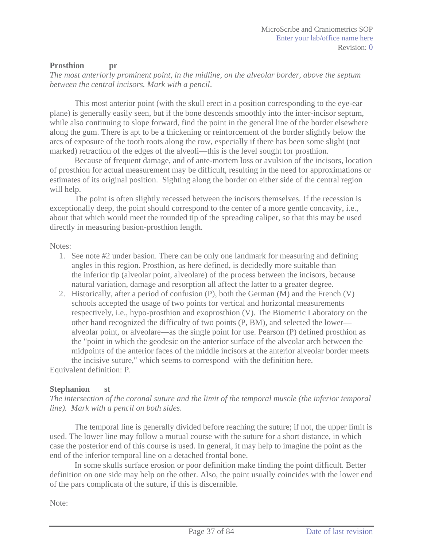#### **Prosthion** pr

*The most anteriorly prominent point, in the midline, on the alveolar border, above the septum between the central incisors. Mark with a pencil*.

This most anterior point (with the skull erect in a position corresponding to the eye-ear plane) is generally easily seen, but if the bone descends smoothly into the inter-incisor septum, while also continuing to slope forward, find the point in the general line of the border elsewhere along the gum. There is apt to be a thickening or reinforcement of the border slightly below the arcs of exposure of the tooth roots along the row, especially if there has been some slight (not marked) retraction of the edges of the alveoli—this is the level sought for prosthion.

Because of frequent damage, and of ante-mortem loss or avulsion of the incisors, location of prosthion for actual measurement may be difficult, resulting in the need for approximations or estimates of its original position. Sighting along the border on either side of the central region will help.

The point is often slightly recessed between the incisors themselves. If the recession is exceptionally deep, the point should correspond to the center of a more gentle concavity, i.e., about that which would meet the rounded tip of the spreading caliper, so that this may be used directly in measuring basion-prosthion length.

Notes:

- 1. See note #2 under basion. There can be only one landmark for measuring and defining angles in this region. Prosthion, as here defined, is decidedly more suitable than the inferior tip (alveolar point, alveolare) of the process between the incisors, because natural variation, damage and resorption all affect the latter to a greater degree.
- 2. Historically, after a period of confusion (P), both the German (M) and the French (V) schools accepted the usage of two points for vertical and horizontal measurements respectively, i.e., hypo-prosthion and exoprosthion (V). The Biometric Laboratory on the other hand recognized the difficulty of two points (P, BM), and selected the lower alveolar point, or alveolare—as the single point for use. Pearson (P) defined prosthion as the "point in which the geodesic on the anterior surface of the alveolar arch between the midpoints of the anterior faces of the middle incisors at the anterior alveolar border meets the incisive suture," which seems to correspond with the definition here.

Equivalent definition: P.

#### **Stephanion st**

*The intersection of the coronal suture and the limit of the temporal muscle (the inferior temporal line). Mark with a pencil on both sides*.

The temporal line is generally divided before reaching the suture; if not, the upper limit is used. The lower line may follow a mutual course with the suture for a short distance, in which case the posterior end of this course is used. In general, it may help to imagine the point as the end of the inferior temporal line on a detached frontal bone.

In some skulls surface erosion or poor definition make finding the point difficult. Better definition on one side may help on the other. Also, the point usually coincides with the lower end of the pars complicata of the suture, if this is discernible.

Note: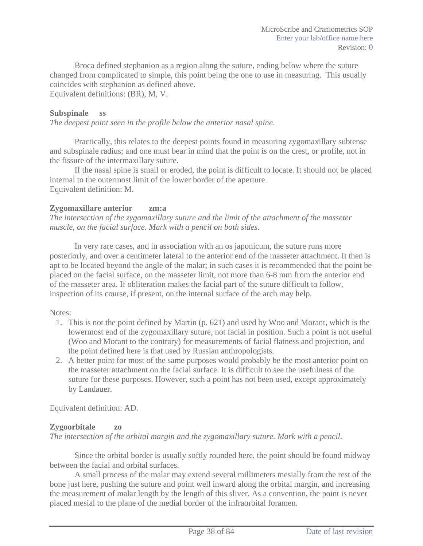Broca defined stephanion as a region along the suture, ending below where the suture changed from complicated to simple, this point being the one to use in measuring. This usually coincides with stephanion as defined above.

Equivalent definitions: (BR), M, V.

#### **Subspinale ss**

*The deepest point seen in the profile below the anterior nasal spine*.

Practically, this relates to the deepest points found in measuring zygomaxillary subtense and subspinale radius; and one must bear in mind that the point is on the crest, or profile, not in the fissure of the intermaxillary suture.

If the nasal spine is small or eroded, the point is difficult to locate. It should not be placed internal to the outermost limit of the lower border of the aperture. Equivalent definition: M.

#### **Zygomaxillare anterior zm:a**

*The intersection of the zygomaxillary suture and the limit of the attachment of the masseter muscle, on the facial surface. Mark with a pencil on both sides*.

In very rare cases, and in association with an os japonicum, the suture runs more posteriorly, and over a centimeter lateral to the anterior end of the masseter attachment. It then is apt to be located beyond the angle of the malar; in such cases it is recommended that the point be placed on the facial surface, on the masseter limit, not more than 6-8 mm from the anterior end of the masseter area. If obliteration makes the facial part of the suture difficult to follow, inspection of its course, if present, on the internal surface of the arch may help.

#### Notes:

- 1. This is not the point defined by Martin (p. 621) and used by Woo and Morant, which is the lowermost end of the zygomaxillary suture, not facial in position. Such a point is not useful (Woo and Morant to the contrary) for measurements of facial flatness and projection, and the point defined here is that used by Russian anthropologists.
- 2. A better point for most of the same purposes would probably be the most anterior point on the masseter attachment on the facial surface. It is difficult to see the usefulness of the suture for these purposes. However, such a point has not been used, except approximately by Landauer.

Equivalent definition: AD.

#### **Zygoorbitale zo**

*The intersection of the orbital margin and the zygomaxillary suture. Mark with a pencil*.

Since the orbital border is usually softly rounded here, the point should be found midway between the facial and orbital surfaces.

A small process of the malar may extend several millimeters mesially from the rest of the bone just here, pushing the suture and point well inward along the orbital margin, and increasing the measurement of malar length by the length of this sliver. As a convention, the point is never placed mesial to the plane of the medial border of the infraorbital foramen.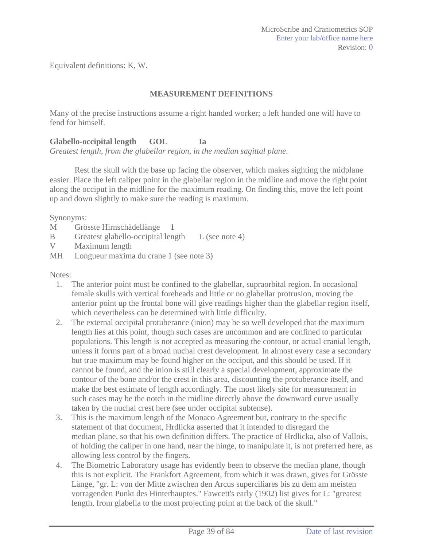Equivalent definitions: K, W.

#### **MEASUREMENT DEFINITIONS**

Many of the precise instructions assume a right handed worker; a left handed one will have to fend for himself.

### **Glabello-occipital length GOL Ia**

*Greatest length, from the glabellar region, in the median sagittal plane*.

Rest the skull with the base up facing the observer, which makes sighting the midplane easier. Place the left caliper point in the glabellar region in the midline and move the right point along the occiput in the midline for the maximum reading. On finding this, move the left point up and down slightly to make sure the reading is maximum.

Synonyms:

- M Grösste Hirnschädellänge 1
- B Greatest glabello-occipital length L (see note 4)
- V Maximum length
- MH Longueur maxima du crane 1 (see note 3)

#### Notes:

- 1. The anterior point must be confined to the glabellar, supraorbital region. In occasional female skulls with vertical foreheads and little or no glabellar protrusion, moving the anterior point up the frontal bone will give readings higher than the glabellar region itself, which nevertheless can be determined with little difficulty.
- 2. The external occipital protuberance (inion) may be so well developed that the maximum length lies at this point, though such cases are uncommon and are confined to particular populations. This length is not accepted as measuring the contour, or actual cranial length, unless it forms part of a broad nuchal crest development. In almost every case a secondary but true maximum may be found higher on the occiput, and this should be used. If it cannot be found, and the inion is still clearly a special development, approximate the contour of the bone and/or the crest in this area, discounting the protuberance itself, and make the best estimate of length accordingly. The most likely site for measurement in such cases may be the notch in the midline directly above the downward curve usually taken by the nuchal crest here (see under occipital subtense).
- 3. This is the maximum length of the Monaco Agreement but, contrary to the specific statement of that document, Hrdlicka asserted that it intended to disregard the median plane, so that his own definition differs. The practice of Hrdlicka, also of Vallois, of holding the caliper in one hand, near the hinge, to manipulate it, is not preferred here, as allowing less control by the fingers.
- 4. The Biometric Laboratory usage has evidently been to observe the median plane, though this is not explicit. The Frankfort Agreement, from which it was drawn, gives for Grösste Länge, "gr. L: von der Mitte zwischen den Arcus superciliares bis zu dem am meisten vorragenden Punkt des Hinterhauptes." Fawcett's early (1902) list gives for L: "greatest length, from glabella to the most projecting point at the back of the skull."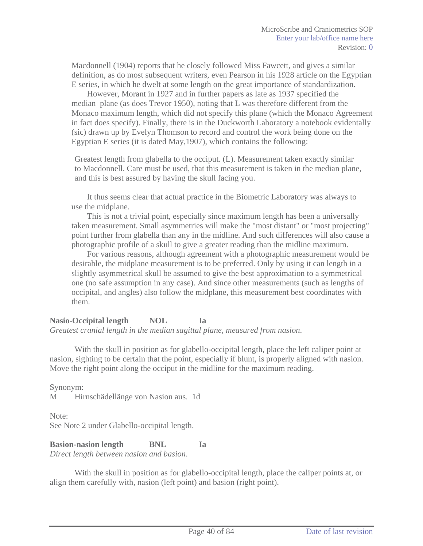Macdonnell (1904) reports that he closely followed Miss Fawcett, and gives a similar definition, as do most subsequent writers, even Pearson in his 1928 article on the Egyptian E series, in which he dwelt at some length on the great importance of standardization.

However, Morant in 1927 and in further papers as late as 1937 specified the median plane (as does Trevor 1950), noting that L was therefore different from the Monaco maximum length, which did not specify this plane (which the Monaco Agreement in fact does specify). Finally, there is in the Duckworth Laboratory a notebook evidentally (sic) drawn up by Evelyn Thomson to record and control the work being done on the Egyptian E series (it is dated May,1907), which contains the following:

Greatest length from glabella to the occiput. (L). Measurement taken exactly similar to Macdonnell. Care must be used, that this measurement is taken in the median plane, and this is best assured by having the skull facing you.

It thus seems clear that actual practice in the Biometric Laboratory was always to use the midplane.

This is not a trivial point, especially since maximum length has been a universally taken measurement. Small asymmetries will make the "most distant" or "most projecting" point further from glabella than any in the midline. And such differences will also cause a photographic profile of a skull to give a greater reading than the midline maximum.

For various reasons, although agreement with a photographic measurement would be desirable, the midplane measurement is to be preferred. Only by using it can length in a slightly asymmetrical skull be assumed to give the best approximation to a symmetrical one (no safe assumption in any case). And since other measurements (such as lengths of occipital, and angles) also follow the midplane, this measurement best coordinates with them.

**Nasio-Occipital length NOL Ia**  *Greatest cranial length in the median sagittal plane, measured from nasion*.

With the skull in position as for glabello-occipital length, place the left caliper point at nasion, sighting to be certain that the point, especially if blunt, is properly aligned with nasion. Move the right point along the occiput in the midline for the maximum reading.

Synonym:

M Hirnschädellänge von Nasion aus. 1d

Note: See Note 2 under Glabello-occipital length.

**Basion-nasion length BNL Ia** *Direct length between nasion and basion*.

With the skull in position as for glabello-occipital length, place the caliper points at, or align them carefully with, nasion (left point) and basion (right point).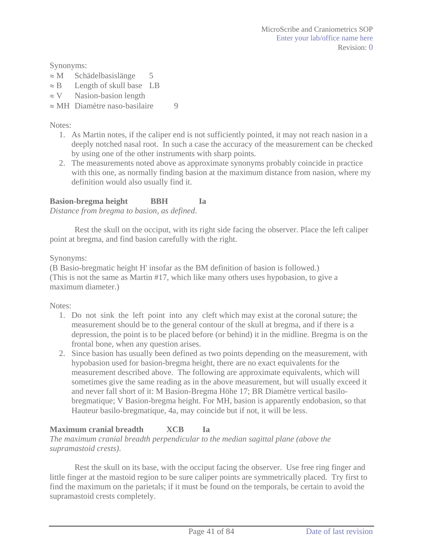Synonyms:

- $\approx$  M Schädelbasislänge 5
- $\approx$  B Length of skull base LB
- $\approx$  V Nasion-basion length
- $\approx$  MH Diamètre naso-basilaire 9

Notes:

- 1. As Martin notes, if the caliper end is not sufficiently pointed, it may not reach nasion in a deeply notched nasal root. In such a case the accuracy of the measurement can be checked by using one of the other instruments with sharp points.
- 2. The measurements noted above as approximate synonyms probably coincide in practice with this one, as normally finding basion at the maximum distance from nasion, where my definition would also usually find it.

## **Basion-bregma height BBH Ia**

*Distance from bregma to basion, as defined*.

Rest the skull on the occiput, with its right side facing the observer. Place the left caliper point at bregma, and find basion carefully with the right.

Synonyms:

(B Basio-bregmatic height H' insofar as the BM definition of basion is followed.) (This is not the same as Martin #17, which like many others uses hypobasion, to give a maximum diameter.)

Notes:

- 1. Do not sink the left point into any cleft which may exist at the coronal suture; the measurement should be to the general contour of the skull at bregma, and if there is a depression, the point is to be placed before (or behind) it in the midline. Bregma is on the frontal bone, when any question arises.
- 2. Since basion has usually been defined as two points depending on the measurement, with hypobasion used for basion-bregma height, there are no exact equivalents for the measurement described above. The following are approximate equivalents, which will sometimes give the same reading as in the above measurement, but will usually exceed it and never fall short of it: M Basion-Bregma Höhe 17; BR Diamètre vertical basilobregmatique; V Basion-bregma height. For MH, basion is apparently endobasion, so that Hauteur basilo-bregmatique, 4a, may coincide but if not, it will be less.

## **Maximum cranial breadth XCB Ia**

*The maximum cranial breadth perpendicular to the median sagittal plane (above the supramastoid crests)*.

Rest the skull on its base, with the occiput facing the observer. Use free ring finger and little finger at the mastoid region to be sure caliper points are symmetrically placed. Try first to find the maximum on the parietals; if it must be found on the temporals, be certain to avoid the supramastoid crests completely.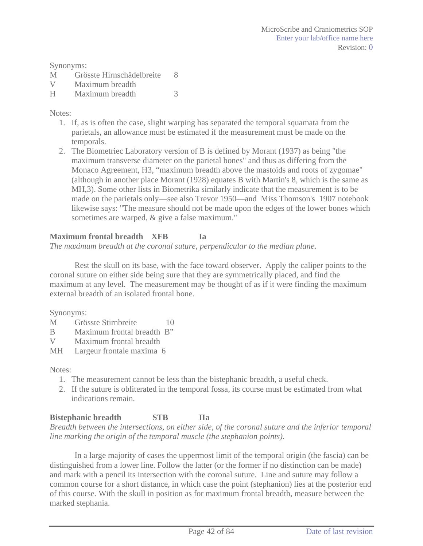Synonyms:

- M Grösste Hirnschädelbreite 8 V Maximum breadth
- H Maximum breadth 3

### Notes:

- 1. If, as is often the case, slight warping has separated the temporal squamata from the parietals, an allowance must be estimated if the measurement must be made on the temporals.
- 2. The Biometriec Laboratory version of B is defined by Morant (1937) as being "the maximum transverse diameter on the parietal bones" and thus as differing from the Monaco Agreement, H3, "maximum breadth above the mastoids and roots of zygomae" (although in another place Morant (1928) equates B with Martin's 8, which is the same as MH,3). Some other lists in Biometrika similarly indicate that the measurement is to be made on the parietals only—see also Trevor 1950—and Miss Thomson's 1907 notebook likewise says: "The measure should not be made upon the edges of the lower bones which sometimes are warped, & give a false maximum."

## **Maximum frontal breadth XFB Ia**

*The maximum breadth at the coronal suture, perpendicular to the median plane*.

Rest the skull on its base, with the face toward observer. Apply the caliper points to the coronal suture on either side being sure that they are symmetrically placed, and find the maximum at any level. The measurement may be thought of as if it were finding the maximum external breadth of an isolated frontal bone.

Synonyms:

- M Grösste Stirnbreite 10
- B Maximum frontal breadth B"
- V Maximum frontal breadth
- MH Largeur frontale maxima 6

Notes:

- 1. The measurement cannot be less than the bistephanic breadth, a useful check.
- 2. If the suture is obliterated in the temporal fossa, its course must be estimated from what indications remain.

## **Bistephanic breadth STB IIa**

*Breadth between the intersections, on either side, of the coronal suture and the inferior temporal line marking the origin of the temporal muscle (the stephanion points)*.

In a large majority of cases the uppermost limit of the temporal origin (the fascia) can be distinguished from a lower line. Follow the latter (or the former if no distinction can be made) and mark with a pencil its intersection with the coronal suture. Line and suture may follow a common course for a short distance, in which case the point (stephanion) lies at the posterior end of this course. With the skull in position as for maximum frontal breadth, measure between the marked stephania.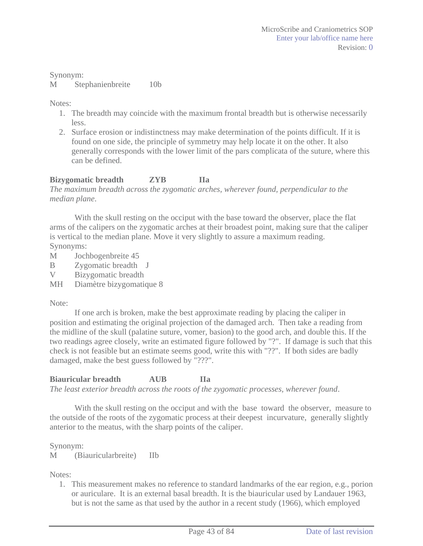Synonym: M Stephanienbreite 10b

Notes:

- 1. The breadth may coincide with the maximum frontal breadth but is otherwise necessarily less.
- 2. Surface erosion or indistinctness may make determination of the points difficult. If it is found on one side, the principle of symmetry may help locate it on the other. It also generally corresponds with the lower limit of the pars complicata of the suture, where this can be defined.

## **Bizygomatic breadth ZYB IIa**

*The maximum breadth across the zygomatic arches, wherever found, perpendicular to the median plane*.

With the skull resting on the occiput with the base toward the observer, place the flat arms of the calipers on the zygomatic arches at their broadest point, making sure that the caliper is vertical to the median plane. Move it very slightly to assure a maximum reading. Synonyms:

- M Jochbogenbreite 45
- B Zygomatic breadth J
- V Bizygomatic breadth
- MH Diamètre bizygomatique 8

#### Note:

If one arch is broken, make the best approximate reading by placing the caliper in position and estimating the original projection of the damaged arch. Then take a reading from the midline of the skull (palatine suture, vomer, basion) to the good arch, and double this. If the two readings agree closely, write an estimated figure followed by "?". If damage is such that this check is not feasible but an estimate seems good, write this with "??". If both sides are badly damaged, make the best guess followed by "???".

## **Biauricular breadth AUB IIa**

*The least exterior breadth across the roots of the zygomatic processes, wherever found*.

With the skull resting on the occiput and with the base toward the observer, measure to the outside of the roots of the zygomatic process at their deepest incurvature, generally slightly anterior to the meatus, with the sharp points of the caliper.

Synonym:

M (Biauricularbreite) IIb

#### Notes:

1. This measurement makes no reference to standard landmarks of the ear region, e.g., porion or auriculare. It is an external basal breadth. It is the biauricular used by Landauer 1963, but is not the same as that used by the author in a recent study (1966), which employed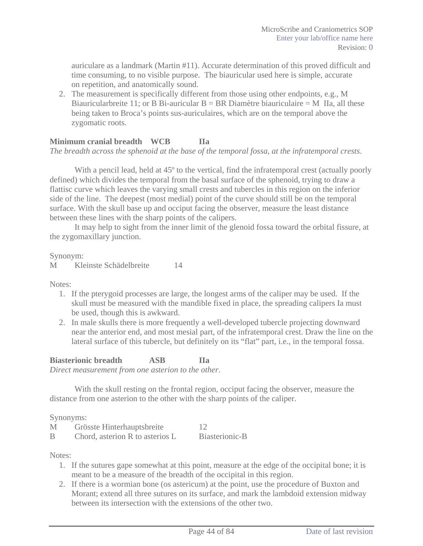auriculare as a landmark (Martin #11). Accurate determination of this proved difficult and time consuming, to no visible purpose. The biauricular used here is simple, accurate on repetition, and anatomically sound.

2. The measurement is specifically different from those using other endpoints, e.g., M Biauricularbreite 11; or B Bi-auricular  $B = BR$  Diamètre biauriculaire = M IIa, all these being taken to Broca's points sus-auriculaires, which are on the temporal above the zygomatic roots.

### **Minimum cranial breadth WCB IIa**

*The breadth across the sphenoid at the base of the temporal fossa, at the infratemporal crests*.

With a pencil lead, held at 45<sup>°</sup> to the vertical, find the infratemporal crest (actually poorly defined) which divides the temporal from the basal surface of the sphenoid, trying to draw a flattisc curve which leaves the varying small crests and tubercles in this region on the inferior side of the line. The deepest (most medial) point of the curve should still be on the temporal surface. With the skull base up and occiput facing the observer, measure the least distance between these lines with the sharp points of the calipers.

It may help to sight from the inner limit of the glenoid fossa toward the orbital fissure, at the zygomaxillary junction.

Synonym:

M Kleinste Schädelbreite 14

Notes:

- 1. If the pterygoid processes are large, the longest arms of the caliper may be used. If the skull must be measured with the mandible fixed in place, the spreading calipers Ia must be used, though this is awkward.
- 2. In male skulls there is more frequently a well-developed tubercle projecting downward near the anterior end, and most mesial part, of the infratemporal crest. Draw the line on the lateral surface of this tubercle, but definitely on its "flat" part, i.e., in the temporal fossa.

# **Biasterionic breadth ASB IIa**

*Direct measurement from one asterion to the other*.

With the skull resting on the frontal region, occiput facing the observer, measure the distance from one asterion to the other with the sharp points of the caliper.

Synonyms:

| M | Grösste Hinterhauptsbreite      |                |
|---|---------------------------------|----------------|
| B | Chord, asterion R to asterios L | Biasterionic-B |

Notes:

- 1. If the sutures gape somewhat at this point, measure at the edge of the occipital bone; it is meant to be a measure of the breadth of the occipital in this region.
- 2. If there is a wormian bone (os astericum) at the point, use the procedure of Buxton and Morant; extend all three sutures on its surface, and mark the lambdoid extension midway between its intersection with the extensions of the other two.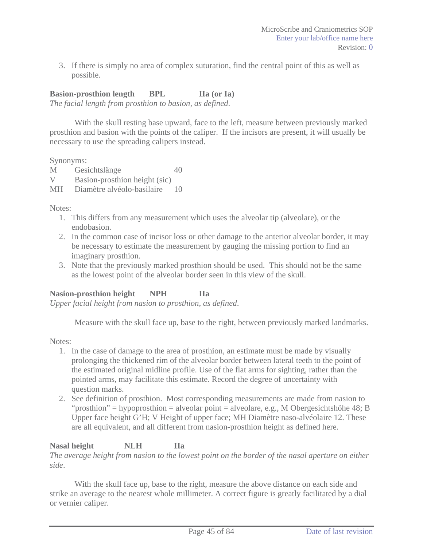3. If there is simply no area of complex suturation, find the central point of this as well as possible.

## **Basion-prosthion length BPL IIa (or Ia)**

*The facial length from prosthion to basion, as defined*.

With the skull resting base upward, face to the left, measure between previously marked prosthion and basion with the points of the caliper. If the incisors are present, it will usually be necessary to use the spreading calipers instead.

Synonyms:

M Gesichtslänge 40

V Basion-prosthion height (sic)

MH Diamètre alvéolo-basilaire 10

Notes:

- 1. This differs from any measurement which uses the alveolar tip (alveolare), or the endobasion.
- 2. In the common case of incisor loss or other damage to the anterior alveolar border, it may be necessary to estimate the measurement by gauging the missing portion to find an imaginary prosthion.
- 3. Note that the previously marked prosthion should be used. This should not be the same as the lowest point of the alveolar border seen in this view of the skull.

## **Nasion-prosthion height NPH IIa**

*Upper facial height from nasion to prosthion, as defined*.

Measure with the skull face up, base to the right, between previously marked landmarks.

Notes:

- 1. In the case of damage to the area of prosthion, an estimate must be made by visually prolonging the thickened rim of the alveolar border between lateral teeth to the point of the estimated original midline profile. Use of the flat arms for sighting, rather than the pointed arms, may facilitate this estimate. Record the degree of uncertainty with question marks.
- 2. See definition of prosthion. Most corresponding measurements are made from nasion to "prosthion" = hypoprosthion = alveolar point = alveolare, e.g., M Obergesichtshöhe 48; B Upper face height G'H; V Height of upper face; MH Diamètre naso-alvéolaire 12. These are all equivalent, and all different from nasion-prosthion height as defined here.

**Nasal height NLH IIa**  *The average height from nasion to the lowest point on the border of the nasal aperture on either side*.

With the skull face up, base to the right, measure the above distance on each side and strike an average to the nearest whole millimeter. A correct figure is greatly facilitated by a dial or vernier caliper.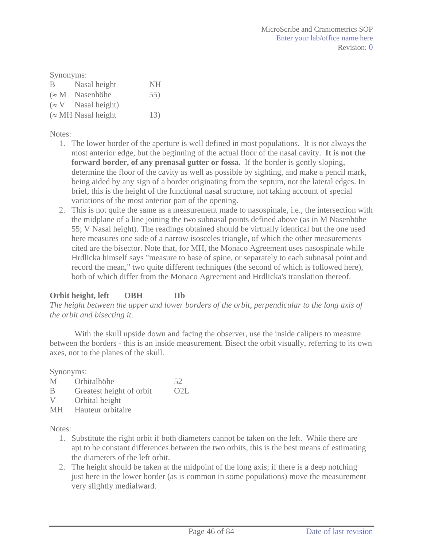| Synonyms: |                            |     |  |  |
|-----------|----------------------------|-----|--|--|
| B         | Nasal height               | NH  |  |  |
|           | $(\approx M$ Nasenhöhe     | 55) |  |  |
|           | $(\approx V$ Nasal height) |     |  |  |
|           | $(\approx$ MH Nasal height | 13) |  |  |

Notes:

- 1. The lower border of the aperture is well defined in most populations. It is not always the most anterior edge, but the beginning of the actual floor of the nasal cavity. **It is not the forward border, of any prenasal gutter or fossa.** If the border is gently sloping, determine the floor of the cavity as well as possible by sighting, and make a pencil mark, being aided by any sign of a border originating from the septum, not the lateral edges. In brief, this is the height of the functional nasal structure, not taking account of special variations of the most anterior part of the opening.
- 2. This is not quite the same as a measurement made to nasospinale, i.e., the intersection with the midplane of a line joining the two subnasal points defined above (as in M Nasenhöhe 55; V Nasal height). The readings obtained should be virtually identical but the one used here measures one side of a narrow isosceles triangle, of which the other measurements cited are the bisector. Note that, for MH, the Monaco Agreement uses nasospinale while Hrdlicka himself says "measure to base of spine, or separately to each subnasal point and record the mean," two quite different techniques (the second of which is followed here), both of which differ from the Monaco Agreement and Hrdlicka's translation thereof.

## **Orbit height, left OBH IIb**

*The height between the upper and lower borders of the orbit, perpendicular to the long axis of the orbit and bisecting it*.

With the skull upside down and facing the observer, use the inside calipers to measure between the borders - this is an inside measurement. Bisect the orbit visually, referring to its own axes, not to the planes of the skull.

Synonyms:

- M Orbitalhöhe 52
- B Greatest height of orbit O2L
- V Orbital height
- MH Hauteur orbitaire

Notes:

- 1. Substitute the right orbit if both diameters cannot be taken on the left. While there are apt to be constant differences between the two orbits, this is the best means of estimating the diameters of the left orbit.
- 2. The height should be taken at the midpoint of the long axis; if there is a deep notching just here in the lower border (as is common in some populations) move the measurement very slightly medialward.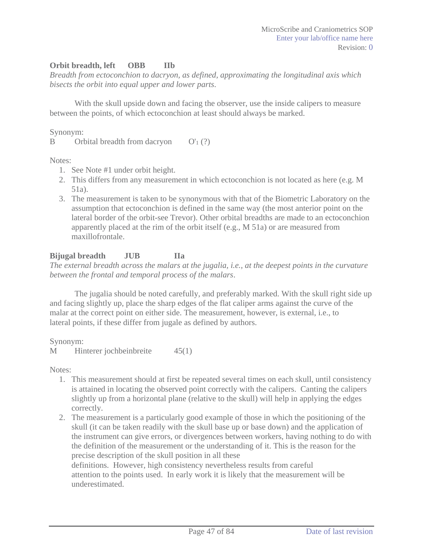### **Orbit breadth, left OBB IIb**

*Breadth from ectoconchion to dacryon, as defined, approximating the longitudinal axis which bisects the orbit into equal upper and lower parts*.

With the skull upside down and facing the observer, use the inside calipers to measure between the points, of which ectoconchion at least should always be marked.

Synonym:

B Orbital breadth from dacryon  $O'_1$  (?)

Notes:

- 1. See Note #1 under orbit height.
- 2. This differs from any measurement in which ectoconchion is not located as here (e.g. M 51a).
- 3. The measurement is taken to be synonymous with that of the Biometric Laboratory on the assumption that ectoconchion is defined in the same way (the most anterior point on the lateral border of the orbit-see Trevor). Other orbital breadths are made to an ectoconchion apparently placed at the rim of the orbit itself (e.g., M 51a) or are measured from maxillofrontale.

## **Bijugal breadth JUB IIa**

*The external breadth across the malars at the jugalia, i.e., at the deepest points in the curvature between the frontal and temporal process of the malars*.

The jugalia should be noted carefully, and preferably marked. With the skull right side up and facing slightly up, place the sharp edges of the flat caliper arms against the curve of the malar at the correct point on either side. The measurement, however, is external, i.e., to lateral points, if these differ from jugale as defined by authors.

Synonym:

M Hinterer jochbeinbreite 45(1)

Notes:

- 1. This measurement should at first be repeated several times on each skull, until consistency is attained in locating the observed point correctly with the calipers. Canting the calipers slightly up from a horizontal plane (relative to the skull) will help in applying the edges correctly.
- 2. The measurement is a particularly good example of those in which the positioning of the skull (it can be taken readily with the skull base up or base down) and the application of the instrument can give errors, or divergences between workers, having nothing to do with the definition of the measurement or the understanding of it. This is the reason for the precise description of the skull position in all these

definitions. However, high consistency nevertheless results from careful attention to the points used. In early work it is likely that the measurement will be underestimated.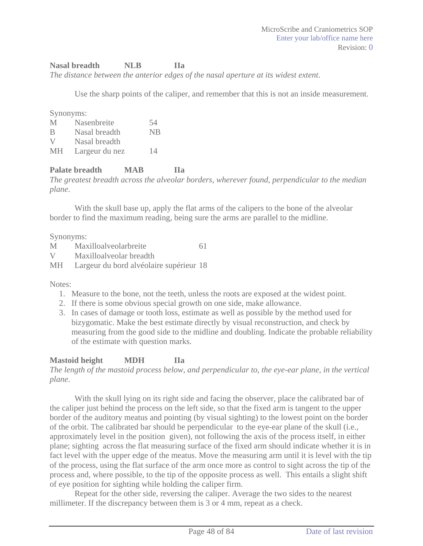#### **Nasal breadth NLB IIa**

*The distance between the anterior edges of the nasal aperture at its widest extent*.

Use the sharp points of the caliper, and remember that this is not an inside measurement.

Synonyms:

| M         | Nasenbreite    | 54        |
|-----------|----------------|-----------|
| B         | Nasal breadth  | <b>NB</b> |
| V         | Nasal breadth  |           |
| <b>MH</b> | Largeur du nez | 14        |

### **Palate breadth MAB IIa**

*The greatest breadth across the alveolar borders, wherever found, perpendicular to the median plane*.

With the skull base up, apply the flat arms of the calipers to the bone of the alveolar border to find the maximum reading, being sure the arms are parallel to the midline.

Synonyms:

| M  | Maxilloalveolarbreite                   | 61 |
|----|-----------------------------------------|----|
| V  | Maxilloalyeolar breadth                 |    |
| MH | Largeur du bord alvéolaire supérieur 18 |    |

Notes:

- 1. Measure to the bone, not the teeth, unless the roots are exposed at the widest point.
- 2. If there is some obvious special growth on one side, make allowance.
- 3. In cases of damage or tooth loss, estimate as well as possible by the method used for bizygomatic. Make the best estimate directly by visual reconstruction, and check by measuring from the good side to the midline and doubling. Indicate the probable reliability of the estimate with question marks.

## **Mastoid height MDH IIa**

*The length of the mastoid process below, and perpendicular to, the eye-ear plane, in the vertical plane*.

With the skull lying on its right side and facing the observer, place the calibrated bar of the caliper just behind the process on the left side, so that the fixed arm is tangent to the upper border of the auditory meatus and pointing (by visual sighting) to the lowest point on the border of the orbit. The calibrated bar should be perpendicular to the eye-ear plane of the skull (i.e., approximately level in the position given), not following the axis of the process itself, in either plane; sighting across the flat measuring surface of the fixed arm should indicate whether it is in fact level with the upper edge of the meatus. Move the measuring arm until it is level with the tip of the process, using the flat surface of the arm once more as control to sight across the tip of the process and, where possible, to the tip of the opposite process as well. This entails a slight shift of eye position for sighting while holding the caliper firm.

Repeat for the other side, reversing the caliper. Average the two sides to the nearest millimeter. If the discrepancy between them is 3 or 4 mm, repeat as a check.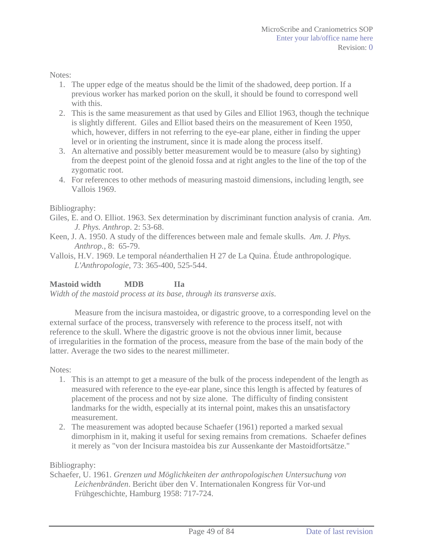Notes:

- 1. The upper edge of the meatus should be the limit of the shadowed, deep portion. If a previous worker has marked porion on the skull, it should be found to correspond well with this.
- 2. This is the same measurement as that used by Giles and Elliot 1963, though the technique is slightly different. Giles and Elliot based theirs on the measurement of Keen 1950, which, however, differs in not referring to the eye-ear plane, either in finding the upper level or in orienting the instrument, since it is made along the process itself.
- 3. An alternative and possibly better measurement would be to measure (also by sighting) from the deepest point of the glenoid fossa and at right angles to the line of the top of the zygomatic root.
- 4. For references to other methods of measuring mastoid dimensions, including length, see Vallois 1969.

Bibliography:

- Giles, E. and O. Elliot. 1963. Sex determination by discriminant function analysis of crania. *Am. J. Phys. Anthrop*. 2: 53-68.
- Keen, J. A. 1950. A study of the differences between male and female skulls. *Am. J. Phys. Anthrop.*, 8: 65-79.
- Vallois, H.V. 1969. Le temporal néanderthalien H 27 de La Quina. Étude anthropologique. *L'Anthropologie*, 73: 365-400, 525-544.

#### **Mastoid width MDB IIa**

*Width of the mastoid process at its base, through its transverse axis*.

Measure from the incisura mastoidea, or digastric groove, to a corresponding level on the external surface of the process, transversely with reference to the process itself, not with reference to the skull. Where the digastric groove is not the obvious inner limit, because of irregularities in the formation of the process, measure from the base of the main body of the latter. Average the two sides to the nearest millimeter.

Notes:

- 1. This is an attempt to get a measure of the bulk of the process independent of the length as measured with reference to the eye-ear plane, since this length is affected by features of placement of the process and not by size alone. The difficulty of finding consistent landmarks for the width, especially at its internal point, makes this an unsatisfactory measurement.
- 2. The measurement was adopted because Schaefer (1961) reported a marked sexual dimorphism in it, making it useful for sexing remains from cremations. Schaefer defines it merely as "von der Incisura mastoidea bis zur Aussenkante der Mastoidfortsätze."

Bibliography:

Schaefer, U. 1961. *Grenzen und Möglichkeiten der anthropologischen Untersuchung von Leichenbränden*. Bericht über den V. Internationalen Kongress für Vor-und Frühgeschichte, Hamburg 1958: 717-724.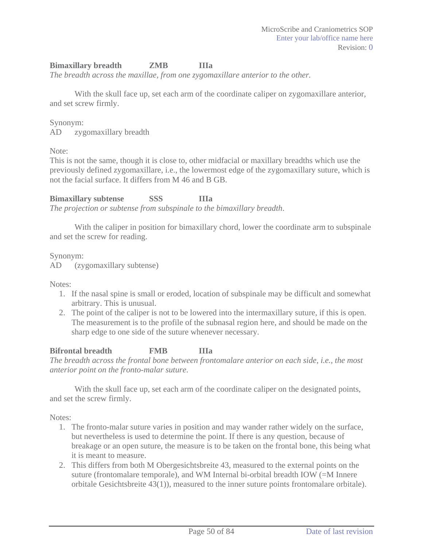## **Bimaxillary breadth ZMB IIIa**

*The breadth across the maxillae, from one zygomaxillare anterior to the other.*

With the skull face up, set each arm of the coordinate caliper on zygomaxillare anterior, and set screw firmly.

#### Synonym:

AD zygomaxillary breadth

Note:

This is not the same, though it is close to, other midfacial or maxillary breadths which use the previously defined zygomaxillare, i.e., the lowermost edge of the zygomaxillary suture, which is not the facial surface. It differs from M 46 and B GB.

**Bimaxillary subtense SSS IIIa**  *The projection or subtense from subspinale to the bimaxillary breadth*.

With the caliper in position for bimaxillary chord, lower the coordinate arm to subspinale and set the screw for reading.

Synonym:

AD (zygomaxillary subtense)

Notes:

- 1. If the nasal spine is small or eroded, location of subspinale may be difficult and somewhat arbitrary. This is unusual.
- 2. The point of the caliper is not to be lowered into the intermaxillary suture, if this is open. The measurement is to the profile of the subnasal region here, and should be made on the sharp edge to one side of the suture whenever necessary.

#### **Bifrontal breadth FMB IIIa**

*The breadth across the frontal bone between frontomalare anterior on each side, i.e., the most anterior point on the fronto-malar suture*.

With the skull face up, set each arm of the coordinate caliper on the designated points, and set the screw firmly.

Notes:

- 1. The fronto-malar suture varies in position and may wander rather widely on the surface, but nevertheless is used to determine the point. If there is any question, because of breakage or an open suture, the measure is to be taken on the frontal bone, this being what it is meant to measure.
- 2. This differs from both M Obergesichtsbreite 43, measured to the external points on the suture (frontomalare temporale), and WM Internal bi-orbital breadth IOW (=M Innere orbitale Gesichtsbreite 43(1)), measured to the inner suture points frontomalare orbitale).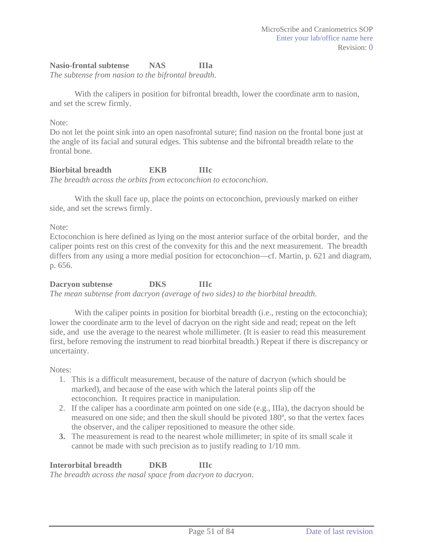#### **Nasio-frontal subtense NAS IIIa**

*The subtense from nasion to the bifrontal breadth*.

With the calipers in position for bifrontal breadth, lower the coordinate arm to nasion, and set the screw firmly.

#### Note:

Do not let the point sink into an open nasofrontal suture; find nasion on the frontal bone just at the angle of its facial and sutural edges. This subtense and the bifrontal breadth relate to the frontal bone.

#### **Biorbital breadth EKB IIIc**  *The breadth across the orbits from ectoconchion to ectoconchion*.

With the skull face up, place the points on ectoconchion, previously marked on either side, and set the screws firmly.

Note:

Ectoconchion is here defined as lying on the most anterior surface of the orbital border, and the caliper points rest on this crest of the convexity for this and the next measurement. The breadth differs from any using a more medial position for ectoconchion—cf. Martin, p. 621 and diagram, p. 656.

#### **Dacryon subtense DKS IIIc**  *The mean subtense from dacryon (average of two sides) to the biorbital breadth*.

With the caliper points in position for biorbital breadth (i.e., resting on the ectoconchia); lower the coordinate arm to the level of dacryon on the right side and read; repeat on the left side, and use the average to the nearest whole millimeter. (It is easier to read this measurement first, before removing the instrument to read biorbital breadth.) Repeat if there is discrepancy or uncertainty.

Notes:

- 1. This is a difficult measurement, because of the nature of dacryon (which should be marked), and because of the ease with which the lateral points slip off the ectoconchion. It requires practice in manipulation.
- 2. If the caliper has a coordinate arm pointed on one side (e.g., IIIa), the dacryon should be measured on one side; and then the skull should be pivoted 180º, so that the vertex faces the observer, and the caliper repositioned to measure the other side.
- **3.** The measurement is read to the nearest whole millimeter; in spite of its small scale it cannot be made with such precision as to justify reading to 1/10 mm.

#### **Interorbital breadth DKB IIIc**

*The breadth across the nasal space from dacryon to dacryon*.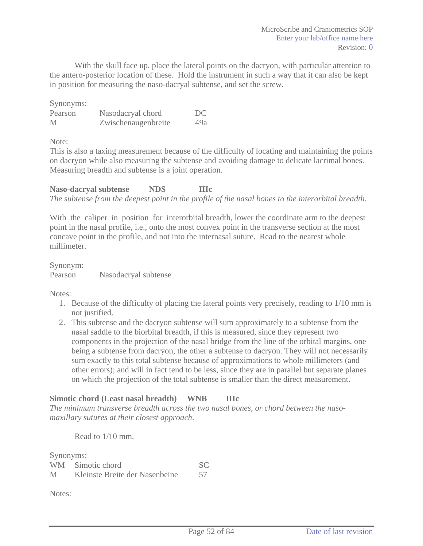With the skull face up, place the lateral points on the dacryon, with particular attention to the antero-posterior location of these. Hold the instrument in such a way that it can also be kept in position for measuring the naso-dacryal subtense, and set the screw.

Synonyms:

| Pearson | Nasodacryal chord   | DC  |
|---------|---------------------|-----|
| M       | Zwischenaugenbreite | 49a |

Note:

This is also a taxing measurement because of the difficulty of locating and maintaining the points on dacryon while also measuring the subtense and avoiding damage to delicate lacrimal bones. Measuring breadth and subtense is a joint operation.

**Naso-dacryal subtense NDS IIIc**  *The subtense from the deepest point in the profile of the nasal bones to the interorbital breadth*.

With the caliper in position for interorbital breadth, lower the coordinate arm to the deepest point in the nasal profile, i.e., onto the most convex point in the transverse section at the most concave point in the profile, and not into the internasal suture. Read to the nearest whole millimeter.

Synonym: Pearson Nasodacryal subtense

Notes:

- 1. Because of the difficulty of placing the lateral points very precisely, reading to 1/10 mm is not justified.
- 2. This subtense and the dacryon subtense will sum approximately to a subtense from the nasal saddle to the biorbital breadth, if this is measured, since they represent two components in the projection of the nasal bridge from the line of the orbital margins, one being a subtense from dacryon, the other a subtense to dacryon. They will not necessarily sum exactly to this total subtense because of approximations to whole millimeters (and other errors); and will in fact tend to be less, since they are in parallel but separate planes on which the projection of the total subtense is smaller than the direct measurement.

## **Simotic chord (Least nasal breadth) WNB IIIc**

*The minimum transverse breadth across the two nasal bones, or chord between the nasomaxillary sutures at their closest approach*.

Read to 1/10 mm.

Synonyms:

| ~ _ __ _ __ _ __ _ | WM Simotic chord               |    |
|--------------------|--------------------------------|----|
| Μ                  | Kleinste Breite der Nasenbeine | 57 |

Notes: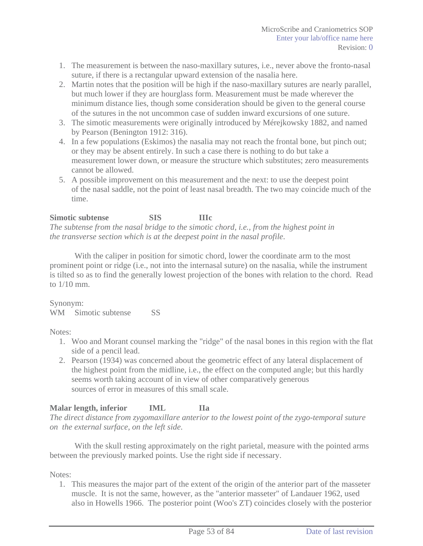- 1. The measurement is between the naso-maxillary sutures, i.e., never above the fronto-nasal suture, if there is a rectangular upward extension of the nasalia here.
- 2. Martin notes that the position will be high if the naso-maxillary sutures are nearly parallel, but much lower if they are hourglass form. Measurement must be made wherever the minimum distance lies, though some consideration should be given to the general course of the sutures in the not uncommon case of sudden inward excursions of one suture.
- 3. The simotic measurements were originally introduced by Mérejkowsky 1882, and named by Pearson (Benington 1912: 316).
- 4. In a few populations (Eskimos) the nasalia may not reach the frontal bone, but pinch out; or they may be absent entirely. In such a case there is nothing to do but take a measurement lower down, or measure the structure which substitutes; zero measurements cannot be allowed.
- 5. A possible improvement on this measurement and the next: to use the deepest point of the nasal saddle, not the point of least nasal breadth. The two may coincide much of the time.

### **Simotic subtense SIS IIIc**

*The subtense from the nasal bridge to the simotic chord, i.e., from the highest point in the transverse section which is at the deepest point in the nasal profile*.

With the caliper in position for simotic chord, lower the coordinate arm to the most prominent point or ridge (i.e., not into the internasal suture) on the nasalia, while the instrument is tilted so as to find the generally lowest projection of the bones with relation to the chord. Read to 1/10 mm.

#### Synonym:

WM Simotic subtense SS

#### Notes:

- 1. Woo and Morant counsel marking the "ridge" of the nasal bones in this region with the flat side of a pencil lead.
- 2. Pearson (1934) was concerned about the geometric effect of any lateral displacement of the highest point from the midline, i.e., the effect on the computed angle; but this hardly seems worth taking account of in view of other comparatively generous sources of error in measures of this small scale.

## **Malar length, inferior IML IIa**

*The direct distance from zygomaxillare anterior to the lowest point of the zygo-temporal suture on the external surface, on the left side*.

With the skull resting approximately on the right parietal, measure with the pointed arms between the previously marked points. Use the right side if necessary.

#### Notes:

1. This measures the major part of the extent of the origin of the anterior part of the masseter muscle. It is not the same, however, as the "anterior masseter" of Landauer 1962, used also in Howells 1966. The posterior point (Woo's ZT) coincides closely with the posterior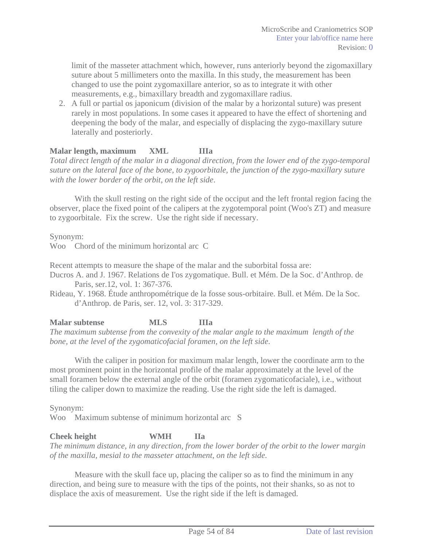limit of the masseter attachment which, however, runs anteriorly beyond the zigomaxillary suture about 5 millimeters onto the maxilla. In this study, the measurement has been changed to use the point zygomaxillare anterior, so as to integrate it with other measurements, e.g., bimaxillary breadth and zygomaxillare radius.

2. A full or partial os japonicum (division of the malar by a horizontal suture) was present rarely in most populations. In some cases it appeared to have the effect of shortening and deepening the body of the malar, and especially of displacing the zygo-maxillary suture laterally and posteriorly.

### **Malar length, maximum XML IIIa**

*Total direct length of the malar in a diagonal direction, from the lower end of the zygo-temporal suture on the lateral face of the bone, to zygoorbitale, the junction of the zygo-maxillary suture with the lower border of the orbit, on the left side*.

With the skull resting on the right side of the occiput and the left frontal region facing the observer, place the fixed point of the calipers at the zygotemporal point (Woo's ZT) and measure to zygoorbitale. Fix the screw. Use the right side if necessary.

Synonym:

Woo Chord of the minimum horizontal arc C

Recent attempts to measure the shape of the malar and the suborbital fossa are:

Ducros A. and J. 1967. Relations de I'os zygomatique. Bull. et Mém. De la Soc. d'Anthrop. de Paris, ser.12, vol. 1: 367-376.

Rideau, Y. 1968. Étude anthropométrique de la fosse sous-orbitaire. Bull. et Mém. De la Soc. d'Anthrop. de Paris, ser. 12, vol. 3: 317-329.

**Malar subtense MLS IIIa** 

*The maximum subtense from the convexity of the malar angle to the maximum length of the bone, at the level of the zygomaticofacial foramen, on the left side*.

With the caliper in position for maximum malar length, lower the coordinate arm to the most prominent point in the horizontal profile of the malar approximately at the level of the small foramen below the external angle of the orbit (foramen zygomaticofaciale), i.e., without tiling the caliper down to maximize the reading. Use the right side the left is damaged.

Synonym:

Woo Maximum subtense of minimum horizontal arc S

## **Cheek height WMH IIa**

*The minimum distance, in any direction, from the lower border of the orbit to the lower margin of the maxilla, mesial to the masseter attachment, on the left side*.

Measure with the skull face up, placing the caliper so as to find the minimum in any direction, and being sure to measure with the tips of the points, not their shanks, so as not to displace the axis of measurement. Use the right side if the left is damaged.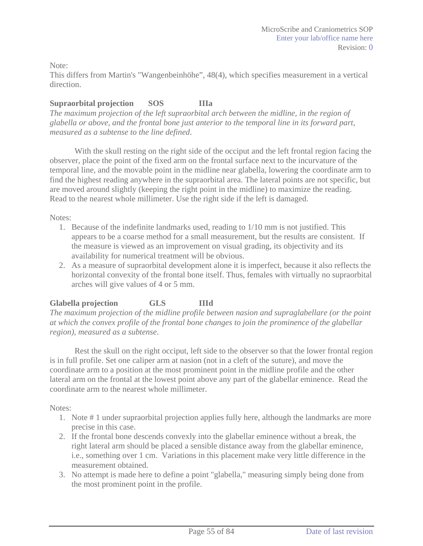Note:

This differs from Martin's "Wangenbeinhöhe", 48(4), which specifies measurement in a vertical direction.

## **Supraorbital projection SOS IIIa**

*The maximum projection of the left supraorbital arch between the midline, in the region of glabella or above, and the frontal bone just anterior to the temporal line in its forward part, measured as a subtense to the line defined*.

With the skull resting on the right side of the occiput and the left frontal region facing the observer, place the point of the fixed arm on the frontal surface next to the incurvature of the temporal line, and the movable point in the midline near glabella, lowering the coordinate arm to find the highest reading anywhere in the supraorbital area. The lateral points are not specific, but are moved around slightly (keeping the right point in the midline) to maximize the reading. Read to the nearest whole millimeter. Use the right side if the left is damaged.

#### Notes:

- 1. Because of the indefinite landmarks used, reading to 1/10 mm is not justified. This appears to be a coarse method for a small measurement, but the results are consistent. If the measure is viewed as an improvement on visual grading, its objectivity and its availability for numerical treatment will be obvious.
- 2. As a measure of supraorbital development alone it is imperfect, because it also reflects the horizontal convexity of the frontal bone itself. Thus, females with virtually no supraorbital arches will give values of 4 or 5 mm.

## **Glabella projection GLS IIId**

*The maximum projection of the midline profile between nasion and supraglabellare (or the point at which the convex profile of the frontal bone changes to join the prominence of the glabellar region), measured as a subtense*.

Rest the skull on the right occiput, left side to the observer so that the lower frontal region is in full profile. Set one caliper arm at nasion (not in a cleft of the suture), and move the coordinate arm to a position at the most prominent point in the midline profile and the other lateral arm on the frontal at the lowest point above any part of the glabellar eminence. Read the coordinate arm to the nearest whole millimeter.

Notes:

- 1. Note # 1 under supraorbital projection applies fully here, although the landmarks are more precise in this case.
- 2. If the frontal bone descends convexly into the glabellar eminence without a break, the right lateral arm should be placed a sensible distance away from the glabellar eminence, i.e., something over 1 cm. Variations in this placement make very little difference in the measurement obtained.
- 3. No attempt is made here to define a point "glabella," measuring simply being done from the most prominent point in the profile.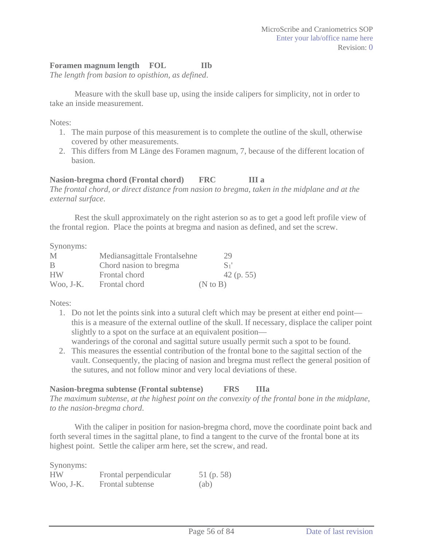### Foramen magnum length **FOL** IIb

*The length from basion to opisthion, as defined*.

Measure with the skull base up, using the inside calipers for simplicity, not in order to take an inside measurement.

Notes:

- 1. The main purpose of this measurement is to complete the outline of the skull, otherwise covered by other measurements.
- 2. This differs from M Länge des Foramen magnum, 7, because of the different location of basion.

#### **Nasion-bregma chord (Frontal chord) FRC III a**

*The frontal chord, or direct distance from nasion to bregma, taken in the midplane and at the external surface*.

Rest the skull approximately on the right asterion so as to get a good left profile view of the frontal region. Place the points at bregma and nasion as defined, and set the screw.

Synonyms:

| M            | Mediansagittale Frontalsehne | 29                  |
|--------------|------------------------------|---------------------|
| -B           | Chord nasion to bregma       | $S_1'$              |
| <b>HW</b>    | Frontal chord                | $42$ (p. 55)        |
| $W$ 00, J-K. | Frontal chord                | $(N \text{ to } B)$ |

Notes:

- 1. Do not let the points sink into a sutural cleft which may be present at either end point this is a measure of the external outline of the skull. If necessary, displace the caliper point slightly to a spot on the surface at an equivalent position wanderings of the coronal and sagittal suture usually permit such a spot to be found.
- 2. This measures the essential contribution of the frontal bone to the sagittal section of the vault. Consequently, the placing of nasion and bregma must reflect the general position of the sutures, and not follow minor and very local deviations of these.

## **Nasion-bregma subtense (Frontal subtense) FRS IIIa**

*The maximum subtense, at the highest point on the convexity of the frontal bone in the midplane, to the nasion-bregma chord*.

With the caliper in position for nasion-bregma chord, move the coordinate point back and forth several times in the sagittal plane, to find a tangent to the curve of the frontal bone at its highest point. Settle the caliper arm here, set the screw, and read.

| Synonyms:   |                       |              |
|-------------|-----------------------|--------------|
| <b>HW</b>   | Frontal perpendicular | 51 $(p. 58)$ |
| $Woo, J-K.$ | Frontal subtense      | (ab)         |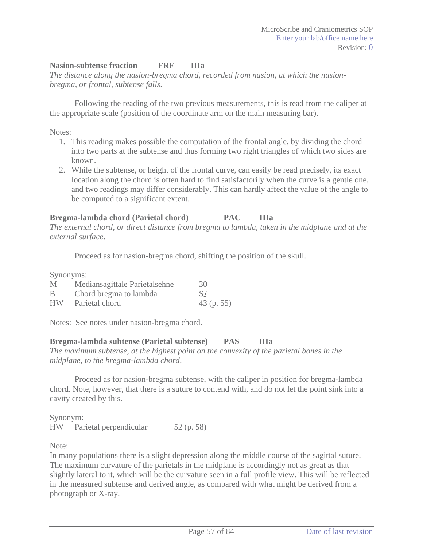### **Nasion-subtense fraction FRF IIIa**

*The distance along the nasion-bregma chord, recorded from nasion, at which the nasionbregma, or frontal, subtense falls*.

Following the reading of the two previous measurements, this is read from the caliper at the appropriate scale (position of the coordinate arm on the main measuring bar).

Notes:

- 1. This reading makes possible the computation of the frontal angle, by dividing the chord into two parts at the subtense and thus forming two right triangles of which two sides are known.
- 2. While the subtense, or height of the frontal curve, can easily be read precisely, its exact location along the chord is often hard to find satisfactorily when the curve is a gentle one, and two readings may differ considerably. This can hardly affect the value of the angle to be computed to a significant extent.

## **Bregma-lambda chord (Parietal chord) PAC IIIa**

*The external chord, or direct distance from bregma to lambda, taken in the midplane and at the external surface*.

Proceed as for nasion-bregma chord, shifting the position of the skull.

Synonyms:

| M         | Mediansagittale Parietalsehne | 30           |
|-----------|-------------------------------|--------------|
| B         | Chord bregma to lambda        | $S_2'$       |
| <b>HW</b> | Parietal chord                | $43$ (p. 55) |

Notes: See notes under nasion-bregma chord.

**Bregma-lambda subtense (Parietal subtense) PAS IIIa** 

*The maximum subtense, at the highest point on the convexity of the parietal bones in the midplane, to the bregma-lambda chord*.

Proceed as for nasion-bregma subtense, with the caliper in position for bregma-lambda chord. Note, however, that there is a suture to contend with, and do not let the point sink into a cavity created by this.

Synonym: HW Parietal perpendicular 52 (p. 58)

Note:

In many populations there is a slight depression along the middle course of the sagittal suture. The maximum curvature of the parietals in the midplane is accordingly not as great as that slightly lateral to it, which will be the curvature seen in a full profile view. This will be reflected in the measured subtense and derived angle, as compared with what might be derived from a photograph or X-ray.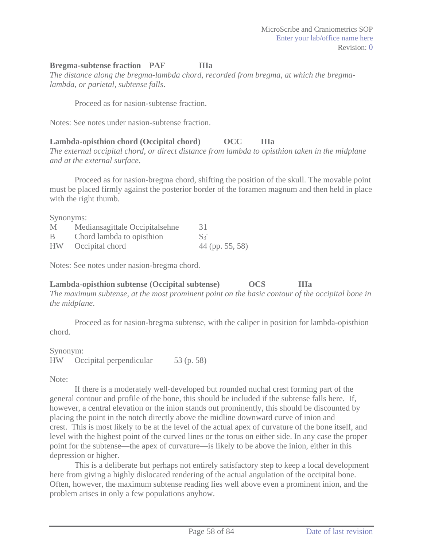#### **Bregma-subtense fraction PAF IIIa**

*The distance along the bregma-lambda chord, recorded from bregma, at which the bregmalambda, or parietal, subtense falls*.

Proceed as for nasion-subtense fraction.

Notes: See notes under nasion-subtense fraction.

### **Lambda-opisthion chord (Occipital chord) OCC IIIa**

*The external occipital chord, or direct distance from lambda to opisthion taken in the midplane and at the external surface*.

Proceed as for nasion-bregma chord, shifting the position of the skull. The movable point must be placed firmly against the posterior border of the foramen magnum and then held in place with the right thumb.

Synonyms:

| M         | Mediansagittale Occipitalsehne | 31                |
|-----------|--------------------------------|-------------------|
| B         | Chord lambda to opisthion      | $S_3'$            |
| <b>HW</b> | Occipital chord                | $44$ (pp. 55, 58) |

Notes: See notes under nasion-bregma chord.

#### **Lambda-opisthion subtense (Occipital subtense) OCS IIIa**

*The maximum subtense, at the most prominent point on the basic contour of the occipital bone in the midplane*.

Proceed as for nasion-bregma subtense, with the caliper in position for lambda-opisthion chord.

Synonym: HW Occipital perpendicular 53 (p. 58)

Note:

If there is a moderately well-developed but rounded nuchal crest forming part of the general contour and profile of the bone, this should be included if the subtense falls here. If, however, a central elevation or the inion stands out prominently, this should be discounted by placing the point in the notch directly above the midline downward curve of inion and crest. This is most likely to be at the level of the actual apex of curvature of the bone itself, and level with the highest point of the curved lines or the torus on either side. In any case the proper point for the subtense—the apex of curvature—is likely to be above the inion, either in this depression or higher.

This is a deliberate but perhaps not entirely satisfactory step to keep a local development here from giving a highly dislocated rendering of the actual angulation of the occipital bone. Often, however, the maximum subtense reading lies well above even a prominent inion, and the problem arises in only a few populations anyhow.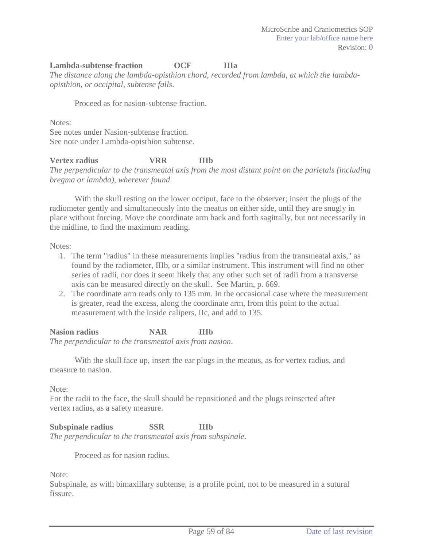### **Lambda-subtense fraction OCF IIIa**

*The distance along the lambda-opisthion chord, recorded from lambda, at which the lambdaopisthion, or occipital, subtense falls*.

Proceed as for nasion-subtense fraction.

Notes:

See notes under Nasion-subtense fraction. See note under Lambda-opisthion subtense.

**Vertex radius VRR IIIb**  *The perpendicular to the transmeatal axis from the most distant point on the parietals (including bregma or lambda), wherever found*.

With the skull resting on the lower occiput, face to the observer; insert the plugs of the radiometer gently and simultaneously into the meatus on either side, until they are snugly in place without forcing. Move the coordinate arm back and forth sagittally, but not necessarily in the midline, to find the maximum reading.

Notes:

- 1. The term "radius" in these measurements implies "radius from the transmeatal axis," as found by the radiometer, IIIb, or a similar instrument. This instrument will find no other series of radii, nor does it seem likely that any other such set of radii from a transverse axis can be measured directly on the skull. See Martin, p. 669.
- 2. The coordinate arm reads only to 135 mm. In the occasional case where the measurement is greater, read the excess, along the coordinate arm, from this point to the actual measurement with the inside calipers, IIc, and add to 135.

**Nasion radius NAR IIIb** 

*The perpendicular to the transmeatal axis from nasion*.

With the skull face up, insert the ear plugs in the meatus, as for vertex radius, and measure to nasion.

Note:

For the radii to the face, the skull should be repositioned and the plugs reinserted after vertex radius, as a safety measure.

**Subspinale radius SSR IIIb**  *The perpendicular to the transmeatal axis from subspinale*.

Proceed as for nasion radius.

Note:

Subspinale, as with bimaxillary subtense, is a profile point, not to be measured in a sutural fissure.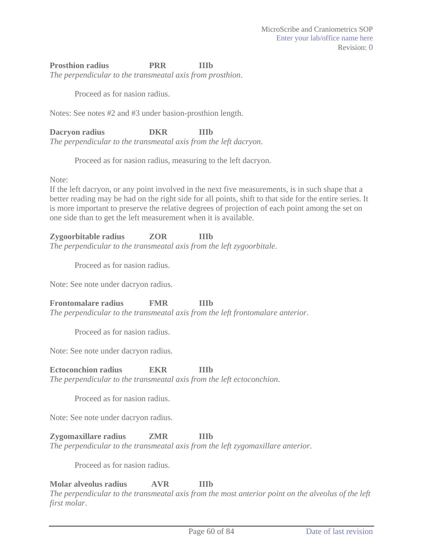#### **Prosthion radius PRR IIIb**

*The perpendicular to the transmeatal axis from prosthion*.

Proceed as for nasion radius.

Notes: See notes #2 and #3 under basion-prosthion length.

**Dacryon radius DKR IIIb**  *The perpendicular to the transmeatal axis from the left dacryon*.

Proceed as for nasion radius, measuring to the left dacryon.

Note:

If the left dacryon, or any point involved in the next five measurements, is in such shape that a better reading may be had on the right side for all points, shift to that side for the entire series. It is more important to preserve the relative degrees of projection of each point among the set on one side than to get the left measurement when it is available.

#### **Zygoorbitable radius ZOR IIIb**

*The perpendicular to the transmeatal axis from the left zygoorbitale*.

Proceed as for nasion radius.

Note: See note under dacryon radius.

**Frontomalare radius FMR IIIb** 

*The perpendicular to the transmeatal axis from the left frontomalare anterior*.

Proceed as for nasion radius.

Note: See note under dacryon radius.

**Ectoconchion radius EKR IIIb** 

*The perpendicular to the transmeatal axis from the left ectoconchion*.

Proceed as for nasion radius.

Note: See note under dacryon radius.

**Zygomaxillare radius ZMR IIIb**  *The perpendicular to the transmeatal axis from the left zygomaxillare anterior*.

Proceed as for nasion radius.

**Molar alveolus radius AVR IIIb** 

*The perpendicular to the transmeatal axis from the most anterior point on the alveolus of the left first molar*.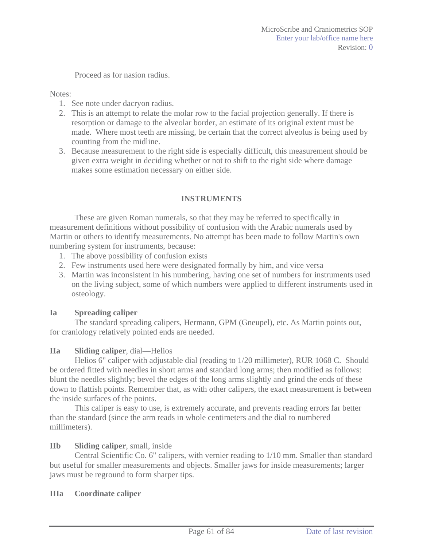Proceed as for nasion radius.

Notes:

- 1. See note under dacryon radius.
- 2. This is an attempt to relate the molar row to the facial projection generally. If there is resorption or damage to the alveolar border, an estimate of its original extent must be made. Where most teeth are missing, be certain that the correct alveolus is being used by counting from the midline.
- 3. Because measurement to the right side is especially difficult, this measurement should be given extra weight in deciding whether or not to shift to the right side where damage makes some estimation necessary on either side.

### **INSTRUMENTS**

These are given Roman numerals, so that they may be referred to specifically in measurement definitions without possibility of confusion with the Arabic numerals used by Martin or others to identify measurements. No attempt has been made to follow Martin's own numbering system for instruments, because:

- 1. The above possibility of confusion exists
- 2. Few instruments used here were designated formally by him, and vice versa
- 3. Martin was inconsistent in his numbering, having one set of numbers for instruments used on the living subject, some of which numbers were applied to different instruments used in osteology.

#### **Ia Spreading caliper**

The standard spreading calipers, Hermann, GPM (Gneupel), etc. As Martin points out, for craniology relatively pointed ends are needed.

#### **IIa Sliding caliper**, dial—Helios

Helios 6" caliper with adjustable dial (reading to 1/20 millimeter), RUR 1068 C. Should be ordered fitted with needles in short arms and standard long arms; then modified as follows: blunt the needles slightly; bevel the edges of the long arms slightly and grind the ends of these down to flattish points. Remember that, as with other calipers, the exact measurement is between the inside surfaces of the points.

This caliper is easy to use, is extremely accurate, and prevents reading errors far better than the standard (since the arm reads in whole centimeters and the dial to numbered millimeters).

#### **IIb Sliding caliper**, small, inside

Central Scientific Co. 6" calipers, with vernier reading to 1/10 mm. Smaller than standard but useful for smaller measurements and objects. Smaller jaws for inside measurements; larger jaws must be reground to form sharper tips.

#### **IIIa Coordinate caliper**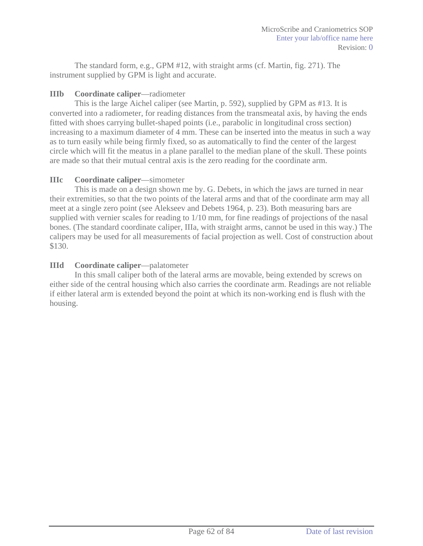The standard form, e.g., GPM #12, with straight arms (cf. Martin, fig. 271). The instrument supplied by GPM is light and accurate.

### **IIIb Coordinate caliper**—radiometer

This is the large Aichel caliper (see Martin, p. 592), supplied by GPM as #13. It is converted into a radiometer, for reading distances from the transmeatal axis, by having the ends fitted with shoes carrying bullet-shaped points (i.e., parabolic in longitudinal cross section) increasing to a maximum diameter of 4 mm. These can be inserted into the meatus in such a way as to turn easily while being firmly fixed, so as automatically to find the center of the largest circle which will fit the meatus in a plane parallel to the median plane of the skull. These points are made so that their mutual central axis is the zero reading for the coordinate arm.

#### **IIIc Coordinate caliper**—simometer

This is made on a design shown me by. G. Debets, in which the jaws are turned in near their extremities, so that the two points of the lateral arms and that of the coordinate arm may all meet at a single zero point (see Alekseev and Debets 1964, p. 23). Both measuring bars are supplied with vernier scales for reading to 1/10 mm, for fine readings of projections of the nasal bones. (The standard coordinate caliper, IIIa, with straight arms, cannot be used in this way.) The calipers may be used for all measurements of facial projection as well. Cost of construction about \$130.

## **IIId Coordinate caliper**—palatometer

In this small caliper both of the lateral arms are movable, being extended by screws on either side of the central housing which also carries the coordinate arm. Readings are not reliable if either lateral arm is extended beyond the point at which its non-working end is flush with the housing.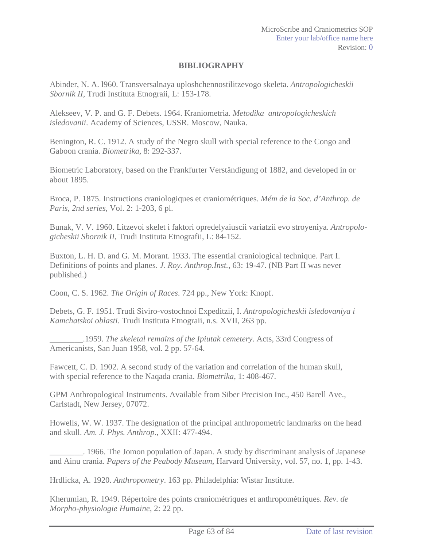#### **BIBLIOGRAPHY**

Abinder, N. A. l960. Transversalnaya uploshchennostilitzevogo skeleta. *Antropologicheskii Sbornik II*, Trudi Instituta Etnograii, L: 153-178.

Alekseev, V. P. and G. F. Debets. 1964. Kraniometria. *Metodika antropologicheskich isledovanii*. Academy of Sciences, USSR. Moscow, Nauka.

Benington, R. C. 1912. A study of the Negro skull with special reference to the Congo and Gaboon crania. *Biometrika*, 8: 292-337.

Biometric Laboratory, based on the Frankfurter Verständigung of 1882, and developed in or about 1895.

Broca, P. 1875. Instructions craniologiques et craniométriques. *Mém de la Soc. d'Anthrop. de Paris, 2nd series*, Vol. 2: 1-203, 6 pl.

Bunak, V. V. 1960. Litzevoi skelet i faktori opredelyaiuscii variatzii evo stroyeniya. *Antropologicheskii Sbornik II*, Trudi Instituta Etnografii, L: 84-152.

Buxton, L. H. D. and G. M. Morant. 1933. The essential craniological technique. Part I. Definitions of points and planes. *J. Roy. Anthrop.Inst.*, 63: 19-47. (NB Part II was never published.)

Coon, C. S. 1962. *The Origin of Races*. 724 pp., New York: Knopf.

Debets, G. F. 1951. Trudi Siviro-vostochnoi Expeditzii, I. *Antropologicheskii isledovaniya i Kamchatskoi oblasti*. Trudi Instituta Etnograii, n.s. XVII, 263 pp.

\_\_\_\_\_\_\_\_.1959. *The skeletal remains of the Ipiutak cemetery*. Acts, 33rd Congress of Americanists, San Juan 1958, vol. 2 pp. 57-64.

Fawcett, C. D. 1902. A second study of the variation and correlation of the human skull, with special reference to the Naqada crania. *Biometrika*, 1: 408-467.

GPM Anthropological Instruments. Available from Siber Precision Inc., 450 Barell Ave., Carlstadt, New Jersey, 07072.

Howells, W. W. 1937. The designation of the principal anthropometric landmarks on the head and skull. *Am. J. Phys. Anthrop*., XXII: 477-494.

\_\_\_\_\_\_\_\_. 1966. The Jomon population of Japan. A study by discriminant analysis of Japanese and Ainu crania. *Papers of the Peabody Museum*, Harvard University, vol. 57, no. 1, pp. 1-43.

Hrdlicka, A. 1920. *Anthropometry*. 163 pp. Philadelphia: Wistar Institute.

Kherumian, R. 1949. Répertoire des points craniométriques et anthropométriques. *Rev. de Morpho-physiologie Humaine*, 2: 22 pp.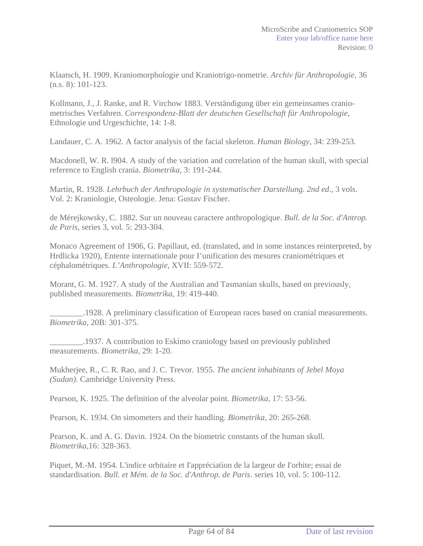Klaatsch, H. 1909. Kraniomorphologie und Kraniotrigo-nometrie. *Archiv für Anthropologie*, 36 (n.s. 8): 101-123.

Kollmann, J., J. Ranke, and R. Virchow 1883. Verständigung über ein gemeinsames craniometrisches Verfahren. *Correspondenz-Blatt der deutschen Gesellschaft für Anthropologie*, Ethnologie und Urgeschichte, 14: 1-8.

Landauer, C. A. 1962. A factor analysis of the facial skeleton. *Human Biology*, 34: 239-253.

Macdonell, W. R. l904. A study of the variation and correlation of the human skull, with special reference to English crania. *Biometrika*, 3: 191-244.

Martin, R. 1928. *Lehrbuch der Anthropologie in systematischer Darstellung. 2nd ed*., 3 vols. Vol. 2: Kraniologie, Osteologie. Jena: Gustav Fischer.

de Mérejkowsky, C. 1882. Sur un nouveau caractere anthropologique. *Bull. de la Soc. d'Antrop. de Paris*, series 3, vol. 5: 293-304.

Monaco Agreement of 1906, G. Papillaut, ed. (translated, and in some instances reinterpreted, by Hrdlicka 1920), Entente internationale pour I'unification des mesures craniométriques et céphalométriques. *L'Anthropologie*, XVII: 559-572.

Morant, G. M. 1927. A study of the Australian and Tasmanian skulls, based on previously, published measurements. *Biometrika*, 19: 419-440.

\_\_\_\_\_\_\_\_.1928. A preliminary classification of European races based on cranial measurements. *Biometrika*, 20B: 301-375.

\_\_\_\_\_\_\_\_.1937. A contribution to Eskimo craniology based on previously published measurements. *Biometrika*, 29: 1-20.

Mukherjee, R., C. R. Rao, and J. C. Trevor. 1955. *The ancient inhabitants of Jebel Moya (Sudan)*. Cambridge University Press.

Pearson, K. 1925. The definition of the alveolar point. *Biometrika*, 17: 53-56.

Pearson, K. 1934. On simometers and their handling. *Biometrika*, 20: 265-268.

Pearson, K. and A. G. Davin. 1924. On the biometric constants of the human skull. *Biometrika*,16: 328-363.

Piquet, M.-M. 1954. L'indice orbitaire et I'appréciatìon de la largeur de I'orbite; essai de standardisation. *Bull. et Mém. de la Soc. d'Anthrop. de Paris*. series 10, vol. 5: 100-112.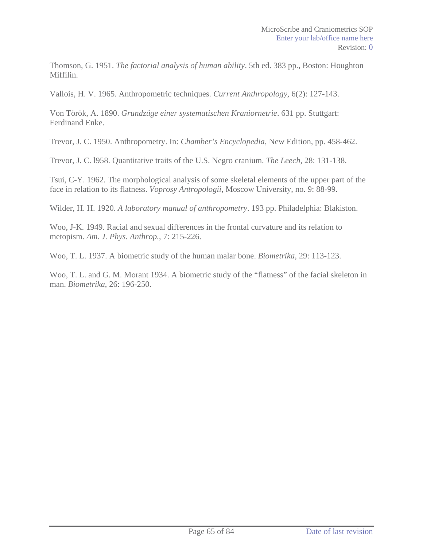Thomson, G. 1951. *The factorial analysis of human ability*. 5th ed. 383 pp., Boston: Houghton Miffilin.

Vallois, H. V. 1965. Anthropometric techniques. *Current Anthropology*, 6(2): 127-143.

Von Török, A. 1890. *Grundzüge einer systematischen Kraniornetrie*. 631 pp. Stuttgart: Ferdinand Enke.

Trevor, J. C. 1950. Anthropometry. In: *Chamber's Encyclopedia*, New Edition, pp. 458-462.

Trevor, J. C. l958. Quantitative traits of the U.S. Negro cranium. *The Leech*, 28: 131-138.

Tsui, C-Y. 1962. The morphological analysis of some skeletal elements of the upper part of the face in relation to its flatness. *Voprosy Antropologii*, Moscow University, no. 9: 88-99.

Wilder, H. H. 1920. *A laboratory manual of anthropometry*. 193 pp. Philadelphia: Blakiston.

Woo, J-K. 1949. Racial and sexual differences in the frontal curvature and its relation to metopism. *Am. J. Phys. Anthrop.*, 7: 215-226.

Woo, T. L. 1937. A biometric study of the human malar bone. *Biometrika*, 29: 113-123.

Woo, T. L. and G. M. Morant 1934. A biometric study of the "flatness" of the facial skeleton in man. *Biometrika*, 26: 196-250.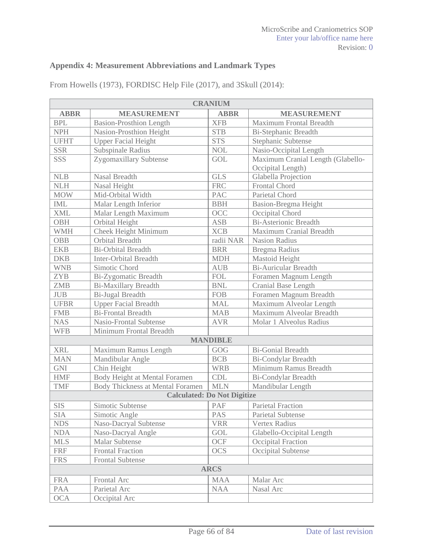## **Appendix 4: Measurement Abbreviations and Landmark Types**

| <b>CRANIUM</b> |                                    |                 |                                   |  |
|----------------|------------------------------------|-----------------|-----------------------------------|--|
| <b>ABBR</b>    | <b>MEASUREMENT</b>                 | <b>ABBR</b>     | <b>MEASUREMENT</b>                |  |
| <b>BPL</b>     | <b>Basion-Prosthion Length</b>     | <b>XFB</b>      | Maximum Frontal Breadth           |  |
| <b>NPH</b>     | Nasion-Prosthion Height            | <b>STB</b>      | <b>Bi-Stephanic Breadth</b>       |  |
| <b>UFHT</b>    | <b>Upper Facial Height</b>         | <b>STS</b>      | Stephanic Subtense                |  |
| <b>SSR</b>     | Subspinale Radius                  | <b>NOL</b>      | Nasio-Occipital Length            |  |
| SSS            | Zygomaxillary Subtense             | <b>GOL</b>      | Maximum Cranial Length (Glabello- |  |
|                |                                    |                 | Occipital Length)                 |  |
| NLB            | Nasal Breadth                      | <b>GLS</b>      | Glabella Projection               |  |
| <b>NLH</b>     | Nasal Height                       | <b>FRC</b>      | Frontal Chord                     |  |
| <b>MOW</b>     | Mid-Orbital Width                  | <b>PAC</b>      | Parietal Chord                    |  |
| <b>IML</b>     | Malar Length Inferior              | <b>BBH</b>      | Basion-Bregma Height              |  |
| <b>XML</b>     | Malar Length Maximum               | OCC             | Occipital Chord                   |  |
| <b>OBH</b>     | Orbital Height                     | <b>ASB</b>      | <b>Bi-Asterionic Breadth</b>      |  |
| <b>WMH</b>     | Cheek Height Minimum               | <b>XCB</b>      | Maximum Cranial Breadth           |  |
| <b>OBB</b>     | Orbital Breadth                    | radii NAR       | <b>Nasion Radius</b>              |  |
| <b>EKB</b>     | <b>Bi-Orbital Breadth</b>          | <b>BRR</b>      | Bregma Radius                     |  |
| <b>DKB</b>     | <b>Inter-Orbital Breadth</b>       | <b>MDH</b>      | Mastoid Height                    |  |
| <b>WNB</b>     | Simotic Chord                      | <b>AUB</b>      | <b>Bi-Auricular Breadth</b>       |  |
| <b>ZYB</b>     | Bi-Zygomatic Breadth               | <b>FOL</b>      | Foramen Magnum Length             |  |
| <b>ZMB</b>     | <b>Bi-Maxillary Breadth</b>        | <b>BNL</b>      | Cranial Base Length               |  |
| $JUB$          | <b>Bi-Jugal Breadth</b>            | <b>FOB</b>      | Foramen Magnum Breadth            |  |
| <b>UFBR</b>    | <b>Upper Facial Breadth</b>        | <b>MAL</b>      | Maximum Alveolar Length           |  |
| <b>FMB</b>     | <b>Bi-Frontal Breadth</b>          | <b>MAB</b>      | Maximum Alveolar Breadth          |  |
| <b>NAS</b>     | <b>Nasio-Frontal Subtense</b>      | <b>AVR</b>      | Molar 1 Alveolus Radius           |  |
| <b>WFB</b>     | Minimum Frontal Breadth            |                 |                                   |  |
|                |                                    | <b>MANDIBLE</b> |                                   |  |
| <b>XRL</b>     | Maximum Ramus Length               | GOG             | <b>Bi-Gonial Breadth</b>          |  |
| <b>MAN</b>     | Mandibular Angle                   | <b>BCB</b>      | <b>Bi-Condylar Breadth</b>        |  |
| <b>GNI</b>     | Chin Height                        | <b>WRB</b>      | Minimum Ramus Breadth             |  |
| <b>HMF</b>     | Body Height at Mental Foramen      | CDL             | Bi-Condylar Breadth               |  |
| <b>TMF</b>     | Body Thickness at Mental Foramen   | <b>MLN</b>      | Mandibular Length                 |  |
|                | <b>Calculated: Do Not Digitize</b> |                 |                                   |  |
| <b>SIS</b>     | Simotic Subtense                   | PAF             | <b>Parietal Fraction</b>          |  |
| <b>SIA</b>     | Simotic Angle                      | <b>PAS</b>      | <b>Parietal Subtense</b>          |  |
| <b>NDS</b>     | Naso-Dacryal Subtense              | <b>VRR</b>      | <b>Vertex Radius</b>              |  |
| <b>NDA</b>     | Naso-Dacryal Angle                 | GOL             | Glabello-Occipital Length         |  |
| <b>MLS</b>     | <b>Malar Subtense</b>              | OCF             | Occipital Fraction                |  |
| <b>FRF</b>     | <b>Frontal Fraction</b>            | <b>OCS</b>      | Occipital Subtense                |  |
| <b>FRS</b>     | <b>Frontal Subtense</b>            |                 |                                   |  |
|                |                                    | <b>ARCS</b>     |                                   |  |
| <b>FRA</b>     | Frontal Arc                        | <b>MAA</b>      | Malar Arc                         |  |
| PAA            | Parietal Arc                       | <b>NAA</b>      | Nasal Arc                         |  |
| <b>OCA</b>     | Occipital Arc                      |                 |                                   |  |

From Howells (1973), FORDISC Help File (2017), and 3Skull (2014):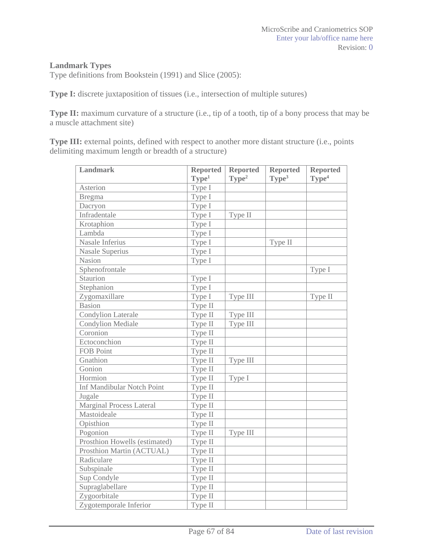#### **Landmark Types**

Type definitions from Bookstein (1991) and Slice (2005):

**Type I:** discrete juxtaposition of tissues (i.e., intersection of multiple sutures)

**Type II:** maximum curvature of a structure (i.e., tip of a tooth, tip of a bony process that may be a muscle attachment site)

Type III: external points, defined with respect to another more distant structure (i.e., points delimiting maximum length or breadth of a structure)

| Landmark                          | <b>Reported</b>   | <b>Reported</b>   | <b>Reported</b>   | <b>Reported</b>   |
|-----------------------------------|-------------------|-------------------|-------------------|-------------------|
|                                   | Type <sup>1</sup> | Type <sup>2</sup> | Type <sup>3</sup> | Type <sup>4</sup> |
| Asterion                          | Type I            |                   |                   |                   |
| <b>Bregma</b>                     | Type I            |                   |                   |                   |
| Dacryon                           | Type I            |                   |                   |                   |
| Infradentale                      | Type I            | Type II           |                   |                   |
| Krotaphion                        | Type I            |                   |                   |                   |
| Lambda                            | Type I            |                   |                   |                   |
| Nasale Inferius                   | Type I            |                   | Type II           |                   |
| <b>Nasale Superius</b>            | Type I            |                   |                   |                   |
| Nasion                            | Type I            |                   |                   |                   |
| Sphenofrontale                    |                   |                   |                   | Type I            |
| Staurion                          | Type I            |                   |                   |                   |
| Stephanion                        | Type I            |                   |                   |                   |
| Zygomaxillare                     | Type I            | Type III          |                   | Type II           |
| <b>Basion</b>                     | Type II           |                   |                   |                   |
| <b>Condylion Laterale</b>         | Type II           | Type III          |                   |                   |
| <b>Condylion Mediale</b>          | Type II           | Type III          |                   |                   |
| Coronion                          | Type II           |                   |                   |                   |
| Ectoconchion                      | Type II           |                   |                   |                   |
| <b>FOB Point</b>                  | Type II           |                   |                   |                   |
| Gnathion                          | Type II           | Type III          |                   |                   |
| Gonion                            | Type II           |                   |                   |                   |
| Hormion                           | Type II           | Type I            |                   |                   |
| <b>Inf Mandibular Notch Point</b> | Type II           |                   |                   |                   |
| Jugale                            | Type II           |                   |                   |                   |
| <b>Marginal Process Lateral</b>   | Type II           |                   |                   |                   |
| Mastoideale                       | Type II           |                   |                   |                   |
| Opisthion                         | Type II           |                   |                   |                   |
| Pogonion                          | Type II           | Type III          |                   |                   |
| Prosthion Howells (estimated)     | Type II           |                   |                   |                   |
| Prosthion Martin (ACTUAL)         | Type II           |                   |                   |                   |
| Radiculare                        | Type II           |                   |                   |                   |
| Subspinale                        | Type II           |                   |                   |                   |
| Sup Condyle                       | Type II           |                   |                   |                   |
| Supraglabellare                   | Type II           |                   |                   |                   |
| Zygoorbitale                      | Type II           |                   |                   |                   |
| Zygotemporale Inferior            | Type II           |                   |                   |                   |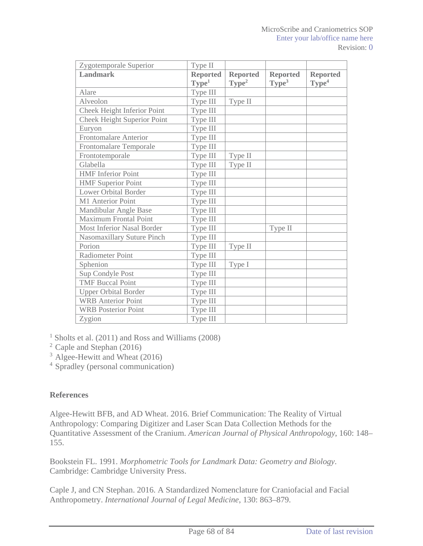| Zygotemporale Superior             | Type II           |                   |                   |                   |
|------------------------------------|-------------------|-------------------|-------------------|-------------------|
| Landmark                           | <b>Reported</b>   | <b>Reported</b>   | <b>Reported</b>   | <b>Reported</b>   |
|                                    | Type <sup>1</sup> | Type <sup>2</sup> | Type <sup>3</sup> | Type <sup>4</sup> |
| Alare                              | Type III          |                   |                   |                   |
| Alveolon                           | Type III          | Type II           |                   |                   |
| Cheek Height Inferior Point        | Type III          |                   |                   |                   |
| <b>Cheek Height Superior Point</b> | Type III          |                   |                   |                   |
| Euryon                             | Type III          |                   |                   |                   |
| <b>Frontomalare Anterior</b>       | Type III          |                   |                   |                   |
| Frontomalare Temporale             | Type III          |                   |                   |                   |
| Frontotemporale                    | Type III          | Type II           |                   |                   |
| Glabella                           | Type III          | Type II           |                   |                   |
| <b>HMF</b> Inferior Point          | Type III          |                   |                   |                   |
| <b>HMF</b> Superior Point          | Type III          |                   |                   |                   |
| <b>Lower Orbital Border</b>        | Type III          |                   |                   |                   |
| M1 Anterior Point                  | Type III          |                   |                   |                   |
| Mandibular Angle Base              | Type III          |                   |                   |                   |
| <b>Maximum Frontal Point</b>       | Type III          |                   |                   |                   |
| <b>Most Inferior Nasal Border</b>  | Type III          |                   | Type II           |                   |
| Nasomaxillary Suture Pinch         | Type III          |                   |                   |                   |
| Porion                             | Type III          | Type II           |                   |                   |
| <b>Radiometer Point</b>            | Type III          |                   |                   |                   |
| Sphenion                           | Type III          | Type I            |                   |                   |
| Sup Condyle Post                   | Type III          |                   |                   |                   |
| <b>TMF</b> Buccal Point            | Type III          |                   |                   |                   |
| <b>Upper Orbital Border</b>        | Type III          |                   |                   |                   |
| <b>WRB</b> Anterior Point          | Type III          |                   |                   |                   |
| <b>WRB</b> Posterior Point         | Type III          |                   |                   |                   |
| Zygion                             | Type III          |                   |                   |                   |

<sup>1</sup> Sholts et al. (2011) and Ross and Williams (2008)

2 Caple and Stephan (2016)

<sup>3</sup> Algee-Hewitt and Wheat (2016)

4 Spradley (personal communication)

#### **References**

Algee-Hewitt BFB, and AD Wheat. 2016. Brief Communication: The Reality of Virtual Anthropology: Comparing Digitizer and Laser Scan Data Collection Methods for the Quantitative Assessment of the Cranium. *American Journal of Physical Anthropology*, 160: 148– 155.

Bookstein FL. 1991. *Morphometric Tools for Landmark Data: Geometry and Biology*. Cambridge: Cambridge University Press.

Caple J, and CN Stephan. 2016. A Standardized Nomenclature for Craniofacial and Facial Anthropometry. *International Journal of Legal Medicine*, 130: 863–879.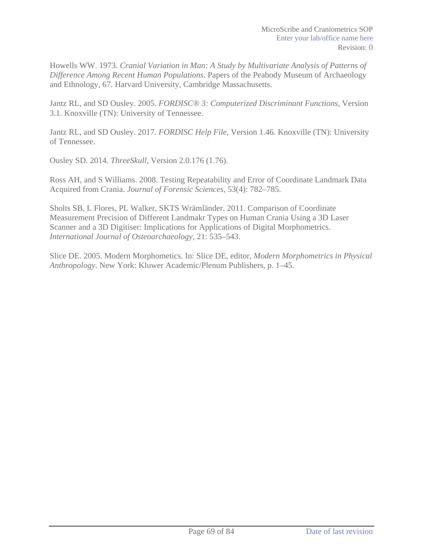Howells WW. 1973. *Cranial Variation in Man: A Study by Multivariate Analysis of Patterns of Difference Among Recent Human Populations*. Papers of the Peabody Museum of Archaeology and Ethnology, 67. Harvard University, Cambridge Massachusetts.

Jantz RL, and SD Ousley. 2005. *FORDISC® 3: Computerized Discriminant Functions*, Version 3.1. Knoxville (TN): University of Tennessee.

Jantz RL, and SD Ousley. 2017. *FORDISC Help File*, Version 1.46. Knoxville (TN): University of Tennessee.

Ousley SD. 2014. *ThreeSkull*, Version 2.0.176 (1.76).

Ross AH, and S Williams. 2008. Testing Repeatability and Error of Coordinate Landmark Data Acquired from Crania. *Journal of Forensic Sciences*, 53(4): 782–785.

Sholts SB, L Flores, PL Walker, SKTS Wrämländer. 2011. Comparison of Coordinate Measurement Precision of Different Landmakr Types on Human Crania Using a 3D Laser Scanner and a 3D Digitiser: Implications for Applications of Digital Morphometrics. *International Journal of Osteoarchaeology*, 21: 535–543.

Slice DE. 2005. Modern Morphometics. In: Slice DE, editor, *Modern Morphometrics in Physical Anthropology*. New York: Kluwer Academic/Plenum Publishers, p. 1–45.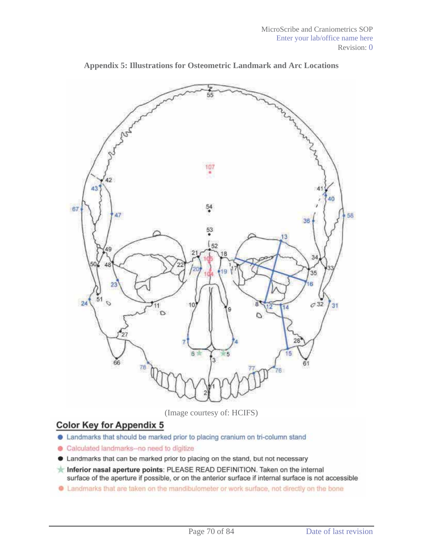

**Appendix 5: Illustrations for Osteometric Landmark and Arc Locations** 

(Image courtesy of: HCIFS)

## **Color Key for Appendix 5**

- Landmarks that should be marked prior to placing cranium on tri-column stand
- **Calculated landmarks-no need to digitize**
- **.** Landmarks that can be marked prior to placing on the stand, but not necessary
- Inferior nasal aperture points: PLEASE READ DEFINITION. Taken on the internal surface of the aperture if possible, or on the anterior surface if internal surface is not accessible
- In Landmarks that are taken on the mandibulometer or work surface, not directly on the bone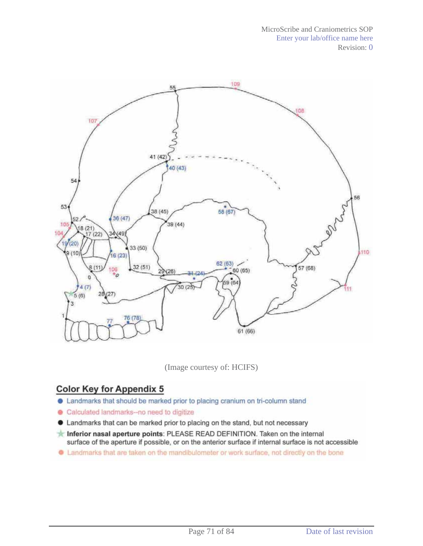

(Image courtesy of: HCIFS)

# **Color Key for Appendix 5**

- Landmarks that should be marked prior to placing cranium on tri-column stand
- Calculated landmarks-no need to digitize
- **.** Landmarks that can be marked prior to placing on the stand, but not necessary
- Inferior nasal aperture points: PLEASE READ DEFINITION. Taken on the internal surface of the aperture if possible, or on the anterior surface if internal surface is not accessible
- C Landmarks that are taken on the mandibulometer or work surface, not directly on the bone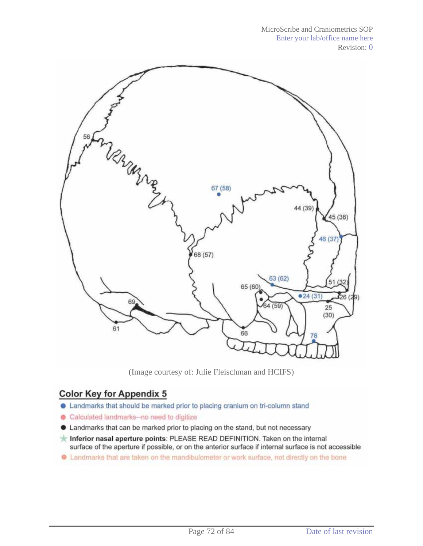MicroScribe and Craniometrics SOP Enter your lab/office name here Revision: 0



(Image courtesy of: Julie Fleischman and HCIFS)

## **Color Key for Appendix 5**

- Landmarks that should be marked prior to placing cranium on tri-column stand
- **Calculated landmarks-no need to digitize**
- Landmarks that can be marked prior to placing on the stand, but not necessary
- Inferior nasal aperture points: PLEASE READ DEFINITION. Taken on the internal surface of the aperture if possible, or on the anterior surface if internal surface is not accessible
- . Landmarks that are taken on the mandibulometer or work surface, not directly on the bone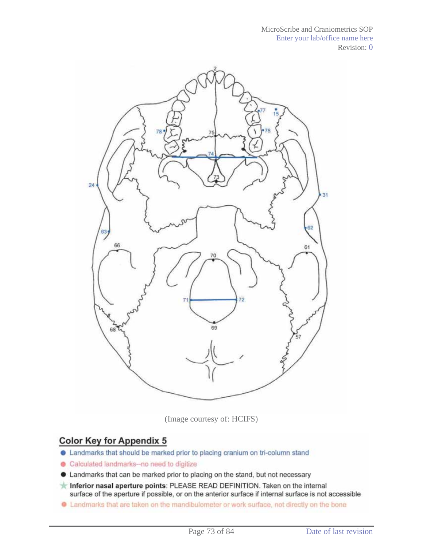

(Image courtesy of: HCIFS)

## **Color Key for Appendix 5**

- **.** Landmarks that should be marked prior to placing cranium on tri-column stand
- **Calculated landmarks-no need to digitize**
- Landmarks that can be marked prior to placing on the stand, but not necessary
- Inferior nasal aperture points: PLEASE READ DEFINITION. Taken on the internal surface of the aperture if possible, or on the anterior surface if internal surface is not accessible
- **C** Landmarks that are taken on the mandibulometer or work surface, not directly on the bone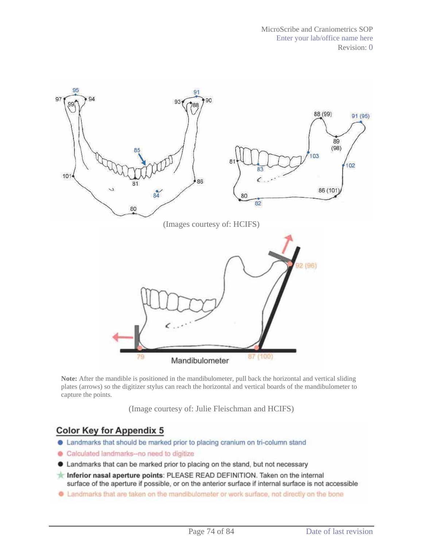

**Note:** After the mandible is positioned in the mandibulometer, pull back the horizontal and vertical sliding plates (arrows) so the digitizer stylus can reach the horizontal and vertical boards of the mandibulometer to capture the points.

(Image courtesy of: Julie Fleischman and HCIFS)

## **Color Key for Appendix 5**

- Landmarks that should be marked prior to placing cranium on tri-column stand
- Calculated landmarks-no need to digitize
- Landmarks that can be marked prior to placing on the stand, but not necessary
- Inferior nasal aperture points: PLEASE READ DEFINITION. Taken on the internal surface of the aperture if possible, or on the anterior surface if internal surface is not accessible
- Landmarks that are taken on the mandibulometer or work surface, not directly on the bone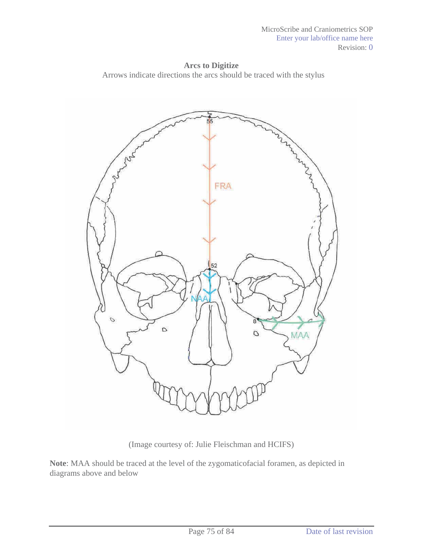**Arcs to Digitize** Arrows indicate directions the arcs should be traced with the stylus



(Image courtesy of: Julie Fleischman and HCIFS)

**Note**: MAA should be traced at the level of the zygomaticofacial foramen, as depicted in diagrams above and below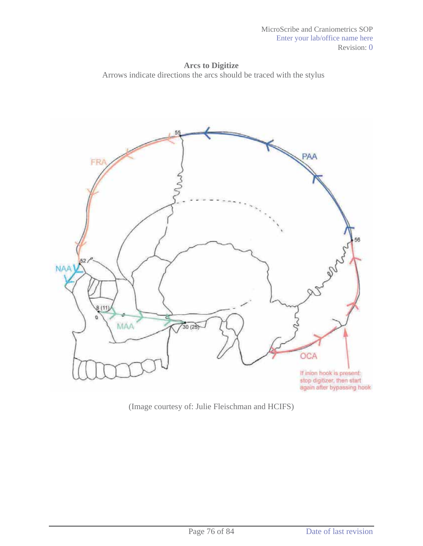**Arcs to Digitize** Arrows indicate directions the arcs should be traced with the stylus



(Image courtesy of: Julie Fleischman and HCIFS)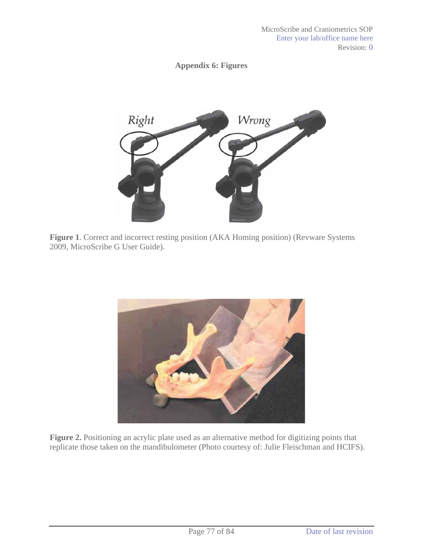## **Appendix 6: Figures**



**Figure 1**. Correct and incorrect resting position (AKA Homing position) (Revware Systems 2009, MicroScribe G User Guide).



**Figure 2.** Positioning an acrylic plate used as an alternative method for digitizing points that replicate those taken on the mandibulometer (Photo courtesy of: Julie Fleischman and HCIFS).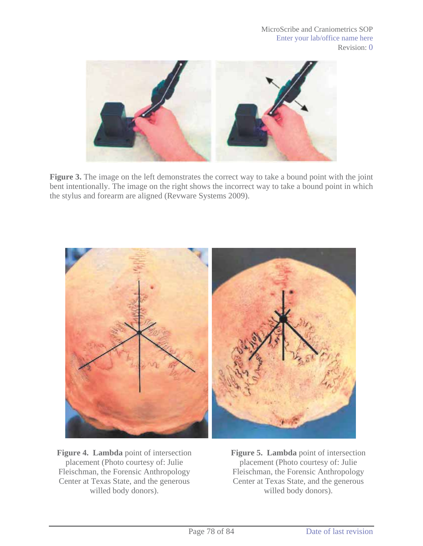

**Figure 3.** The image on the left demonstrates the correct way to take a bound point with the joint bent intentionally. The image on the right shows the incorrect way to take a bound point in which the stylus and forearm are aligned (Revware Systems 2009).



**Figure 4. Lambda** point of intersection placement (Photo courtesy of: Julie Fleischman, the Forensic Anthropology Center at Texas State, and the generous willed body donors).

**Figure 5. Lambda** point of intersection placement (Photo courtesy of: Julie Fleischman, the Forensic Anthropology Center at Texas State, and the generous willed body donors).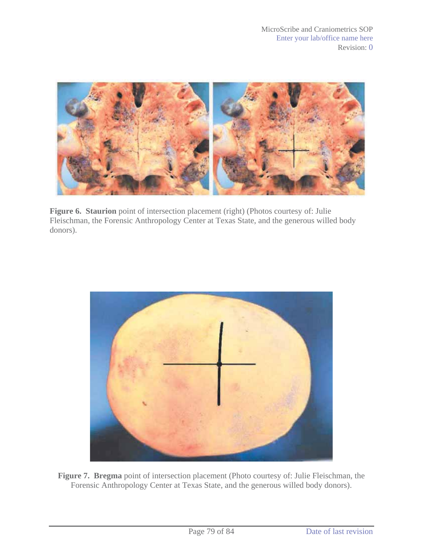

**Figure 6. Staurion** point of intersection placement (right) (Photos courtesy of: Julie Fleischman, the Forensic Anthropology Center at Texas State, and the generous willed body donors).



**Figure 7. Bregma** point of intersection placement (Photo courtesy of: Julie Fleischman, the Forensic Anthropology Center at Texas State, and the generous willed body donors).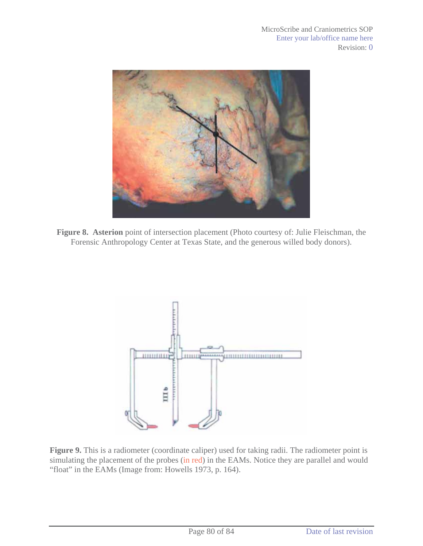

**Figure 8. Asterion** point of intersection placement (Photo courtesy of: Julie Fleischman, the Forensic Anthropology Center at Texas State, and the generous willed body donors).



**Figure 9.** This is a radiometer (coordinate caliper) used for taking radii. The radiometer point is simulating the placement of the probes (in red) in the EAMs. Notice they are parallel and would "float" in the EAMs (Image from: Howells 1973, p. 164).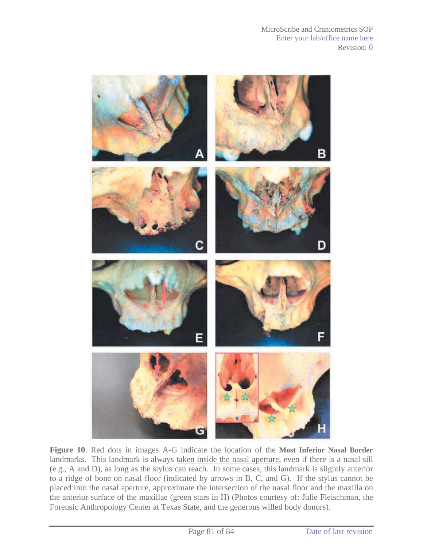

**Figure 10**. Red dots in images A-G indicate the location of the **Most Inferior Nasal Border** landmarks. This landmark is always taken inside the nasal aperture, even if there is a nasal sill (e.g., A and D), as long as the stylus can reach. In some cases, this landmark is slightly anterior to a ridge of bone on nasal floor (indicated by arrows in B, C, and G). If the stylus cannot be placed into the nasal aperture, approximate the intersection of the nasal floor and the maxilla on the anterior surface of the maxillae (green stars in H) (Photos courtesy of: Julie Fleischman, the Forensic Anthropology Center at Texas State, and the generous willed body donors).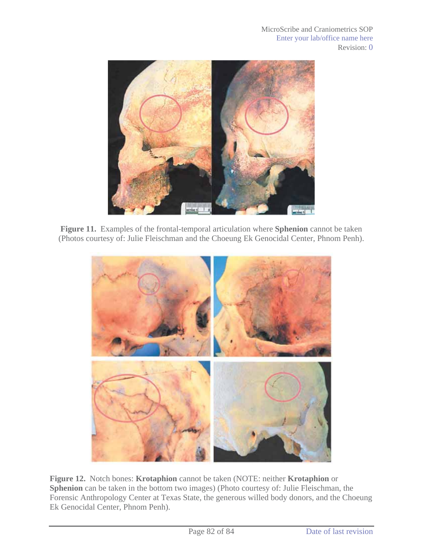

**Figure 11.** Examples of the frontal-temporal articulation where **Sphenion** cannot be taken (Photos courtesy of: Julie Fleischman and the Choeung Ek Genocidal Center, Phnom Penh).



**Figure 12.** Notch bones: **Krotaphion** cannot be taken (NOTE: neither **Krotaphion** or **Sphenion** can be taken in the bottom two images) (Photo courtesy of: Julie Fleischman, the Forensic Anthropology Center at Texas State, the generous willed body donors, and the Choeung Ek Genocidal Center, Phnom Penh).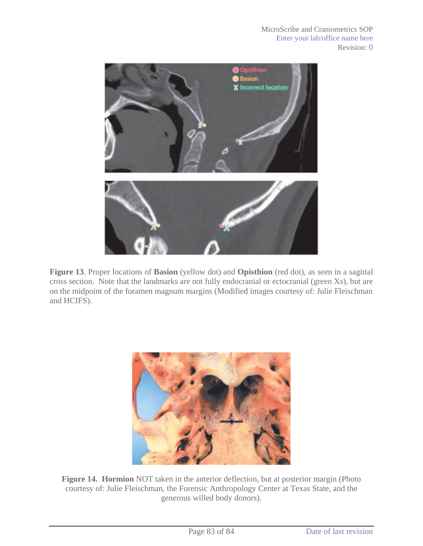

**Figure 13**. Proper locations of **Basion** (yellow dot) and **Opisthion** (red dot), as seen in a sagittal cross section. Note that the landmarks are not fully endocranial or ectocranial (green Xs), but are on the midpoint of the foramen magnum margins (Modified images courtesy of: Julie Fleischman and HCIFS).



**Figure 14. Hormion** NOT taken in the anterior deflection, but at posterior margin (Photo courtesy of: Julie Fleischman, the Forensic Anthropology Center at Texas State, and the generous willed body donors).